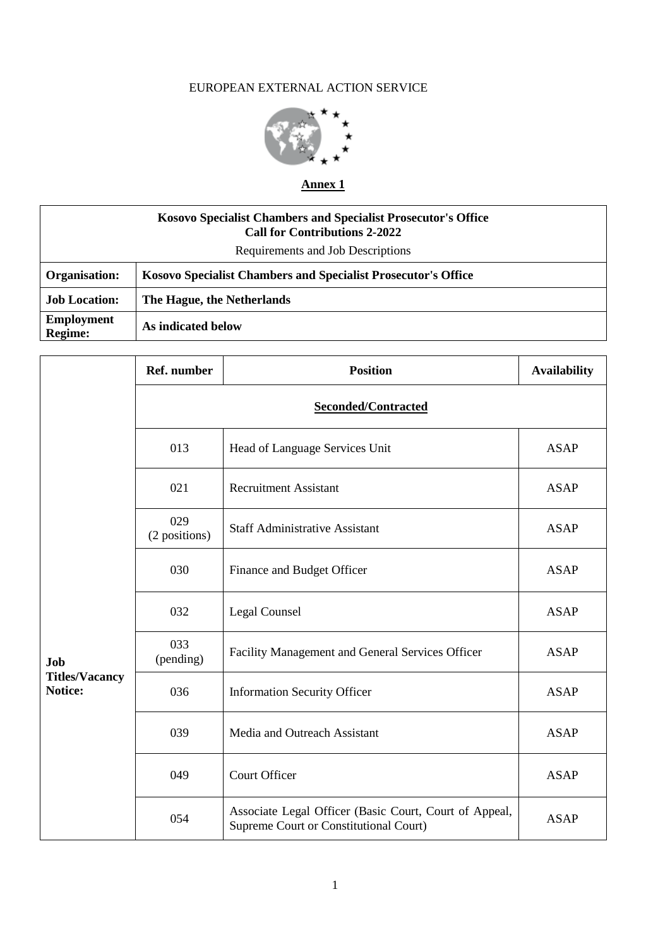# EUROPEAN EXTERNAL ACTION SERVICE



# **Annex 1**

| <b>Kosovo Specialist Chambers and Specialist Prosecutor's Office</b><br><b>Call for Contributions 2-2022</b> |                                                               |  |
|--------------------------------------------------------------------------------------------------------------|---------------------------------------------------------------|--|
| Requirements and Job Descriptions                                                                            |                                                               |  |
| Organisation:                                                                                                | Kosovo Specialist Chambers and Specialist Prosecutor's Office |  |
| <b>Job Location:</b>                                                                                         | The Hague, the Netherlands                                    |  |
| <b>Employment</b><br><b>Regime:</b>                                                                          | As indicated below                                            |  |

|                                  | Ref. number          | <b>Position</b>                                                                                  | <b>Availability</b> |
|----------------------------------|----------------------|--------------------------------------------------------------------------------------------------|---------------------|
|                                  | Seconded/Contracted  |                                                                                                  |                     |
|                                  | 013                  | Head of Language Services Unit                                                                   | <b>ASAP</b>         |
|                                  | 021                  | <b>Recruitment Assistant</b>                                                                     | <b>ASAP</b>         |
|                                  | 029<br>(2 positions) | <b>Staff Administrative Assistant</b>                                                            | <b>ASAP</b>         |
|                                  | 030                  | Finance and Budget Officer                                                                       | <b>ASAP</b>         |
|                                  | 032                  | Legal Counsel                                                                                    | <b>ASAP</b>         |
| Job                              | 033<br>(pending)     | Facility Management and General Services Officer                                                 | <b>ASAP</b>         |
| <b>Titles/Vacancy</b><br>Notice: | 036                  | <b>Information Security Officer</b>                                                              | <b>ASAP</b>         |
|                                  | 039                  | Media and Outreach Assistant                                                                     | <b>ASAP</b>         |
|                                  | 049                  | <b>Court Officer</b>                                                                             | <b>ASAP</b>         |
|                                  | 054                  | Associate Legal Officer (Basic Court, Court of Appeal,<br>Supreme Court or Constitutional Court) | <b>ASAP</b>         |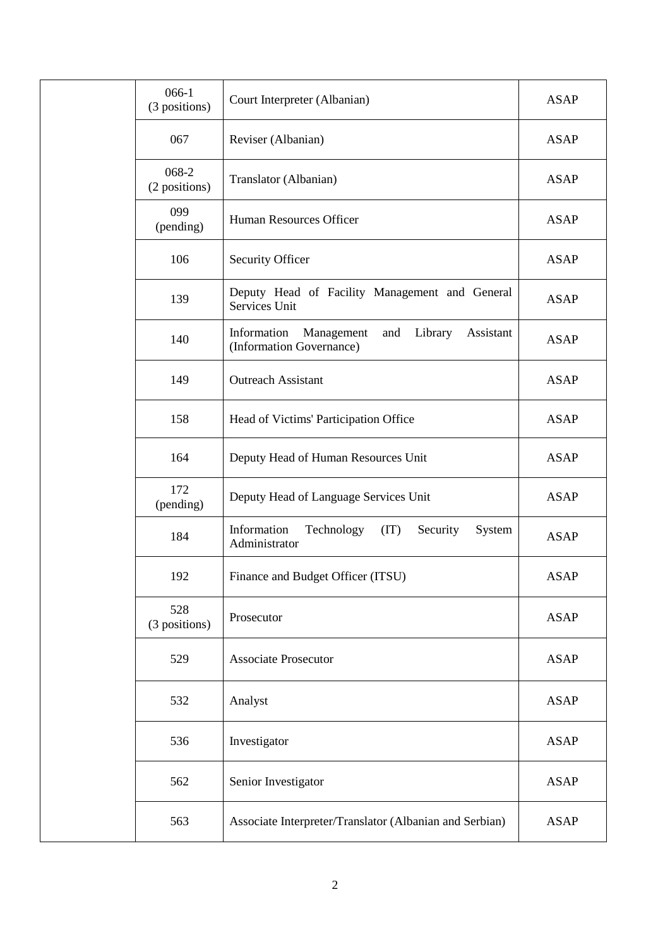| 066-1<br>(3 positions) | Court Interpreter (Albanian)                                                         | <b>ASAP</b> |
|------------------------|--------------------------------------------------------------------------------------|-------------|
| 067                    | Reviser (Albanian)                                                                   | <b>ASAP</b> |
| 068-2<br>(2 positions) | Translator (Albanian)                                                                | <b>ASAP</b> |
| 099<br>(pending)       | Human Resources Officer                                                              | <b>ASAP</b> |
| 106                    | Security Officer                                                                     | <b>ASAP</b> |
| 139                    | Deputy Head of Facility Management and General<br>Services Unit                      | <b>ASAP</b> |
| 140                    | Information<br>Management<br>Library<br>and<br>Assistant<br>(Information Governance) | <b>ASAP</b> |
| 149                    | <b>Outreach Assistant</b>                                                            | <b>ASAP</b> |
| 158                    | Head of Victims' Participation Office                                                | <b>ASAP</b> |
| 164                    | Deputy Head of Human Resources Unit                                                  | <b>ASAP</b> |
| 172<br>(pending)       | Deputy Head of Language Services Unit                                                | <b>ASAP</b> |
| 184                    | Information<br>Technology<br>(TT)<br>Security<br>System<br>Administrator             | <b>ASAP</b> |
| 192                    | Finance and Budget Officer (ITSU)                                                    | <b>ASAP</b> |
| 528<br>(3 positions)   | Prosecutor                                                                           | <b>ASAP</b> |
| 529                    | <b>Associate Prosecutor</b>                                                          | <b>ASAP</b> |
| 532                    | Analyst                                                                              | <b>ASAP</b> |
| 536                    | Investigator                                                                         | <b>ASAP</b> |
| 562                    | Senior Investigator                                                                  | <b>ASAP</b> |
| 563                    | Associate Interpreter/Translator (Albanian and Serbian)                              | <b>ASAP</b> |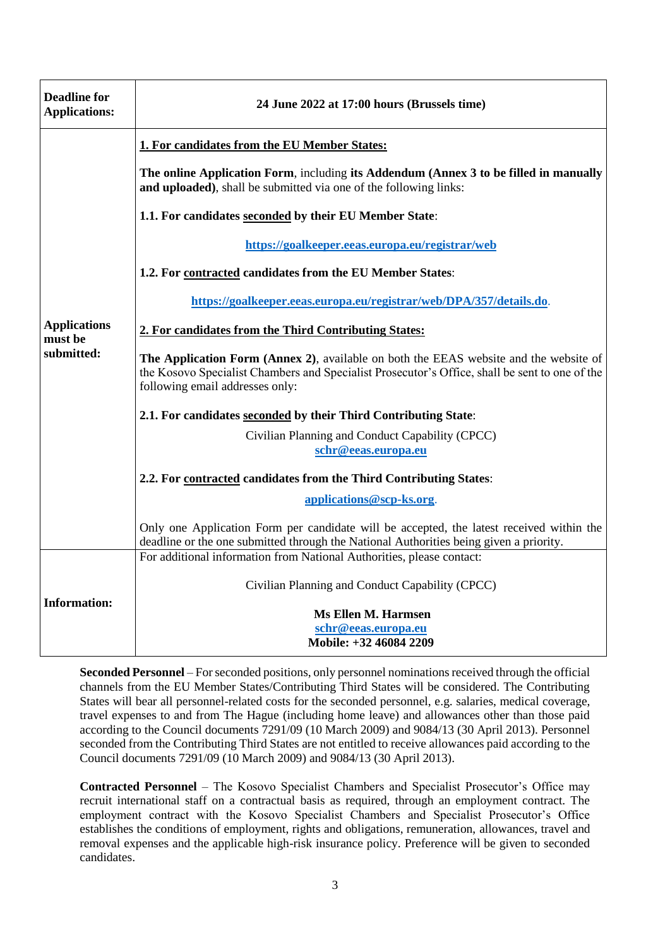| <b>Deadline for</b><br><b>Applications:</b> | 24 June 2022 at 17:00 hours (Brussels time)                                                                                                                                                                                |
|---------------------------------------------|----------------------------------------------------------------------------------------------------------------------------------------------------------------------------------------------------------------------------|
|                                             | 1. For candidates from the EU Member States:                                                                                                                                                                               |
|                                             | The online Application Form, including its Addendum (Annex 3 to be filled in manually<br>and uploaded), shall be submitted via one of the following links:                                                                 |
|                                             | 1.1. For candidates seconded by their EU Member State:                                                                                                                                                                     |
|                                             | https://goalkeeper.eeas.europa.eu/registrar/web                                                                                                                                                                            |
|                                             | 1.2. For contracted candidates from the EU Member States:                                                                                                                                                                  |
|                                             | https://goalkeeper.eeas.europa.eu/registrar/web/DPA/357/details.do.                                                                                                                                                        |
| <b>Applications</b><br>must be              | 2. For candidates from the Third Contributing States:                                                                                                                                                                      |
| submitted:                                  | The Application Form (Annex 2), available on both the EEAS website and the website of<br>the Kosovo Specialist Chambers and Specialist Prosecutor's Office, shall be sent to one of the<br>following email addresses only: |
|                                             | 2.1. For candidates seconded by their Third Contributing State:                                                                                                                                                            |
|                                             | Civilian Planning and Conduct Capability (CPCC)                                                                                                                                                                            |
|                                             | schr@eeas.europa.eu                                                                                                                                                                                                        |
|                                             | 2.2. For contracted candidates from the Third Contributing States:                                                                                                                                                         |
|                                             | applications@scp-ks.org.                                                                                                                                                                                                   |
|                                             | Only one Application Form per candidate will be accepted, the latest received within the<br>deadline or the one submitted through the National Authorities being given a priority.                                         |
|                                             | For additional information from National Authorities, please contact:                                                                                                                                                      |
|                                             | Civilian Planning and Conduct Capability (CPCC)                                                                                                                                                                            |
| <b>Information:</b>                         | <b>Ms Ellen M. Harmsen</b><br>schr@eeas.europa.eu<br>Mobile: +32 46084 2209                                                                                                                                                |

**Seconded Personnel** – For seconded positions, only personnel nominations received through the official channels from the EU Member States/Contributing Third States will be considered. The Contributing States will bear all personnel-related costs for the seconded personnel, e.g. salaries, medical coverage, travel expenses to and from The Hague (including home leave) and allowances other than those paid according to the Council documents 7291/09 (10 March 2009) and 9084/13 (30 April 2013). Personnel seconded from the Contributing Third States are not entitled to receive allowances paid according to the Council documents 7291/09 (10 March 2009) and 9084/13 (30 April 2013).

**Contracted Personnel** – The Kosovo Specialist Chambers and Specialist Prosecutor's Office may recruit international staff on a contractual basis as required, through an employment contract. The employment contract with the Kosovo Specialist Chambers and Specialist Prosecutor's Office establishes the conditions of employment, rights and obligations, remuneration, allowances, travel and removal expenses and the applicable high-risk insurance policy. Preference will be given to seconded candidates.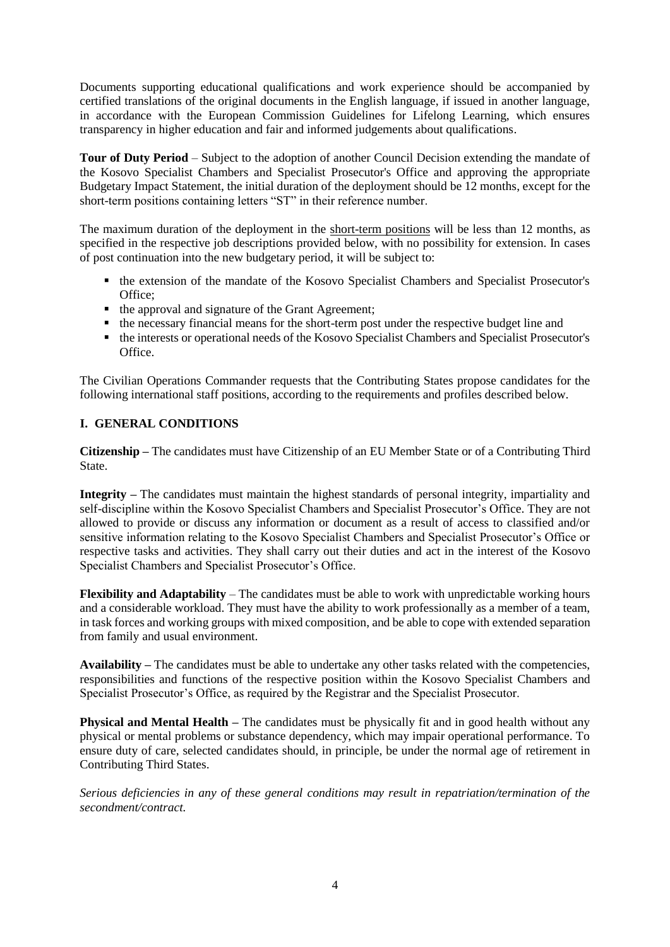Documents supporting educational qualifications and work experience should be accompanied by certified translations of the original documents in the English language, if issued in another language, in accordance with the European Commission Guidelines for Lifelong Learning, which ensures transparency in higher education and fair and informed judgements about qualifications.

**Tour of Duty Period** – Subject to the adoption of another Council Decision extending the mandate of the Kosovo Specialist Chambers and Specialist Prosecutor's Office and approving the appropriate Budgetary Impact Statement, the initial duration of the deployment should be 12 months, except for the short-term positions containing letters "ST" in their reference number.

The maximum duration of the deployment in the short-term positions will be less than 12 months, as specified in the respective job descriptions provided below, with no possibility for extension. In cases of post continuation into the new budgetary period, it will be subject to:

- the extension of the mandate of the Kosovo Specialist Chambers and Specialist Prosecutor's Office;
- the approval and signature of the Grant Agreement;
- the necessary financial means for the short-term post under the respective budget line and
- the interests or operational needs of the Kosovo Specialist Chambers and Specialist Prosecutor's Office.

The Civilian Operations Commander requests that the Contributing States propose candidates for the following international staff positions, according to the requirements and profiles described below.

# **I. GENERAL CONDITIONS**

**Citizenship –** The candidates must have Citizenship of an EU Member State or of a Contributing Third State.

**Integrity –** The candidates must maintain the highest standards of personal integrity, impartiality and self-discipline within the Kosovo Specialist Chambers and Specialist Prosecutor's Office. They are not allowed to provide or discuss any information or document as a result of access to classified and/or sensitive information relating to the Kosovo Specialist Chambers and Specialist Prosecutor's Office or respective tasks and activities. They shall carry out their duties and act in the interest of the Kosovo Specialist Chambers and Specialist Prosecutor's Office.

**Flexibility and Adaptability** – The candidates must be able to work with unpredictable working hours and a considerable workload. They must have the ability to work professionally as a member of a team, in task forces and working groups with mixed composition, and be able to cope with extended separation from family and usual environment.

**Availability –** The candidates must be able to undertake any other tasks related with the competencies, responsibilities and functions of the respective position within the Kosovo Specialist Chambers and Specialist Prosecutor's Office, as required by the Registrar and the Specialist Prosecutor.

**Physical and Mental Health** – The candidates must be physically fit and in good health without any physical or mental problems or substance dependency, which may impair operational performance. To ensure duty of care, selected candidates should, in principle, be under the normal age of retirement in Contributing Third States.

*Serious deficiencies in any of these general conditions may result in repatriation/termination of the secondment/contract.*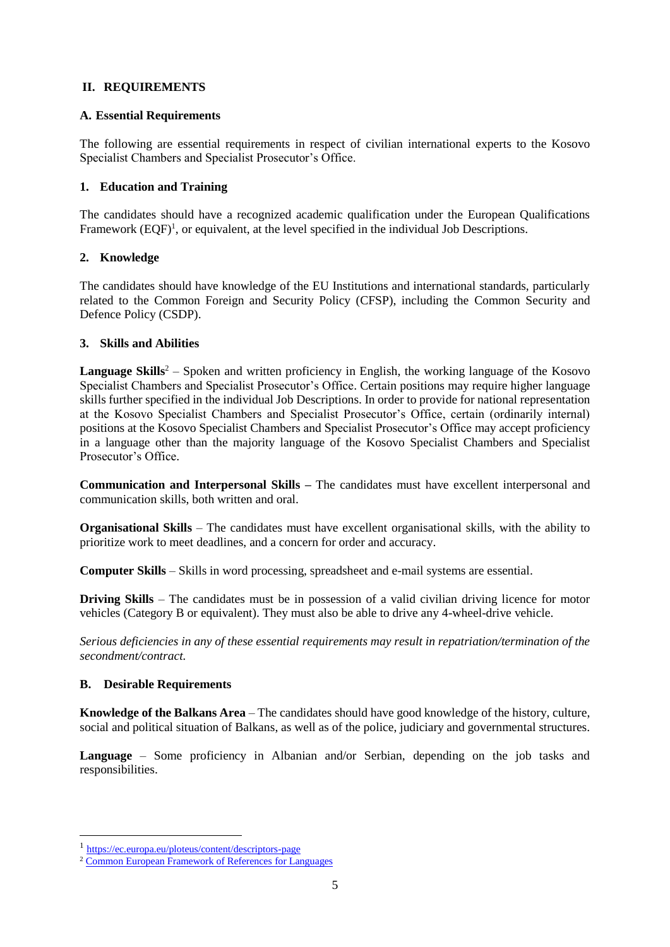# **II. REQUIREMENTS**

### **A. Essential Requirements**

The following are essential requirements in respect of civilian international experts to the Kosovo Specialist Chambers and Specialist Prosecutor's Office.

## **1. Education and Training**

The candidates should have a recognized academic qualification under the European Qualifications Framework (EQF)<sup>1</sup>, or equivalent, at the level specified in the individual Job Descriptions.

## **2. Knowledge**

The candidates should have knowledge of the EU Institutions and international standards, particularly related to the Common Foreign and Security Policy (CFSP), including the Common Security and Defence Policy (CSDP).

## **3. Skills and Abilities**

**Language Skills<sup>2</sup>** – Spoken and written proficiency in English, the working language of the Kosovo Specialist Chambers and Specialist Prosecutor's Office. Certain positions may require higher language skills further specified in the individual Job Descriptions. In order to provide for national representation at the Kosovo Specialist Chambers and Specialist Prosecutor's Office, certain (ordinarily internal) positions at the Kosovo Specialist Chambers and Specialist Prosecutor's Office may accept proficiency in a language other than the majority language of the Kosovo Specialist Chambers and Specialist Prosecutor's Office.

**Communication and Interpersonal Skills –** The candidates must have excellent interpersonal and communication skills, both written and oral.

**Organisational Skills** – The candidates must have excellent organisational skills, with the ability to prioritize work to meet deadlines, and a concern for order and accuracy.

**Computer Skills** – Skills in word processing, spreadsheet and e-mail systems are essential.

**Driving Skills** – The candidates must be in possession of a valid civilian driving licence for motor vehicles (Category B or equivalent). They must also be able to drive any 4-wheel-drive vehicle.

*Serious deficiencies in any of these essential requirements may result in repatriation/termination of the secondment/contract.*

### **B. Desirable Requirements**

l

**Knowledge of the Balkans Area** – The candidates should have good knowledge of the history, culture, social and political situation of Balkans, as well as of the police, judiciary and governmental structures.

**Language** – Some proficiency in Albanian and/or Serbian, depending on the job tasks and responsibilities.

<sup>&</sup>lt;sup>1</sup> https://ec.europa.eu/ploteus/content/descriptors-page

<sup>2</sup> [Common European Framework of References](http://europass.cedefop.europa.eu/en/resources/european-language-levels-cefr) for Languages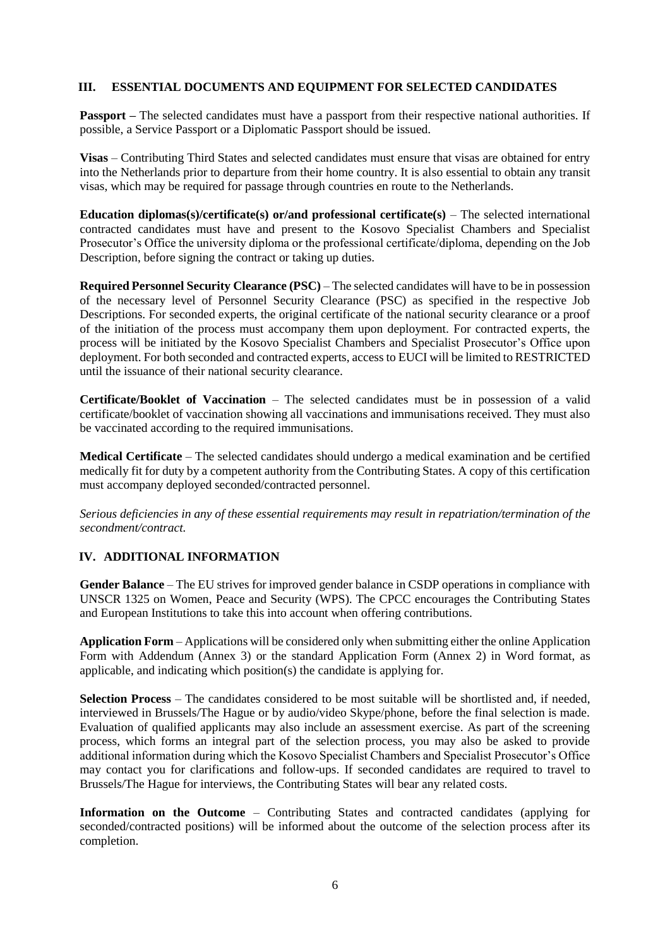### **III. ESSENTIAL DOCUMENTS AND EQUIPMENT FOR SELECTED CANDIDATES**

**Passport** – The selected candidates must have a passport from their respective national authorities. If possible, a Service Passport or a Diplomatic Passport should be issued.

**Visas** – Contributing Third States and selected candidates must ensure that visas are obtained for entry into the Netherlands prior to departure from their home country. It is also essential to obtain any transit visas, which may be required for passage through countries en route to the Netherlands.

**Education diplomas(s)/certificate(s) or/and professional certificate(s)** – The selected international contracted candidates must have and present to the Kosovo Specialist Chambers and Specialist Prosecutor's Office the university diploma or the professional certificate/diploma, depending on the Job Description, before signing the contract or taking up duties.

**Required Personnel Security Clearance (PSC)** – The selected candidates will have to be in possession of the necessary level of Personnel Security Clearance (PSC) as specified in the respective Job Descriptions. For seconded experts, the original certificate of the national security clearance or a proof of the initiation of the process must accompany them upon deployment. For contracted experts, the process will be initiated by the Kosovo Specialist Chambers and Specialist Prosecutor's Office upon deployment. For both seconded and contracted experts, access to EUCI will be limited to RESTRICTED until the issuance of their national security clearance.

**Certificate/Booklet of Vaccination** – The selected candidates must be in possession of a valid certificate/booklet of vaccination showing all vaccinations and immunisations received. They must also be vaccinated according to the required immunisations.

**Medical Certificate** – The selected candidates should undergo a medical examination and be certified medically fit for duty by a competent authority from the Contributing States. A copy of this certification must accompany deployed seconded/contracted personnel.

*Serious deficiencies in any of these essential requirements may result in repatriation/termination of the secondment/contract.*

# **IV. ADDITIONAL INFORMATION**

**Gender Balance** – The EU strives for improved gender balance in CSDP operations in compliance with UNSCR 1325 on Women, Peace and Security (WPS). The CPCC encourages the Contributing States and European Institutions to take this into account when offering contributions.

**Application Form** – Applications will be considered only when submitting either the online Application Form with Addendum (Annex 3) or the standard Application Form (Annex 2) in Word format, as applicable, and indicating which position(s) the candidate is applying for.

**Selection Process** – The candidates considered to be most suitable will be shortlisted and, if needed, interviewed in Brussels/The Hague or by audio/video Skype/phone, before the final selection is made. Evaluation of qualified applicants may also include an assessment exercise. As part of the screening process, which forms an integral part of the selection process, you may also be asked to provide additional information during which the Kosovo Specialist Chambers and Specialist Prosecutor's Office may contact you for clarifications and follow-ups. If seconded candidates are required to travel to Brussels/The Hague for interviews, the Contributing States will bear any related costs.

**Information on the Outcome** – Contributing States and contracted candidates (applying for seconded/contracted positions) will be informed about the outcome of the selection process after its completion.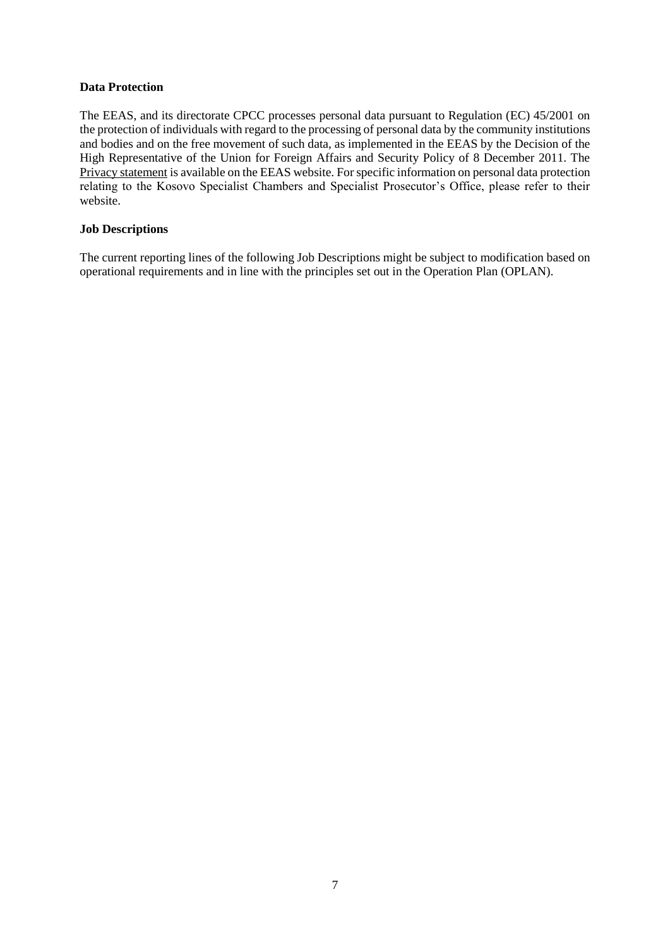### **Data Protection**

The EEAS, and its directorate CPCC processes personal data pursuant to Regulation (EC) 45/2001 on the protection of individuals with regard to the processing of personal data by the community institutions and bodies and on the free movement of such data, as implemented in the EEAS by the Decision of the High Representative of the Union for Foreign Affairs and Security Policy of 8 December 2011. The Privacy statement is available on the EEAS website. For specific information on personal data protection relating to the Kosovo Specialist Chambers and Specialist Prosecutor's Office, please refer to their website.

## **Job Descriptions**

The current reporting lines of the following Job Descriptions might be subject to modification based on operational requirements and in line with the principles set out in the Operation Plan (OPLAN).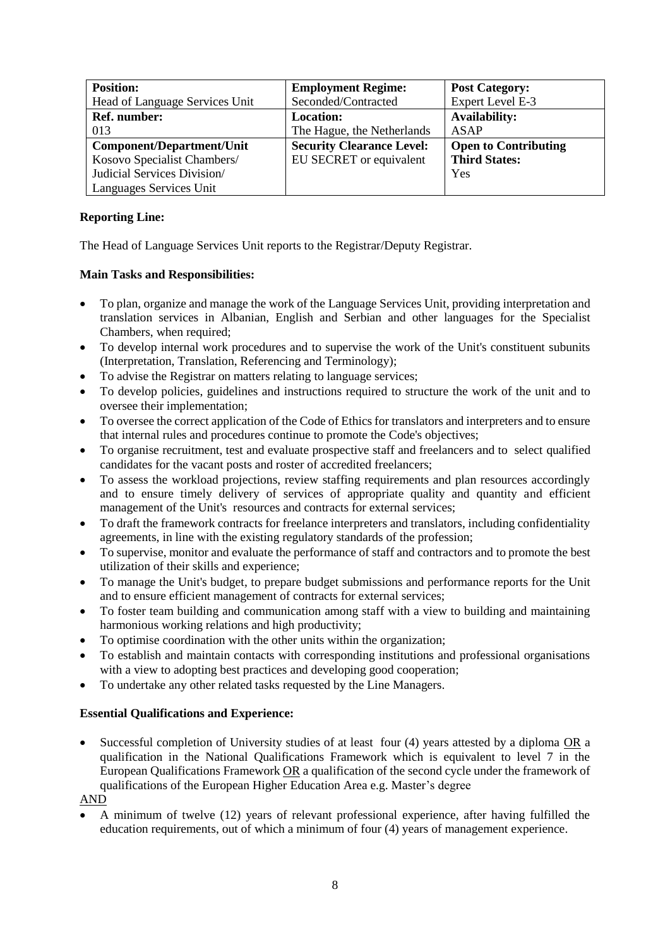| <b>Position:</b>                 | <b>Employment Regime:</b>        | <b>Post Category:</b>       |
|----------------------------------|----------------------------------|-----------------------------|
| Head of Language Services Unit   | Seconded/Contracted              | Expert Level E-3            |
| Ref. number:                     | <b>Location:</b>                 | <b>Availability:</b>        |
| 013                              | The Hague, the Netherlands       | ASAP                        |
| <b>Component/Department/Unit</b> | <b>Security Clearance Level:</b> | <b>Open to Contributing</b> |
| Kosovo Specialist Chambers/      | EU SECRET or equivalent          | <b>Third States:</b>        |
| Judicial Services Division/      |                                  | Yes                         |
| Languages Services Unit          |                                  |                             |

The Head of Language Services Unit reports to the Registrar/Deputy Registrar.

## **Main Tasks and Responsibilities:**

- To plan, organize and manage the work of the Language Services Unit, providing interpretation and translation services in Albanian, English and Serbian and other languages for the Specialist Chambers, when required;
- To develop internal work procedures and to supervise the work of the Unit's constituent subunits (Interpretation, Translation, Referencing and Terminology);
- To advise the Registrar on matters relating to language services;
- To develop policies, guidelines and instructions required to structure the work of the unit and to oversee their implementation;
- To oversee the correct application of the Code of Ethics for translators and interpreters and to ensure that internal rules and procedures continue to promote the Code's objectives;
- To organise recruitment, test and evaluate prospective staff and freelancers and to select qualified candidates for the vacant posts and roster of accredited freelancers;
- To assess the workload projections, review staffing requirements and plan resources accordingly and to ensure timely delivery of services of appropriate quality and quantity and efficient management of the Unit's resources and contracts for external services;
- To draft the framework contracts for freelance interpreters and translators, including confidentiality agreements, in line with the existing regulatory standards of the profession;
- To supervise, monitor and evaluate the performance of staff and contractors and to promote the best utilization of their skills and experience;
- To manage the Unit's budget, to prepare budget submissions and performance reports for the Unit and to ensure efficient management of contracts for external services;
- To foster team building and communication among staff with a view to building and maintaining harmonious working relations and high productivity;
- To optimise coordination with the other units within the organization;
- To establish and maintain contacts with corresponding institutions and professional organisations with a view to adopting best practices and developing good cooperation;
- To undertake any other related tasks requested by the Line Managers.

# **Essential Qualifications and Experience:**

 Successful completion of University studies of at least four (4) years attested by a diploma OR a qualification in the National Qualifications Framework which is equivalent to level 7 in the European Qualifications Framework OR a qualification of the second cycle under the framework of qualifications of the European Higher Education Area e.g. Master's degree

AND

 A minimum of twelve (12) years of relevant professional experience, after having fulfilled the education requirements, out of which a minimum of four (4) years of management experience.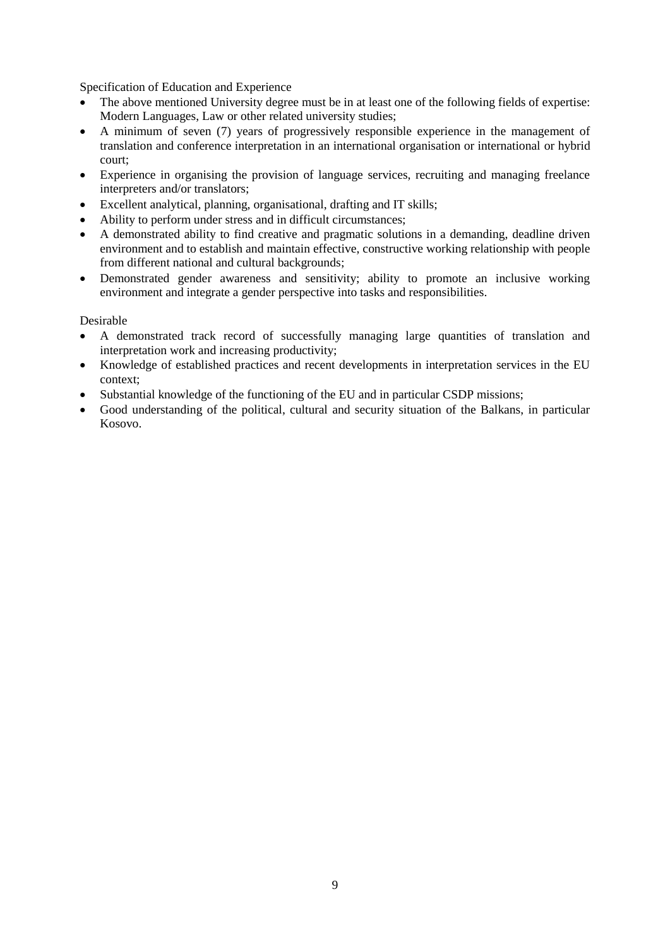Specification of Education and Experience

- The above mentioned University degree must be in at least one of the following fields of expertise: Modern Languages, Law or other related university studies;
- A minimum of seven (7) years of progressively responsible experience in the management of translation and conference interpretation in an international organisation or international or hybrid court;
- Experience in organising the provision of language services, recruiting and managing freelance interpreters and/or translators;
- Excellent analytical, planning, organisational, drafting and IT skills;
- Ability to perform under stress and in difficult circumstances;
- A demonstrated ability to find creative and pragmatic solutions in a demanding, deadline driven environment and to establish and maintain effective, constructive working relationship with people from different national and cultural backgrounds;
- Demonstrated gender awareness and sensitivity; ability to promote an inclusive working environment and integrate a gender perspective into tasks and responsibilities.

- A demonstrated track record of successfully managing large quantities of translation and interpretation work and increasing productivity;
- Knowledge of established practices and recent developments in interpretation services in the EU context;
- Substantial knowledge of the functioning of the EU and in particular CSDP missions;
- Good understanding of the political, cultural and security situation of the Balkans, in particular Kosovo.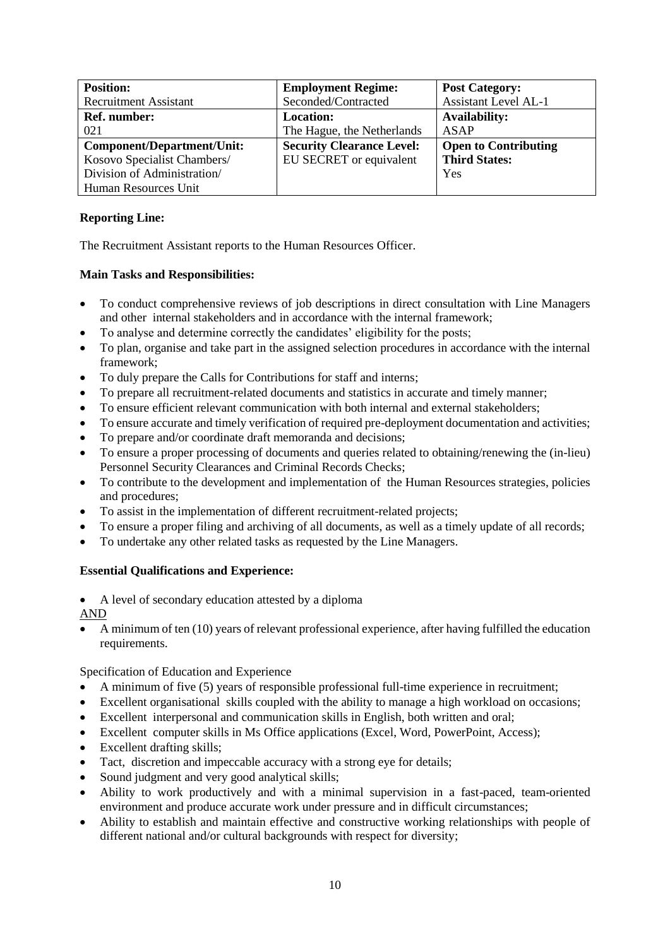| <b>Position:</b>                  | <b>Employment Regime:</b>        | <b>Post Category:</b>       |
|-----------------------------------|----------------------------------|-----------------------------|
| <b>Recruitment Assistant</b>      | Seconded/Contracted              | <b>Assistant Level AL-1</b> |
| Ref. number:                      | Location:                        | <b>Availability:</b>        |
| 021                               | The Hague, the Netherlands       | ASAP                        |
| <b>Component/Department/Unit:</b> | <b>Security Clearance Level:</b> | <b>Open to Contributing</b> |
| Kosovo Specialist Chambers/       | EU SECRET or equivalent          | <b>Third States:</b>        |
| Division of Administration/       |                                  | Yes                         |
| Human Resources Unit              |                                  |                             |

The Recruitment Assistant reports to the Human Resources Officer.

# **Main Tasks and Responsibilities:**

- To conduct comprehensive reviews of job descriptions in direct consultation with Line Managers and other internal stakeholders and in accordance with the internal framework;
- To analyse and determine correctly the candidates' eligibility for the posts;
- To plan, organise and take part in the assigned selection procedures in accordance with the internal framework;
- To duly prepare the Calls for Contributions for staff and interns;
- To prepare all recruitment-related documents and statistics in accurate and timely manner;
- To ensure efficient relevant communication with both internal and external stakeholders;
- To ensure accurate and timely verification of required pre-deployment documentation and activities;
- To prepare and/or coordinate draft memoranda and decisions;
- To ensure a proper processing of documents and queries related to obtaining/renewing the (in-lieu) Personnel Security Clearances and Criminal Records Checks;
- To contribute to the development and implementation of the Human Resources strategies, policies and procedures;
- To assist in the implementation of different recruitment-related projects;
- To ensure a proper filing and archiving of all documents, as well as a timely update of all records;
- To undertake any other related tasks as requested by the Line Managers.

# **Essential Qualifications and Experience:**

A level of secondary education attested by a diploma

AND

 A minimum of ten (10) years of relevant professional experience, after having fulfilled the education requirements.

- A minimum of five (5) years of responsible professional full-time experience in recruitment;
- Excellent organisational skills coupled with the ability to manage a high workload on occasions;
- Excellent interpersonal and communication skills in English, both written and oral;
- Excellent computer skills in Ms Office applications (Excel, Word, PowerPoint, Access);
- Excellent drafting skills;
- Tact, discretion and impeccable accuracy with a strong eye for details;
- Sound judgment and very good analytical skills;
- Ability to work productively and with a minimal supervision in a fast-paced, team-oriented environment and produce accurate work under pressure and in difficult circumstances;
- Ability to establish and maintain effective and constructive working relationships with people of different national and/or cultural backgrounds with respect for diversity;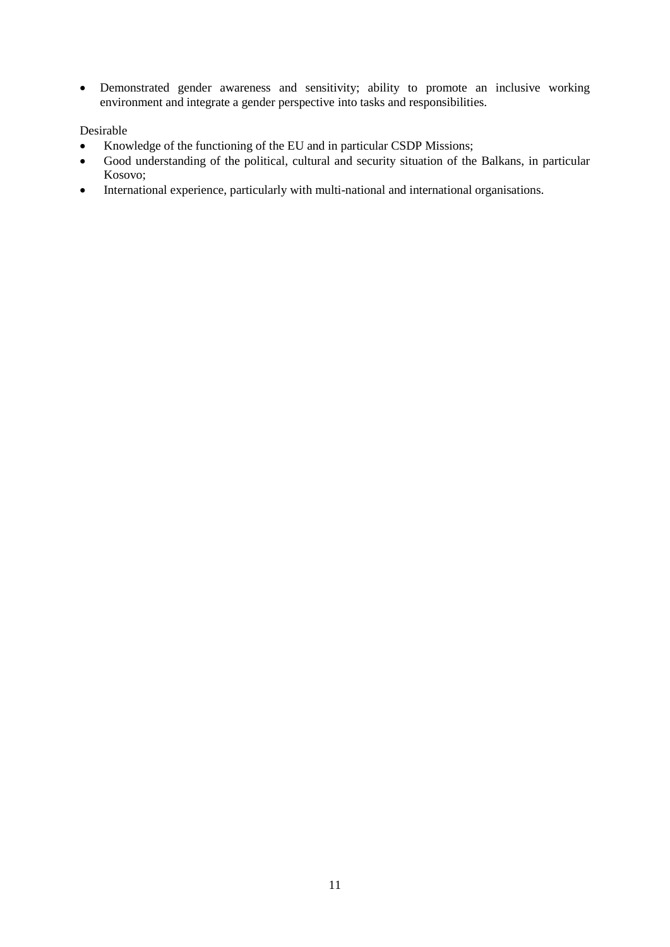Demonstrated gender awareness and sensitivity; ability to promote an inclusive working environment and integrate a gender perspective into tasks and responsibilities.

- Knowledge of the functioning of the EU and in particular CSDP Missions;
- Good understanding of the political, cultural and security situation of the Balkans, in particular Kosovo;
- International experience, particularly with multi-national and international organisations.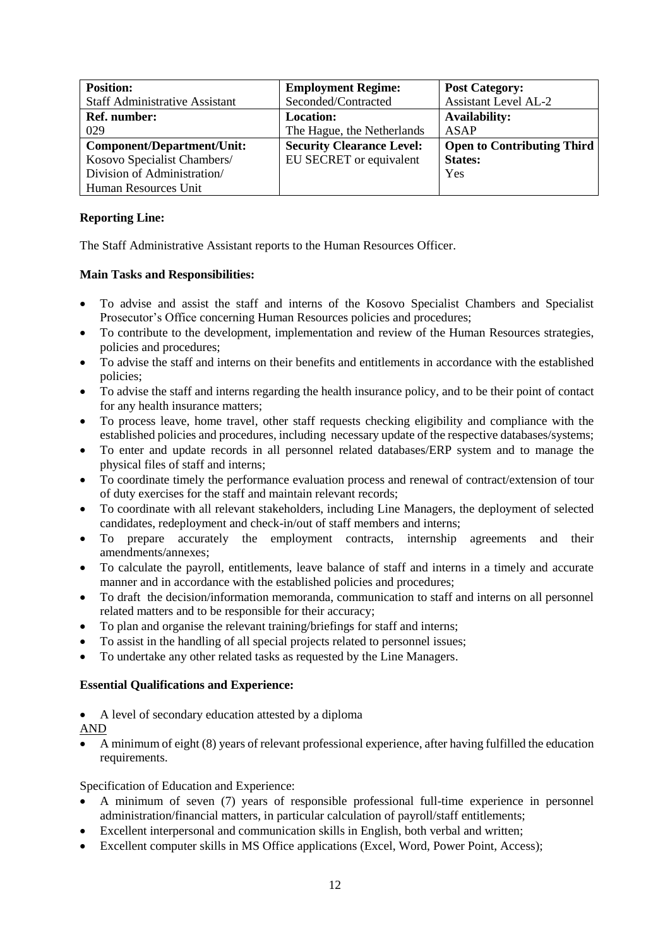| <b>Position:</b>                      | <b>Employment Regime:</b>        | <b>Post Category:</b>             |
|---------------------------------------|----------------------------------|-----------------------------------|
| <b>Staff Administrative Assistant</b> | Seconded/Contracted              | <b>Assistant Level AL-2</b>       |
| <b>Ref.</b> number:                   | <b>Location:</b>                 | <b>Availability:</b>              |
| 029                                   | The Hague, the Netherlands       | ASAP                              |
| Component/Department/Unit:            | <b>Security Clearance Level:</b> | <b>Open to Contributing Third</b> |
| Kosovo Specialist Chambers/           | EU SECRET or equivalent          | <b>States:</b>                    |
| Division of Administration/           |                                  | Yes                               |
| Human Resources Unit                  |                                  |                                   |

The Staff Administrative Assistant reports to the Human Resources Officer.

# **Main Tasks and Responsibilities:**

- To advise and assist the staff and interns of the Kosovo Specialist Chambers and Specialist Prosecutor's Office concerning Human Resources policies and procedures;
- To contribute to the development, implementation and review of the Human Resources strategies, policies and procedures;
- To advise the staff and interns on their benefits and entitlements in accordance with the established policies;
- To advise the staff and interns regarding the health insurance policy, and to be their point of contact for any health insurance matters;
- To process leave, home travel, other staff requests checking eligibility and compliance with the established policies and procedures, including necessary update of the respective databases/systems;
- To enter and update records in all personnel related databases/ERP system and to manage the physical files of staff and interns;
- To coordinate timely the performance evaluation process and renewal of contract/extension of tour of duty exercises for the staff and maintain relevant records;
- To coordinate with all relevant stakeholders, including Line Managers, the deployment of selected candidates, redeployment and check-in/out of staff members and interns;
- To prepare accurately the employment contracts, internship agreements and their amendments/annexes;
- To calculate the payroll, entitlements, leave balance of staff and interns in a timely and accurate manner and in accordance with the established policies and procedures;
- To draft the decision/information memoranda, communication to staff and interns on all personnel related matters and to be responsible for their accuracy;
- To plan and organise the relevant training/briefings for staff and interns;
- To assist in the handling of all special projects related to personnel issues;
- To undertake any other related tasks as requested by the Line Managers.

# **Essential Qualifications and Experience:**

- A level of secondary education attested by a diploma
- AND
- A minimum of eight (8) years of relevant professional experience, after having fulfilled the education requirements.

- A minimum of seven (7) years of responsible professional full-time experience in personnel administration/financial matters, in particular calculation of payroll/staff entitlements;
- Excellent interpersonal and communication skills in English, both verbal and written;
- Excellent computer skills in MS Office applications (Excel, Word, Power Point, Access);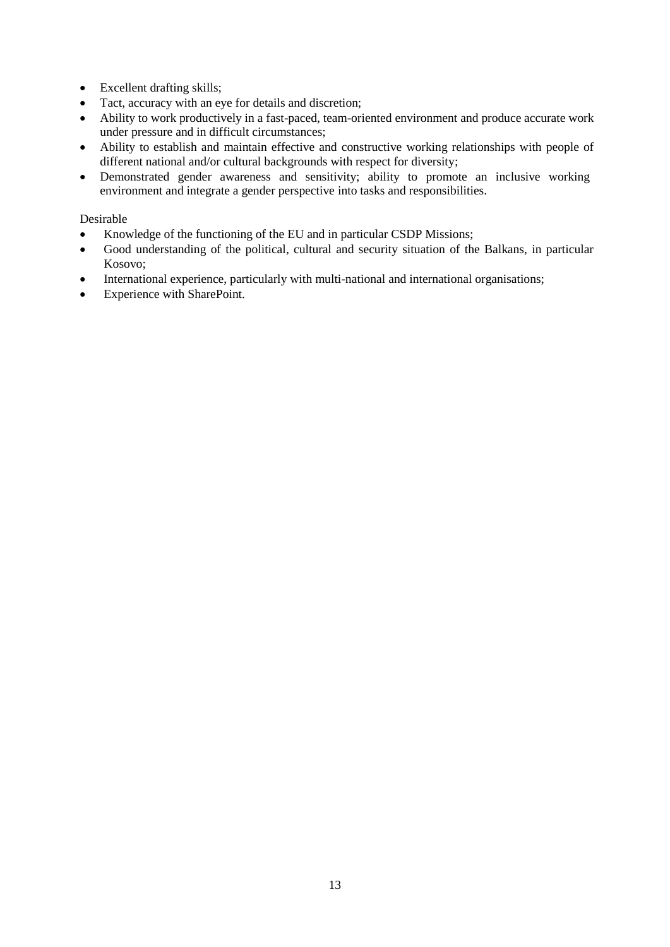- Excellent drafting skills;
- Tact, accuracy with an eye for details and discretion;
- Ability to work productively in a fast-paced, team-oriented environment and produce accurate work under pressure and in difficult circumstances;
- Ability to establish and maintain effective and constructive working relationships with people of different national and/or cultural backgrounds with respect for diversity;
- Demonstrated gender awareness and sensitivity; ability to promote an inclusive working environment and integrate a gender perspective into tasks and responsibilities.

- Knowledge of the functioning of the EU and in particular CSDP Missions;
- Good understanding of the political, cultural and security situation of the Balkans, in particular Kosovo;
- International experience, particularly with multi-national and international organisations;
- Experience with SharePoint.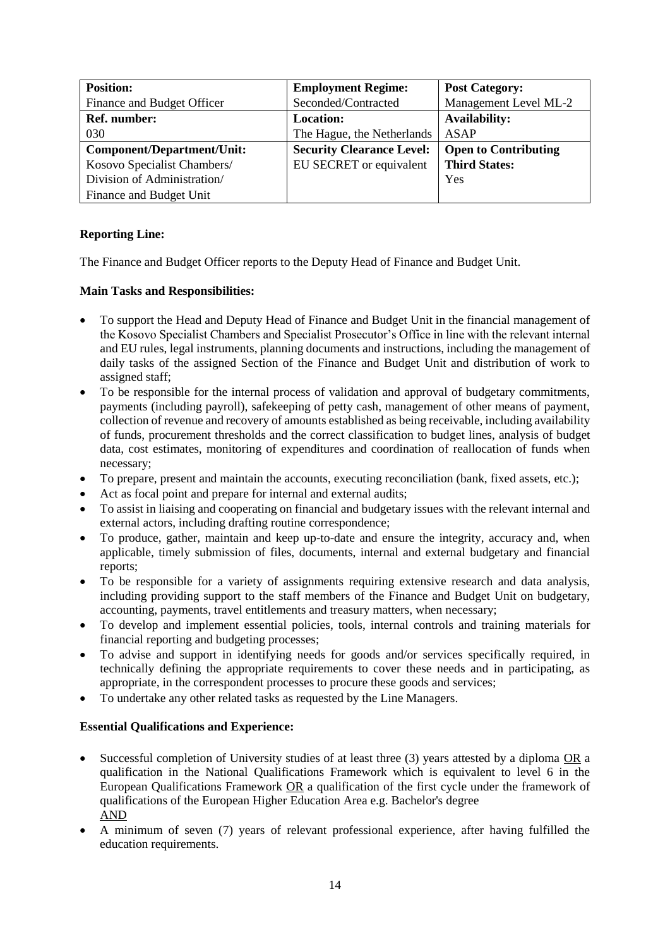| <b>Position:</b>            | <b>Employment Regime:</b>        | <b>Post Category:</b>       |
|-----------------------------|----------------------------------|-----------------------------|
| Finance and Budget Officer  | Seconded/Contracted              | Management Level ML-2       |
| Ref. number:                | <b>Location:</b>                 | <b>Availability:</b>        |
| 030                         | The Hague, the Netherlands       | ASAP                        |
| Component/Department/Unit:  | <b>Security Clearance Level:</b> | <b>Open to Contributing</b> |
| Kosovo Specialist Chambers/ | EU SECRET or equivalent          | <b>Third States:</b>        |
| Division of Administration/ |                                  | Yes                         |
| Finance and Budget Unit     |                                  |                             |

The Finance and Budget Officer reports to the Deputy Head of Finance and Budget Unit.

# **Main Tasks and Responsibilities:**

- To support the Head and Deputy Head of Finance and Budget Unit in the financial management of the Kosovo Specialist Chambers and Specialist Prosecutor's Office in line with the relevant internal and EU rules, legal instruments, planning documents and instructions, including the management of daily tasks of the assigned Section of the Finance and Budget Unit and distribution of work to assigned staff;
- To be responsible for the internal process of validation and approval of budgetary commitments, payments (including payroll), safekeeping of petty cash, management of other means of payment, collection of revenue and recovery of amounts established as being receivable, including availability of funds, procurement thresholds and the correct classification to budget lines, analysis of budget data, cost estimates, monitoring of expenditures and coordination of reallocation of funds when necessary;
- To prepare, present and maintain the accounts, executing reconciliation (bank, fixed assets, etc.);
- Act as focal point and prepare for internal and external audits;
- To assist in liaising and cooperating on financial and budgetary issues with the relevant internal and external actors, including drafting routine correspondence;
- To produce, gather, maintain and keep up-to-date and ensure the integrity, accuracy and, when applicable, timely submission of files, documents, internal and external budgetary and financial reports;
- To be responsible for a variety of assignments requiring extensive research and data analysis, including providing support to the staff members of the Finance and Budget Unit on budgetary, accounting, payments, travel entitlements and treasury matters, when necessary;
- To develop and implement essential policies, tools, internal controls and training materials for financial reporting and budgeting processes;
- To advise and support in identifying needs for goods and/or services specifically required, in technically defining the appropriate requirements to cover these needs and in participating, as appropriate, in the correspondent processes to procure these goods and services;
- To undertake any other related tasks as requested by the Line Managers.

# **Essential Qualifications and Experience:**

- Successful completion of University studies of at least three (3) years attested by a diploma OR a qualification in the National Qualifications Framework which is equivalent to level 6 in the European Qualifications Framework OR a qualification of the first cycle under the framework of qualifications of the European Higher Education Area e.g. Bachelor's degree AND
- A minimum of seven (7) years of relevant professional experience, after having fulfilled the education requirements.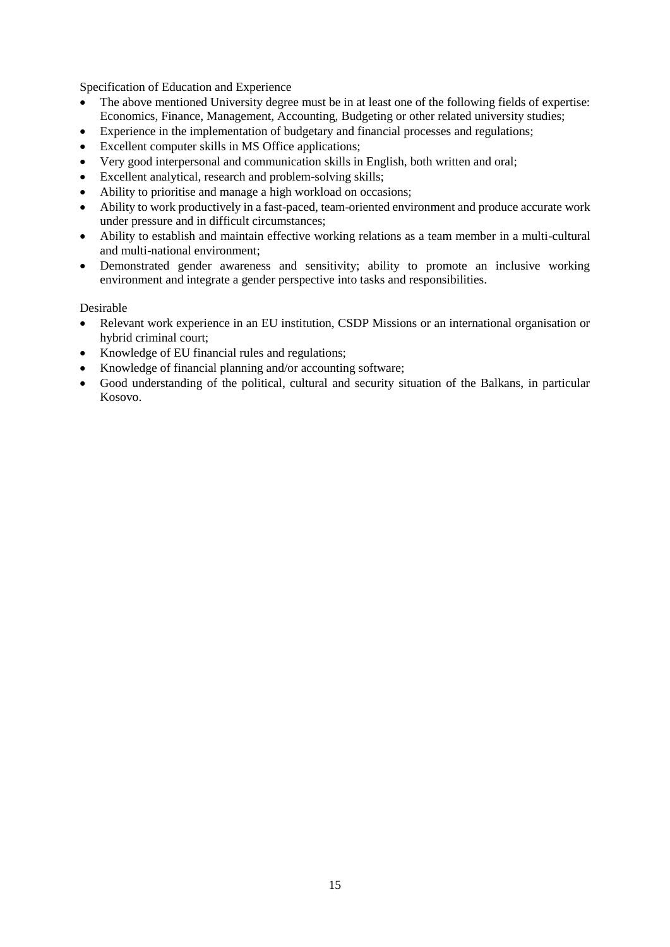Specification of Education and Experience

- The above mentioned University degree must be in at least one of the following fields of expertise: Economics, Finance, Management, Accounting, Budgeting or other related university studies;
- Experience in the implementation of budgetary and financial processes and regulations;
- Excellent computer skills in MS Office applications;
- Very good interpersonal and communication skills in English, both written and oral;
- Excellent analytical, research and problem-solving skills;
- Ability to prioritise and manage a high workload on occasions;
- Ability to work productively in a fast-paced, team-oriented environment and produce accurate work under pressure and in difficult circumstances;
- Ability to establish and maintain effective working relations as a team member in a multi-cultural and multi-national environment;
- Demonstrated gender awareness and sensitivity; ability to promote an inclusive working environment and integrate a gender perspective into tasks and responsibilities.

- Relevant work experience in an EU institution, CSDP Missions or an international organisation or hybrid criminal court;
- Knowledge of EU financial rules and regulations;
- Knowledge of financial planning and/or accounting software;
- Good understanding of the political, cultural and security situation of the Balkans, in particular Kosovo.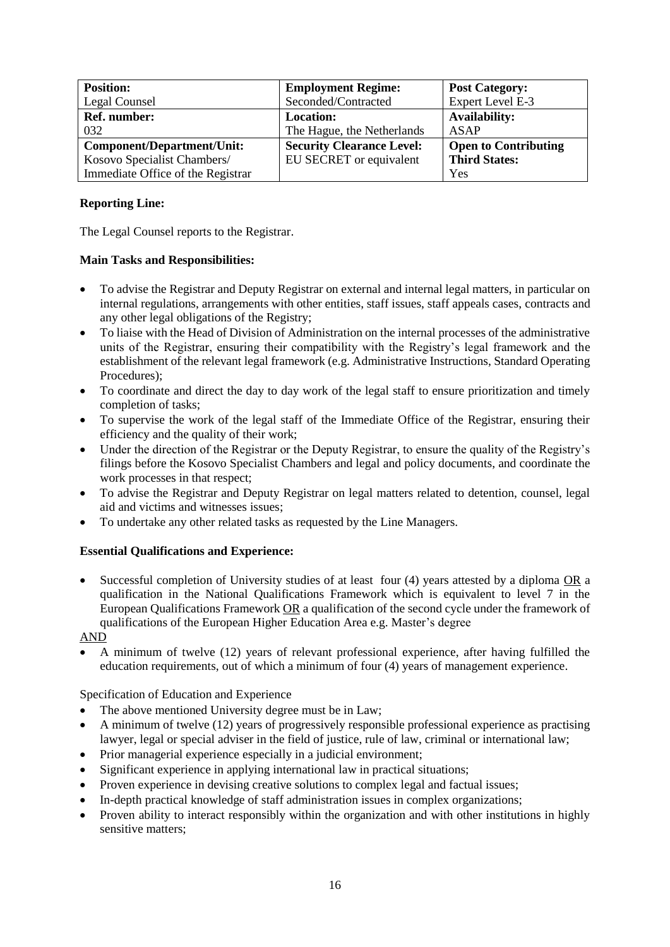| <b>Position:</b>                  | <b>Employment Regime:</b>        | <b>Post Category:</b>       |
|-----------------------------------|----------------------------------|-----------------------------|
| Legal Counsel                     | Seconded/Contracted              | Expert Level E-3            |
| <b>Ref.</b> number:               | <b>Location:</b>                 | <b>Availability:</b>        |
| 032                               | The Hague, the Netherlands       | ASAP                        |
| <b>Component/Department/Unit:</b> | <b>Security Clearance Level:</b> | <b>Open to Contributing</b> |
| Kosovo Specialist Chambers/       | EU SECRET or equivalent          | <b>Third States:</b>        |
| Immediate Office of the Registrar |                                  | Yes                         |

The Legal Counsel reports to the Registrar.

# **Main Tasks and Responsibilities:**

- To advise the Registrar and Deputy Registrar on external and internal legal matters, in particular on internal regulations, arrangements with other entities, staff issues, staff appeals cases, contracts and any other legal obligations of the Registry;
- To liaise with the Head of Division of Administration on the internal processes of the administrative units of the Registrar, ensuring their compatibility with the Registry's legal framework and the establishment of the relevant legal framework (e.g. Administrative Instructions, Standard Operating Procedures);
- To coordinate and direct the day to day work of the legal staff to ensure prioritization and timely completion of tasks;
- To supervise the work of the legal staff of the Immediate Office of the Registrar, ensuring their efficiency and the quality of their work;
- Under the direction of the Registrar or the Deputy Registrar, to ensure the quality of the Registry's filings before the Kosovo Specialist Chambers and legal and policy documents, and coordinate the work processes in that respect;
- To advise the Registrar and Deputy Registrar on legal matters related to detention, counsel, legal aid and victims and witnesses issues;
- To undertake any other related tasks as requested by the Line Managers.

# **Essential Qualifications and Experience:**

 Successful completion of University studies of at least four (4) years attested by a diploma OR a qualification in the National Qualifications Framework which is equivalent to level 7 in the European Qualifications Framework OR a qualification of the second cycle under the framework of qualifications of the European Higher Education Area e.g. Master's degree

# AND

 A minimum of twelve (12) years of relevant professional experience, after having fulfilled the education requirements, out of which a minimum of four (4) years of management experience.

- The above mentioned University degree must be in Law;
- A minimum of twelve (12) years of progressively responsible professional experience as practising lawyer, legal or special adviser in the field of justice, rule of law, criminal or international law;
- Prior managerial experience especially in a judicial environment;
- Significant experience in applying international law in practical situations;
- Proven experience in devising creative solutions to complex legal and factual issues;
- In-depth practical knowledge of staff administration issues in complex organizations;
- Proven ability to interact responsibly within the organization and with other institutions in highly sensitive matters;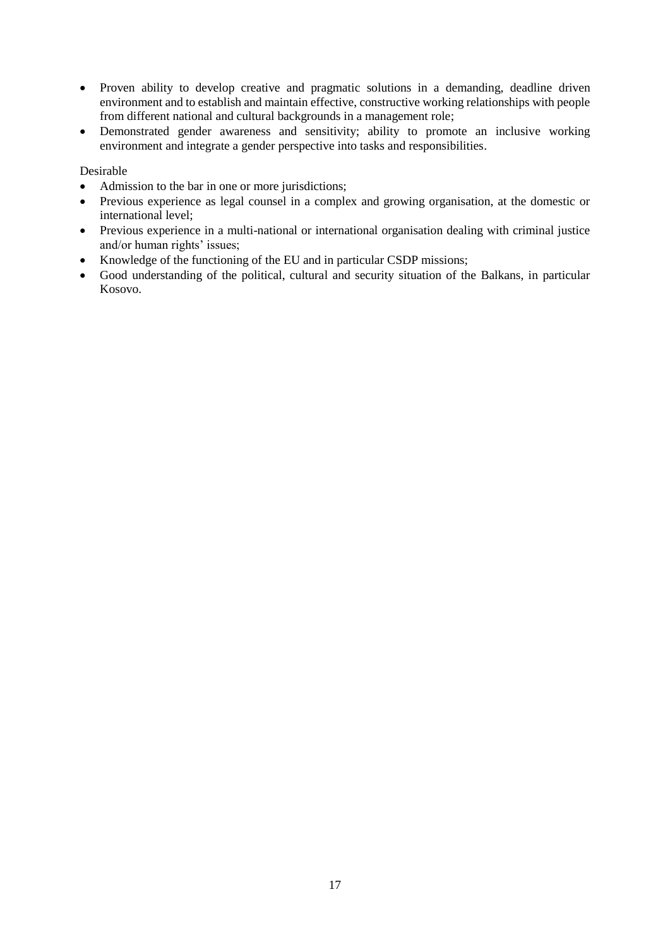- Proven ability to develop creative and pragmatic solutions in a demanding, deadline driven environment and to establish and maintain effective, constructive working relationships with people from different national and cultural backgrounds in a management role;
- Demonstrated gender awareness and sensitivity; ability to promote an inclusive working environment and integrate a gender perspective into tasks and responsibilities.

- Admission to the bar in one or more jurisdictions;
- Previous experience as legal counsel in a complex and growing organisation, at the domestic or international level;
- Previous experience in a multi-national or international organisation dealing with criminal justice and/or human rights' issues;
- Knowledge of the functioning of the EU and in particular CSDP missions;
- Good understanding of the political, cultural and security situation of the Balkans, in particular Kosovo.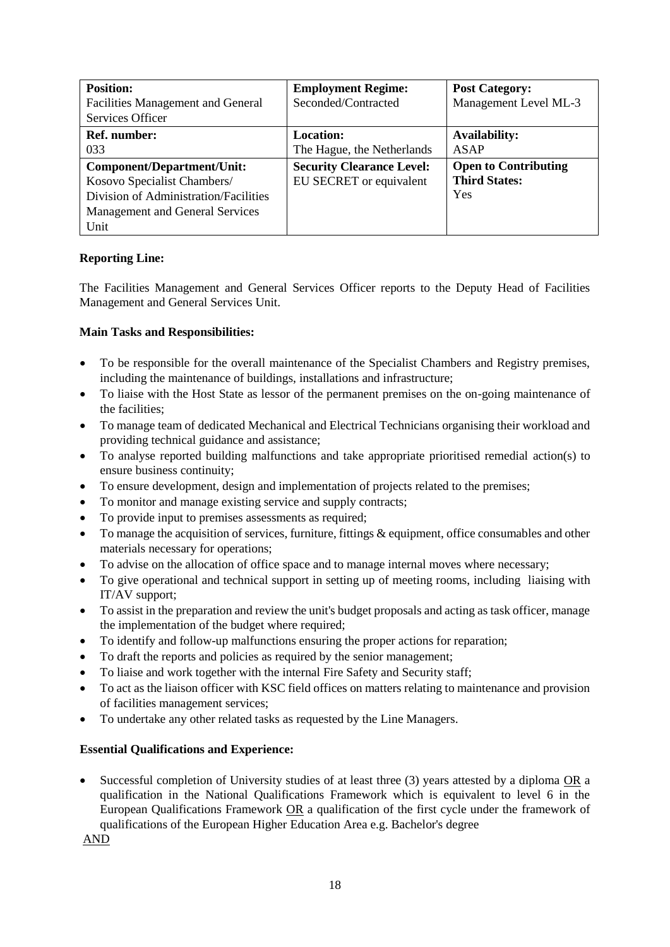| <b>Position:</b>                         | <b>Employment Regime:</b>        | <b>Post Category:</b>       |
|------------------------------------------|----------------------------------|-----------------------------|
| <b>Facilities Management and General</b> | Seconded/Contracted              | Management Level ML-3       |
| Services Officer                         |                                  |                             |
| <b>Ref.</b> number:                      | <b>Location:</b>                 | <b>Availability:</b>        |
| 033                                      | The Hague, the Netherlands       | ASAP                        |
| Component/Department/Unit:               | <b>Security Clearance Level:</b> | <b>Open to Contributing</b> |
| Kosovo Specialist Chambers/              | EU SECRET or equivalent          | <b>Third States:</b>        |
| Division of Administration/Facilities    |                                  | Yes                         |
| Management and General Services          |                                  |                             |
| Unit                                     |                                  |                             |

The Facilities Management and General Services Officer reports to the Deputy Head of Facilities Management and General Services Unit.

# **Main Tasks and Responsibilities:**

- To be responsible for the overall maintenance of the Specialist Chambers and Registry premises, including the maintenance of buildings, installations and infrastructure;
- To liaise with the Host State as lessor of the permanent premises on the on-going maintenance of the facilities;
- To manage team of dedicated Mechanical and Electrical Technicians organising their workload and providing technical guidance and assistance;
- To analyse reported building malfunctions and take appropriate prioritised remedial action(s) to ensure business continuity;
- To ensure development, design and implementation of projects related to the premises;
- To monitor and manage existing service and supply contracts;
- To provide input to premises assessments as required;
- To manage the acquisition of services, furniture, fittings & equipment, office consumables and other materials necessary for operations;
- To advise on the allocation of office space and to manage internal moves where necessary;
- To give operational and technical support in setting up of meeting rooms, including liaising with IT/AV support;
- To assist in the preparation and review the unit's budget proposals and acting as task officer, manage the implementation of the budget where required;
- To identify and follow-up malfunctions ensuring the proper actions for reparation;
- To draft the reports and policies as required by the senior management;
- To liaise and work together with the internal Fire Safety and Security staff;
- To act as the liaison officer with KSC field offices on matters relating to maintenance and provision of facilities management services;
- To undertake any other related tasks as requested by the Line Managers.

### **Essential Qualifications and Experience:**

 Successful completion of University studies of at least three (3) years attested by a diploma OR a qualification in the National Qualifications Framework which is equivalent to level 6 in the European Qualifications Framework OR a qualification of the first cycle under the framework of qualifications of the European Higher Education Area e.g. Bachelor's degree

AND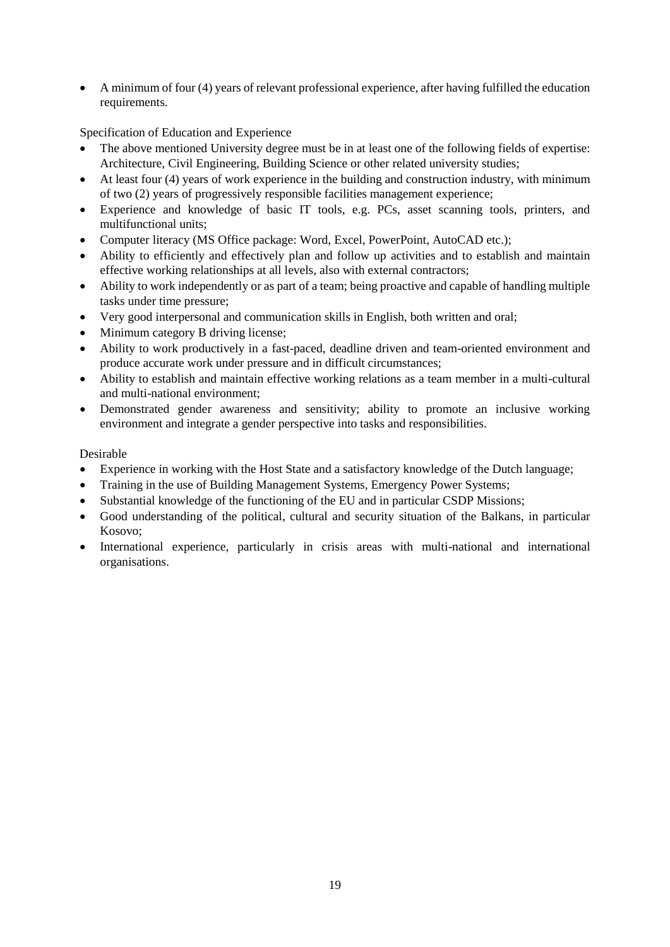A minimum of four (4) years of relevant professional experience, after having fulfilled the education requirements.

Specification of Education and Experience

- The above mentioned University degree must be in at least one of the following fields of expertise: Architecture, Civil Engineering, Building Science or other related university studies;
- At least four (4) years of work experience in the building and construction industry, with minimum of two (2) years of progressively responsible facilities management experience;
- Experience and knowledge of basic IT tools, e.g. PCs, asset scanning tools, printers, and multifunctional units;
- Computer literacy (MS Office package: Word, Excel, PowerPoint, AutoCAD etc.);
- Ability to efficiently and effectively plan and follow up activities and to establish and maintain effective working relationships at all levels, also with external contractors;
- Ability to work independently or as part of a team; being proactive and capable of handling multiple tasks under time pressure;
- Very good interpersonal and communication skills in English, both written and oral;
- Minimum category B driving license;
- Ability to work productively in a fast-paced, deadline driven and team-oriented environment and produce accurate work under pressure and in difficult circumstances;
- Ability to establish and maintain effective working relations as a team member in a multi-cultural and multi-national environment;
- Demonstrated gender awareness and sensitivity; ability to promote an inclusive working environment and integrate a gender perspective into tasks and responsibilities.

- Experience in working with the Host State and a satisfactory knowledge of the Dutch language;
- Training in the use of Building Management Systems, Emergency Power Systems;
- Substantial knowledge of the functioning of the EU and in particular CSDP Missions;
- Good understanding of the political, cultural and security situation of the Balkans, in particular Kosovo;
- International experience, particularly in crisis areas with multi-national and international organisations.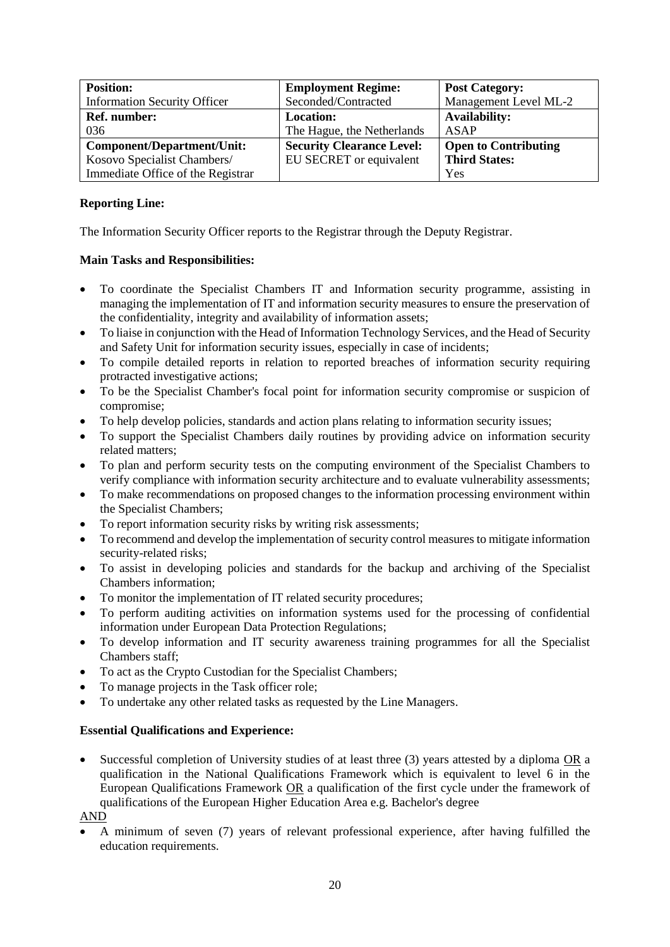| <b>Position:</b>                    | <b>Employment Regime:</b>        | <b>Post Category:</b>       |
|-------------------------------------|----------------------------------|-----------------------------|
| <b>Information Security Officer</b> | Seconded/Contracted              | Management Level ML-2       |
| Ref. number:                        | <b>Location:</b>                 | <b>Availability:</b>        |
| 036                                 | The Hague, the Netherlands       | ASAP                        |
| <b>Component/Department/Unit:</b>   | <b>Security Clearance Level:</b> | <b>Open to Contributing</b> |
| Kosovo Specialist Chambers/         | EU SECRET or equivalent          | <b>Third States:</b>        |
| Immediate Office of the Registrar   |                                  | Yes                         |

The Information Security Officer reports to the Registrar through the Deputy Registrar.

# **Main Tasks and Responsibilities:**

- To coordinate the Specialist Chambers IT and Information security programme, assisting in managing the implementation of IT and information security measures to ensure the preservation of the confidentiality, integrity and availability of information assets;
- To liaise in conjunction with the Head of Information Technology Services, and the Head of Security and Safety Unit for information security issues, especially in case of incidents;
- To compile detailed reports in relation to reported breaches of information security requiring protracted investigative actions;
- To be the Specialist Chamber's focal point for information security compromise or suspicion of compromise;
- To help develop policies, standards and action plans relating to information security issues;
- To support the Specialist Chambers daily routines by providing advice on information security related matters;
- To plan and perform security tests on the computing environment of the Specialist Chambers to verify compliance with information security architecture and to evaluate vulnerability assessments;
- To make recommendations on proposed changes to the information processing environment within the Specialist Chambers;
- To report information security risks by writing risk assessments;
- To recommend and develop the implementation of security control measures to mitigate information security-related risks;
- To assist in developing policies and standards for the backup and archiving of the Specialist Chambers information;
- To monitor the implementation of IT related security procedures;
- To perform auditing activities on information systems used for the processing of confidential information under European Data Protection Regulations;
- To develop information and IT security awareness training programmes for all the Specialist Chambers staff;
- To act as the Crypto Custodian for the Specialist Chambers;
- To manage projects in the Task officer role;
- To undertake any other related tasks as requested by the Line Managers.

### **Essential Qualifications and Experience:**

 Successful completion of University studies of at least three (3) years attested by a diploma OR a qualification in the National Qualifications Framework which is equivalent to level 6 in the European Qualifications Framework OR a qualification of the first cycle under the framework of qualifications of the European Higher Education Area e.g. Bachelor's degree

AND

 A minimum of seven (7) years of relevant professional experience, after having fulfilled the education requirements.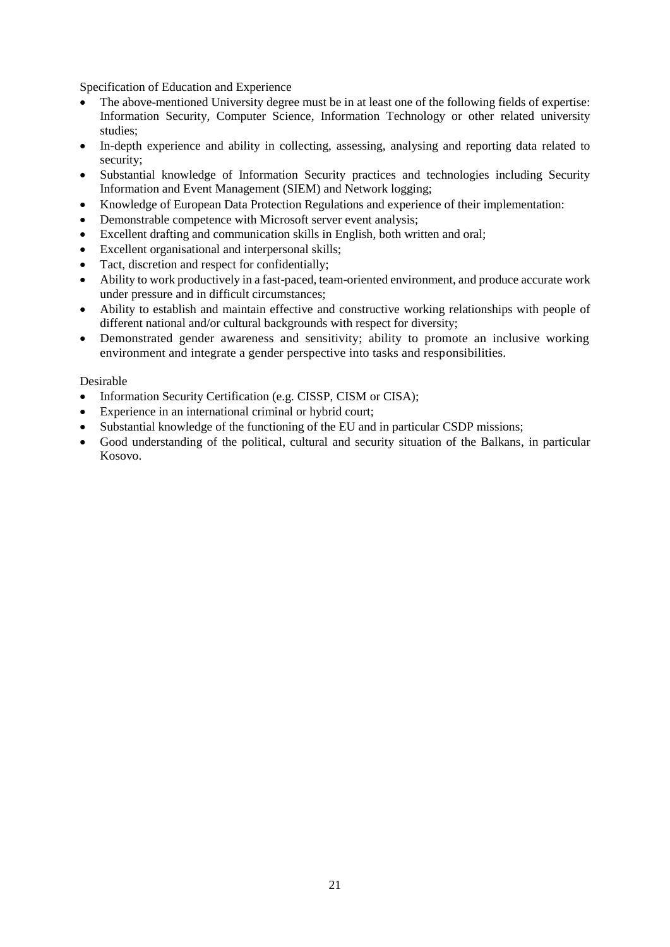Specification of Education and Experience

- The above-mentioned University degree must be in at least one of the following fields of expertise: Information Security, Computer Science, Information Technology or other related university studies;
- In-depth experience and ability in collecting, assessing, analysing and reporting data related to security;
- Substantial knowledge of Information Security practices and technologies including Security Information and Event Management (SIEM) and Network logging;
- Knowledge of European Data Protection Regulations and experience of their implementation:
- Demonstrable competence with Microsoft server event analysis;
- Excellent drafting and communication skills in English, both written and oral;
- Excellent organisational and interpersonal skills;
- Tact, discretion and respect for confidentially;
- Ability to work productively in a fast-paced, team-oriented environment, and produce accurate work under pressure and in difficult circumstances;
- Ability to establish and maintain effective and constructive working relationships with people of different national and/or cultural backgrounds with respect for diversity;
- Demonstrated gender awareness and sensitivity; ability to promote an inclusive working environment and integrate a gender perspective into tasks and responsibilities.

- Information Security Certification (e.g. CISSP, CISM or CISA);
- Experience in an international criminal or hybrid court;
- Substantial knowledge of the functioning of the EU and in particular CSDP missions;
- Good understanding of the political, cultural and security situation of the Balkans, in particular Kosovo.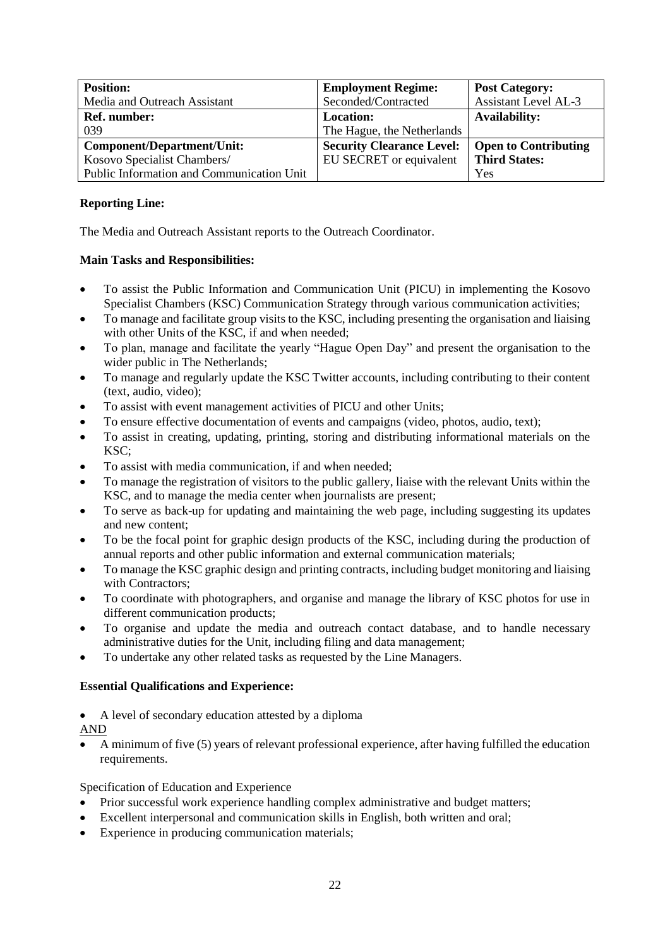| <b>Position:</b>                          | <b>Employment Regime:</b>        | <b>Post Category:</b>       |
|-------------------------------------------|----------------------------------|-----------------------------|
| Media and Outreach Assistant              | Seconded/Contracted              | <b>Assistant Level AL-3</b> |
| <b>Ref.</b> number:                       | Location:                        | <b>Availability:</b>        |
| 039                                       | The Hague, the Netherlands       |                             |
| <b>Component/Department/Unit:</b>         | <b>Security Clearance Level:</b> | <b>Open to Contributing</b> |
| Kosovo Specialist Chambers/               | EU SECRET or equivalent          | <b>Third States:</b>        |
| Public Information and Communication Unit |                                  | Yes                         |

The Media and Outreach Assistant reports to the Outreach Coordinator.

# **Main Tasks and Responsibilities:**

- To assist the Public Information and Communication Unit (PICU) in implementing the Kosovo Specialist Chambers (KSC) Communication Strategy through various communication activities;
- To manage and facilitate group visits to the KSC, including presenting the organisation and liaising with other Units of the KSC, if and when needed;
- To plan, manage and facilitate the yearly "Hague Open Day" and present the organisation to the wider public in The Netherlands;
- To manage and regularly update the KSC Twitter accounts, including contributing to their content (text, audio, video);
- To assist with event management activities of PICU and other Units;
- To ensure effective documentation of events and campaigns (video, photos, audio, text);
- To assist in creating, updating, printing, storing and distributing informational materials on the KSC;
- To assist with media communication, if and when needed;
- To manage the registration of visitors to the public gallery, liaise with the relevant Units within the KSC, and to manage the media center when journalists are present;
- To serve as back-up for updating and maintaining the web page, including suggesting its updates and new content;
- To be the focal point for graphic design products of the KSC, including during the production of annual reports and other public information and external communication materials;
- To manage the KSC graphic design and printing contracts, including budget monitoring and liaising with Contractors;
- To coordinate with photographers, and organise and manage the library of KSC photos for use in different communication products;
- To organise and update the media and outreach contact database, and to handle necessary administrative duties for the Unit, including filing and data management;
- To undertake any other related tasks as requested by the Line Managers.

# **Essential Qualifications and Experience:**

- A level of secondary education attested by a diploma
- AND
- A minimum of five (5) years of relevant professional experience, after having fulfilled the education requirements.

- Prior successful work experience handling complex administrative and budget matters;
- Excellent interpersonal and communication skills in English, both written and oral;
- Experience in producing communication materials;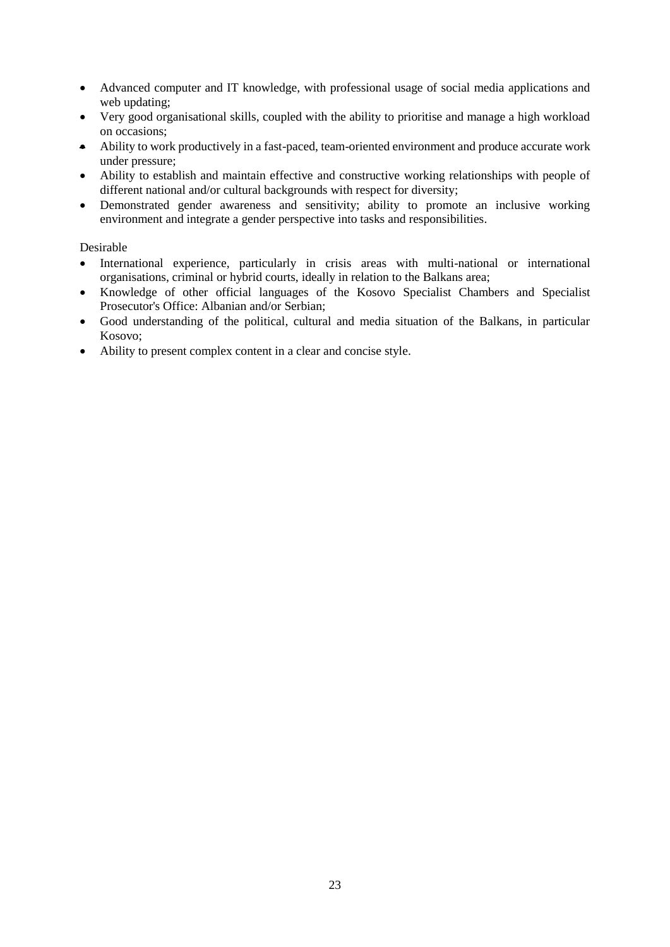- Advanced computer and IT knowledge, with professional usage of social media applications and web updating;
- Very good organisational skills, coupled with the ability to prioritise and manage a high workload on occasions;
- Ability to work productively in a fast-paced, team-oriented environment and produce accurate work under pressure;
- Ability to establish and maintain effective and constructive working relationships with people of different national and/or cultural backgrounds with respect for diversity;
- Demonstrated gender awareness and sensitivity; ability to promote an inclusive working environment and integrate a gender perspective into tasks and responsibilities.

- International experience, particularly in crisis areas with multi-national or international organisations, criminal or hybrid courts, ideally in relation to the Balkans area;
- Knowledge of other official languages of the Kosovo Specialist Chambers and Specialist Prosecutor's Office: Albanian and/or Serbian;
- Good understanding of the political, cultural and media situation of the Balkans, in particular Kosovo;
- Ability to present complex content in a clear and concise style.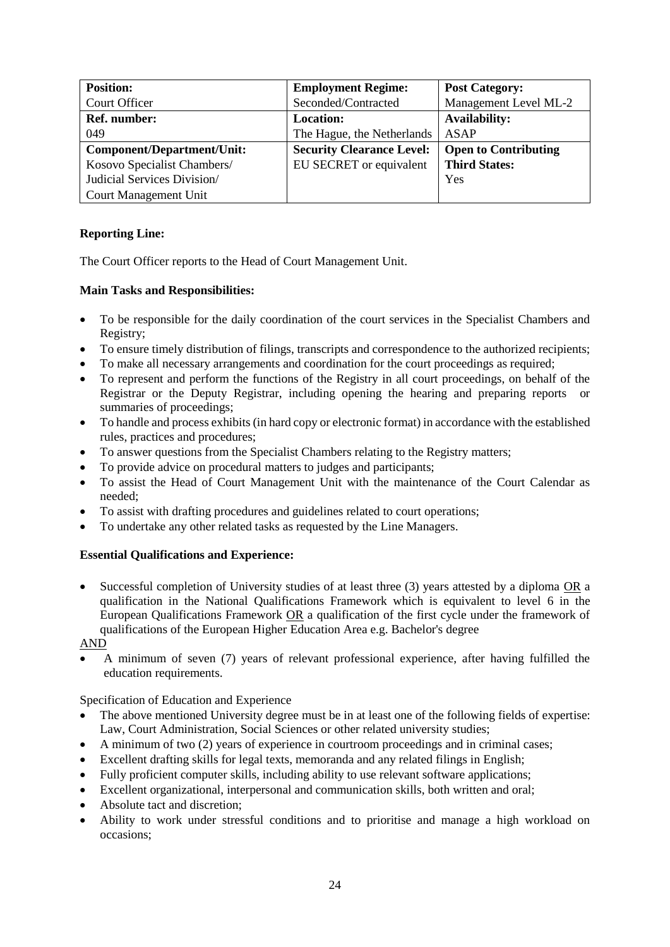| <b>Position:</b>            | <b>Employment Regime:</b>        | <b>Post Category:</b>       |
|-----------------------------|----------------------------------|-----------------------------|
| Court Officer               | Seconded/Contracted              | Management Level ML-2       |
| Ref. number:                | <b>Location:</b>                 | <b>Availability:</b>        |
| 049                         | The Hague, the Netherlands       | ASAP                        |
| Component/Department/Unit:  | <b>Security Clearance Level:</b> | <b>Open to Contributing</b> |
| Kosovo Specialist Chambers/ | EU SECRET or equivalent          | <b>Third States:</b>        |
| Judicial Services Division/ |                                  | Yes                         |
| Court Management Unit       |                                  |                             |

The Court Officer reports to the Head of Court Management Unit.

# **Main Tasks and Responsibilities:**

- To be responsible for the daily coordination of the court services in the Specialist Chambers and Registry;
- To ensure timely distribution of filings, transcripts and correspondence to the authorized recipients;
- To make all necessary arrangements and coordination for the court proceedings as required;
- To represent and perform the functions of the Registry in all court proceedings, on behalf of the Registrar or the Deputy Registrar, including opening the hearing and preparing reports or summaries of proceedings;
- To handle and process exhibits (in hard copy or electronic format) in accordance with the established rules, practices and procedures;
- To answer questions from the Specialist Chambers relating to the Registry matters;
- To provide advice on procedural matters to judges and participants;
- To assist the Head of Court Management Unit with the maintenance of the Court Calendar as needed;
- To assist with drafting procedures and guidelines related to court operations;
- To undertake any other related tasks as requested by the Line Managers.

# **Essential Qualifications and Experience:**

 Successful completion of University studies of at least three (3) years attested by a diploma OR a qualification in the National Qualifications Framework which is equivalent to level 6 in the European Qualifications Framework OR a qualification of the first cycle under the framework of qualifications of the European Higher Education Area e.g. Bachelor's degree

AND

 A minimum of seven (7) years of relevant professional experience, after having fulfilled the education requirements.

- The above mentioned University degree must be in at least one of the following fields of expertise: Law, Court Administration, Social Sciences or other related university studies;
- A minimum of two (2) years of experience in courtroom proceedings and in criminal cases;
- Excellent drafting skills for legal texts, memoranda and any related filings in English;
- Fully proficient computer skills, including ability to use relevant software applications;
- Excellent organizational, interpersonal and communication skills, both written and oral;
- Absolute tact and discretion;
- Ability to work under stressful conditions and to prioritise and manage a high workload on occasions;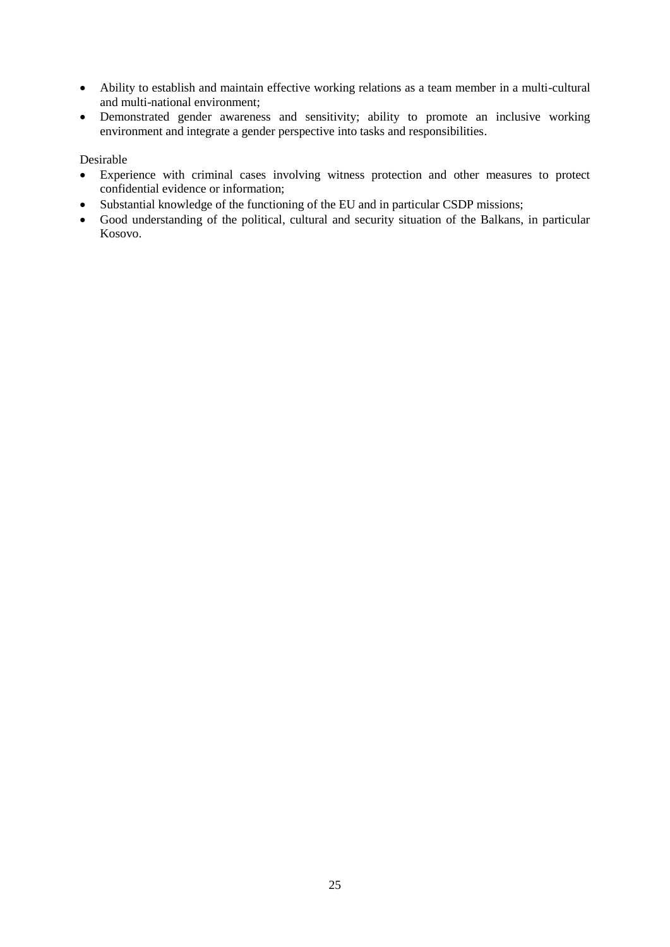- Ability to establish and maintain effective working relations as a team member in a multi-cultural and multi-national environment;
- Demonstrated gender awareness and sensitivity; ability to promote an inclusive working environment and integrate a gender perspective into tasks and responsibilities.

- Experience with criminal cases involving witness protection and other measures to protect confidential evidence or information;
- Substantial knowledge of the functioning of the EU and in particular CSDP missions;
- Good understanding of the political, cultural and security situation of the Balkans, in particular Kosovo.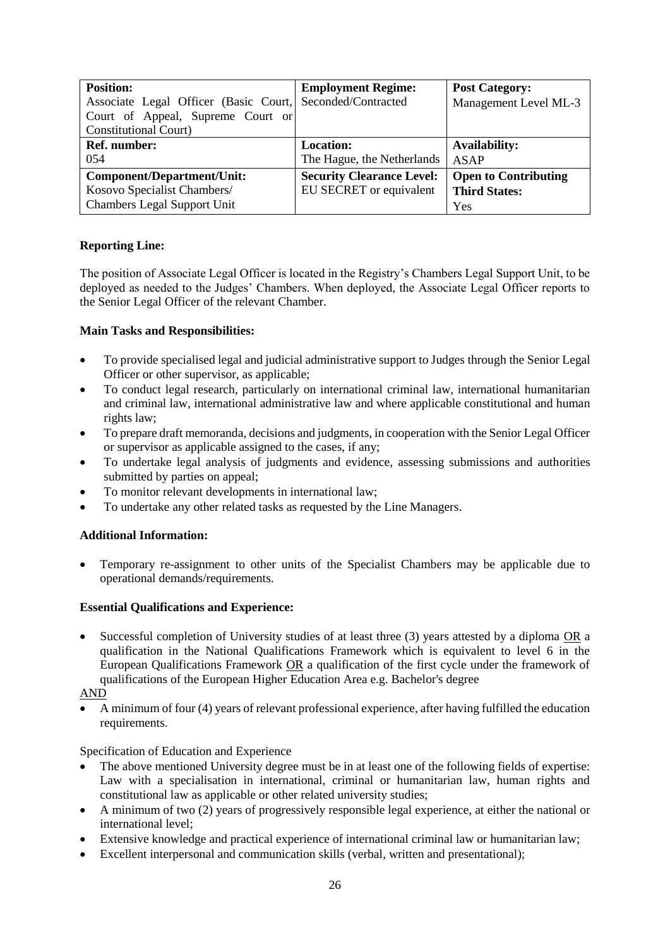| <b>Position:</b>                      | <b>Employment Regime:</b>        | <b>Post Category:</b>       |
|---------------------------------------|----------------------------------|-----------------------------|
| Associate Legal Officer (Basic Court, | Seconded/Contracted              | Management Level ML-3       |
| Court of Appeal, Supreme Court or     |                                  |                             |
| <b>Constitutional Court)</b>          |                                  |                             |
| Ref. number:                          | <b>Location:</b>                 | <b>Availability:</b>        |
| 054                                   | The Hague, the Netherlands       | <b>ASAP</b>                 |
| Component/Department/Unit:            | <b>Security Clearance Level:</b> | <b>Open to Contributing</b> |
| Kosovo Specialist Chambers/           | EU SECRET or equivalent          | <b>Third States:</b>        |
| <b>Chambers Legal Support Unit</b>    |                                  | Yes                         |

The position of Associate Legal Officer is located in the Registry's Chambers Legal Support Unit, to be deployed as needed to the Judges' Chambers. When deployed, the Associate Legal Officer reports to the Senior Legal Officer of the relevant Chamber.

# **Main Tasks and Responsibilities:**

- To provide specialised legal and judicial administrative support to Judges through the Senior Legal Officer or other supervisor, as applicable;
- To conduct legal research, particularly on international criminal law, international humanitarian and criminal law, international administrative law and where applicable constitutional and human rights law;
- To prepare draft memoranda, decisions and judgments, in cooperation with the Senior Legal Officer or supervisor as applicable assigned to the cases, if any;
- To undertake legal analysis of judgments and evidence, assessing submissions and authorities submitted by parties on appeal;
- To monitor relevant developments in international law;
- To undertake any other related tasks as requested by the Line Managers.

# **Additional Information:**

 Temporary re-assignment to other units of the Specialist Chambers may be applicable due to operational demands/requirements.

# **Essential Qualifications and Experience:**

 Successful completion of University studies of at least three (3) years attested by a diploma OR a qualification in the National Qualifications Framework which is equivalent to level 6 in the European Qualifications Framework OR a qualification of the first cycle under the framework of qualifications of the European Higher Education Area e.g. Bachelor's degree

AND

 A minimum of four (4) years of relevant professional experience, after having fulfilled the education requirements.

- The above mentioned University degree must be in at least one of the following fields of expertise: Law with a specialisation in international, criminal or humanitarian law, human rights and constitutional law as applicable or other related university studies;
- A minimum of two (2) years of progressively responsible legal experience, at either the national or international level;
- Extensive knowledge and practical experience of international criminal law or humanitarian law;
- Excellent interpersonal and communication skills (verbal, written and presentational);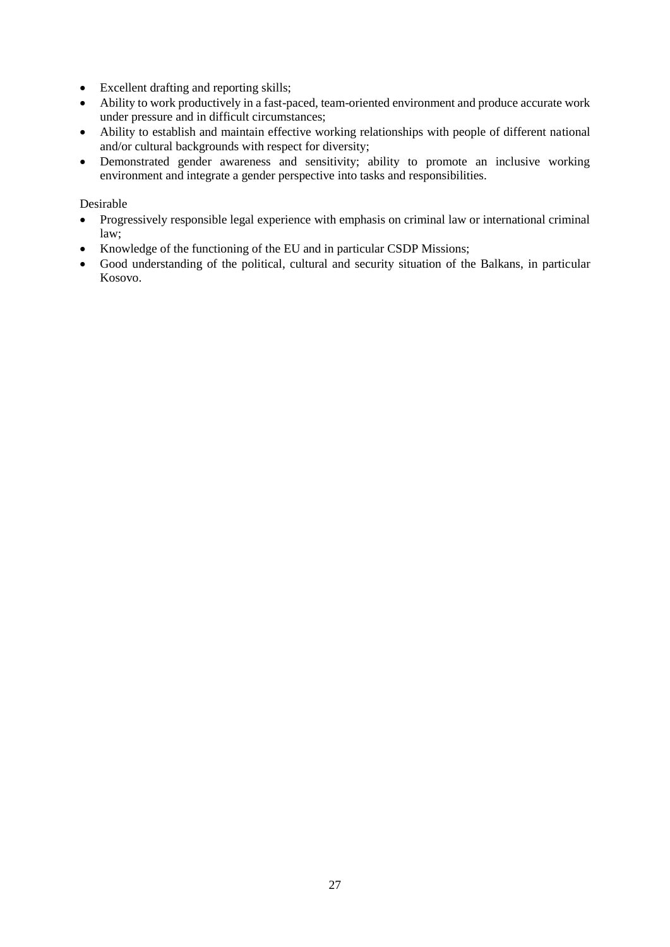- Excellent drafting and reporting skills;
- Ability to work productively in a fast-paced, team-oriented environment and produce accurate work under pressure and in difficult circumstances;
- Ability to establish and maintain effective working relationships with people of different national and/or cultural backgrounds with respect for diversity;
- Demonstrated gender awareness and sensitivity; ability to promote an inclusive working environment and integrate a gender perspective into tasks and responsibilities.

- Progressively responsible legal experience with emphasis on criminal law or international criminal law;
- Knowledge of the functioning of the EU and in particular CSDP Missions;
- Good understanding of the political, cultural and security situation of the Balkans, in particular Kosovo.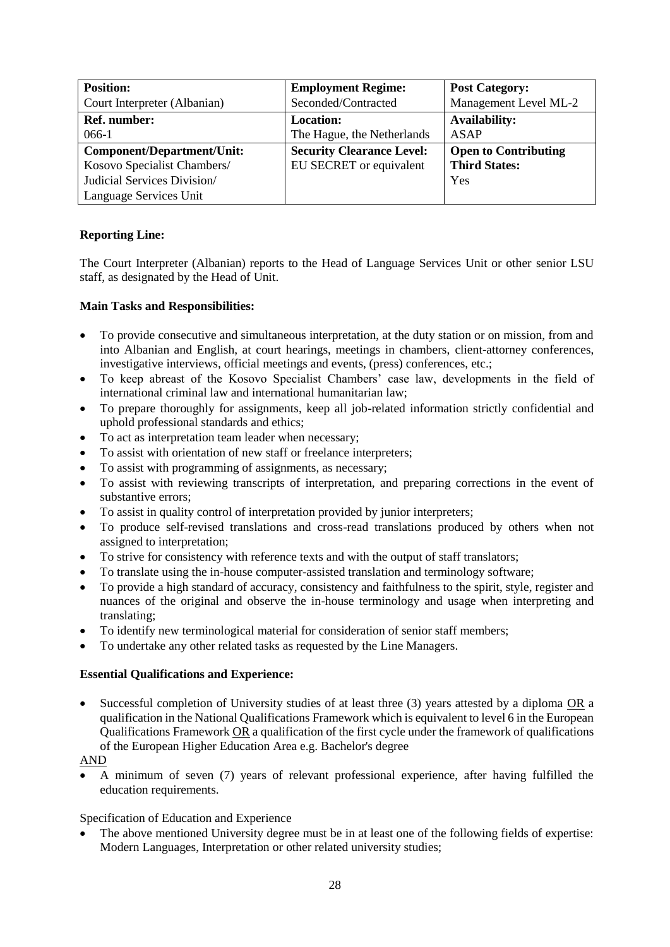| <b>Position:</b>                  | <b>Employment Regime:</b>        | <b>Post Category:</b>       |
|-----------------------------------|----------------------------------|-----------------------------|
| Court Interpreter (Albanian)      | Seconded/Contracted              | Management Level ML-2       |
| <b>Ref.</b> number:               | <b>Location:</b>                 | <b>Availability:</b>        |
| 066-1                             | The Hague, the Netherlands       | ASAP                        |
| <b>Component/Department/Unit:</b> | <b>Security Clearance Level:</b> | <b>Open to Contributing</b> |
| Kosovo Specialist Chambers/       | EU SECRET or equivalent          | <b>Third States:</b>        |
| Judicial Services Division/       |                                  | Yes                         |
| Language Services Unit            |                                  |                             |

The Court Interpreter (Albanian) reports to the Head of Language Services Unit or other senior LSU staff, as designated by the Head of Unit.

# **Main Tasks and Responsibilities:**

- To provide consecutive and simultaneous interpretation, at the duty station or on mission, from and into Albanian and English, at court hearings, meetings in chambers, client-attorney conferences, investigative interviews, official meetings and events, (press) conferences, etc.;
- To keep abreast of the Kosovo Specialist Chambers' case law, developments in the field of international criminal law and international humanitarian law;
- To prepare thoroughly for assignments, keep all job-related information strictly confidential and uphold professional standards and ethics;
- To act as interpretation team leader when necessary;
- To assist with orientation of new staff or freelance interpreters;
- To assist with programming of assignments, as necessary;
- To assist with reviewing transcripts of interpretation, and preparing corrections in the event of substantive errors;
- To assist in quality control of interpretation provided by junior interpreters;
- To produce self-revised translations and cross-read translations produced by others when not assigned to interpretation;
- To strive for consistency with reference texts and with the output of staff translators;
- To translate using the in-house computer-assisted translation and terminology software;
- To provide a high standard of accuracy, consistency and faithfulness to the spirit, style, register and nuances of the original and observe the in-house terminology and usage when interpreting and translating;
- To identify new terminological material for consideration of senior staff members;
- To undertake any other related tasks as requested by the Line Managers.

### **Essential Qualifications and Experience:**

 Successful completion of University studies of at least three (3) years attested by a diploma OR a qualification in the National Qualifications Framework which is equivalent to level 6 in the European Qualifications Framework OR a qualification of the first cycle under the framework of qualifications of the European Higher Education Area e.g. Bachelor's degree

### AND

 A minimum of seven (7) years of relevant professional experience, after having fulfilled the education requirements.

### Specification of Education and Experience

 The above mentioned University degree must be in at least one of the following fields of expertise: Modern Languages, Interpretation or other related university studies;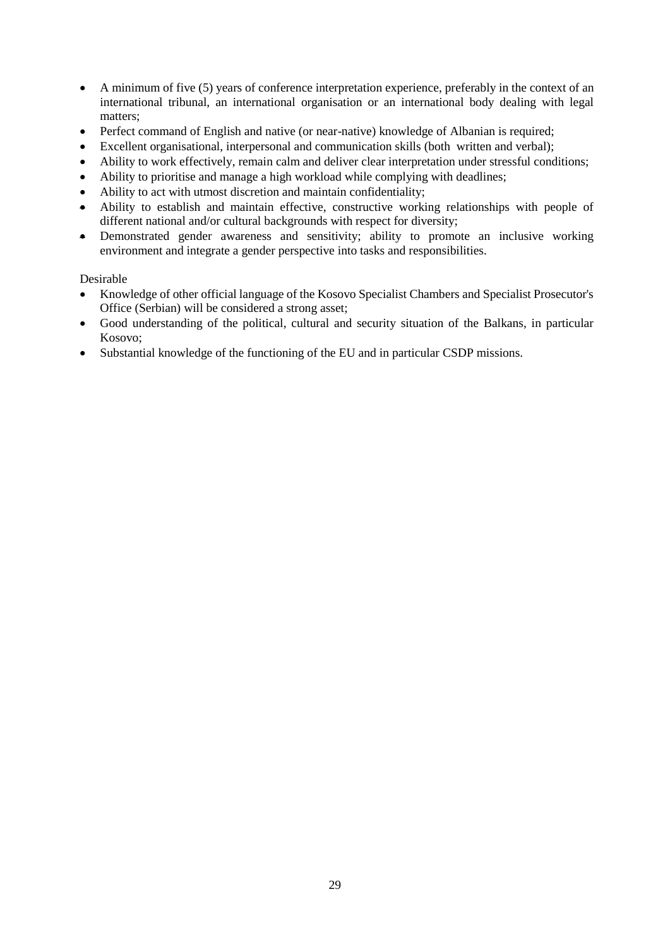- A minimum of five (5) years of conference interpretation experience, preferably in the context of an international tribunal, an international organisation or an international body dealing with legal matters;
- Perfect command of English and native (or near-native) knowledge of Albanian is required;
- Excellent organisational, interpersonal and communication skills (both written and verbal);
- Ability to work effectively, remain calm and deliver clear interpretation under stressful conditions;
- Ability to prioritise and manage a high workload while complying with deadlines;
- Ability to act with utmost discretion and maintain confidentiality;
- Ability to establish and maintain effective, constructive working relationships with people of different national and/or cultural backgrounds with respect for diversity;
- Demonstrated gender awareness and sensitivity; ability to promote an inclusive working environment and integrate a gender perspective into tasks and responsibilities.

- Knowledge of other official language of the Kosovo Specialist Chambers and Specialist Prosecutor's Office (Serbian) will be considered a strong asset;
- Good understanding of the political, cultural and security situation of the Balkans, in particular Kosovo;
- Substantial knowledge of the functioning of the EU and in particular CSDP missions.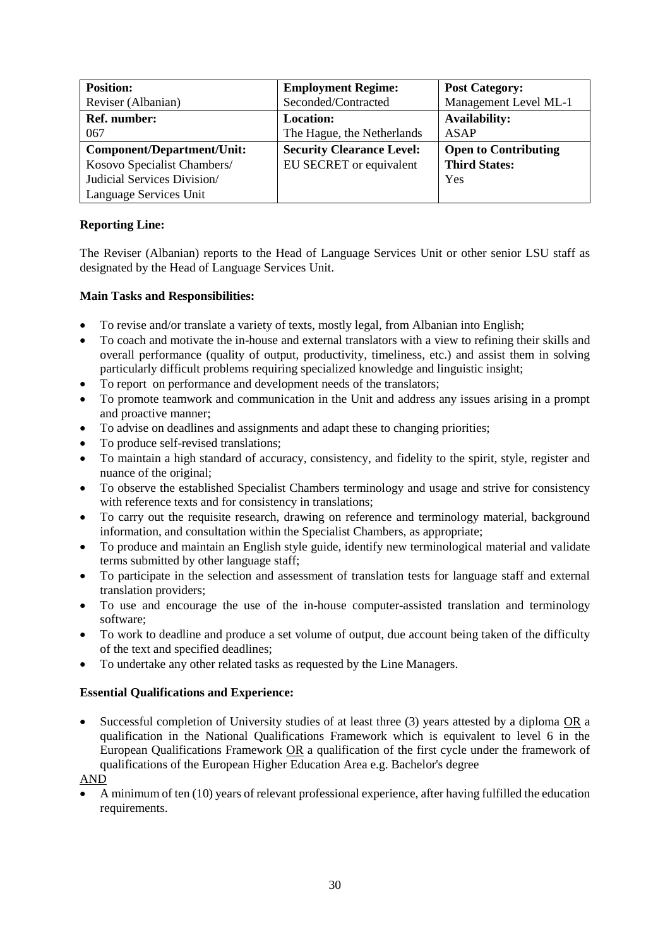| <b>Position:</b>            | <b>Employment Regime:</b>        | <b>Post Category:</b>       |
|-----------------------------|----------------------------------|-----------------------------|
| Reviser (Albanian)          | Seconded/Contracted              | Management Level ML-1       |
| <b>Ref.</b> number:         | <b>Location:</b>                 | <b>Availability:</b>        |
| 067                         | The Hague, the Netherlands       | <b>ASAP</b>                 |
| Component/Department/Unit:  | <b>Security Clearance Level:</b> | <b>Open to Contributing</b> |
| Kosovo Specialist Chambers/ | EU SECRET or equivalent          | <b>Third States:</b>        |
| Judicial Services Division/ |                                  | Yes                         |
| Language Services Unit      |                                  |                             |

The Reviser (Albanian) reports to the Head of Language Services Unit or other senior LSU staff as designated by the Head of Language Services Unit.

# **Main Tasks and Responsibilities:**

- To revise and/or translate a variety of texts, mostly legal, from Albanian into English;
- To coach and motivate the in-house and external translators with a view to refining their skills and overall performance (quality of output, productivity, timeliness, etc.) and assist them in solving particularly difficult problems requiring specialized knowledge and linguistic insight;
- To report on performance and development needs of the translators;
- To promote teamwork and communication in the Unit and address any issues arising in a prompt and proactive manner;
- To advise on deadlines and assignments and adapt these to changing priorities;
- To produce self-revised translations;
- To maintain a high standard of accuracy, consistency, and fidelity to the spirit, style, register and nuance of the original;
- To observe the established Specialist Chambers terminology and usage and strive for consistency with reference texts and for consistency in translations;
- To carry out the requisite research, drawing on reference and terminology material, background information, and consultation within the Specialist Chambers, as appropriate;
- To produce and maintain an English style guide, identify new terminological material and validate terms submitted by other language staff;
- To participate in the selection and assessment of translation tests for language staff and external translation providers;
- To use and encourage the use of the in-house computer-assisted translation and terminology software;
- To work to deadline and produce a set volume of output, due account being taken of the difficulty of the text and specified deadlines;
- To undertake any other related tasks as requested by the Line Managers.

### **Essential Qualifications and Experience:**

 Successful completion of University studies of at least three (3) years attested by a diploma OR a qualification in the National Qualifications Framework which is equivalent to level 6 in the European Qualifications Framework OR a qualification of the first cycle under the framework of qualifications of the European Higher Education Area e.g. Bachelor's degree

## AND

 A minimum of ten (10) years of relevant professional experience, after having fulfilled the education requirements.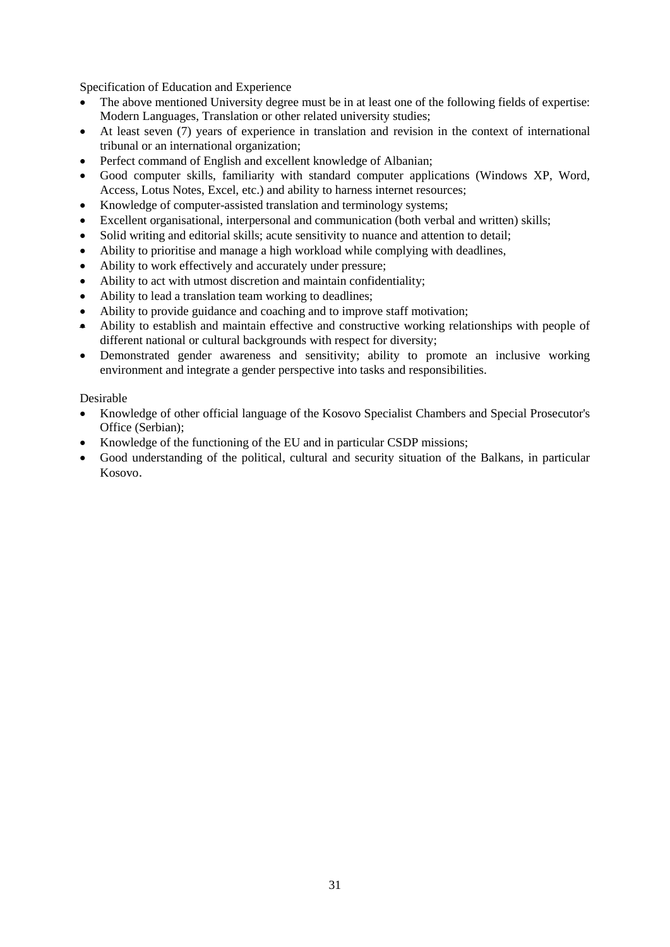Specification of Education and Experience

- The above mentioned University degree must be in at least one of the following fields of expertise: Modern Languages, Translation or other related university studies;
- At least seven (7) years of experience in translation and revision in the context of international tribunal or an international organization;
- Perfect command of English and excellent knowledge of Albanian;
- Good computer skills, familiarity with standard computer applications (Windows XP, Word, Access, Lotus Notes, Excel, etc.) and ability to harness internet resources;
- Knowledge of computer-assisted translation and terminology systems;
- Excellent organisational, interpersonal and communication (both verbal and written) skills;
- Solid writing and editorial skills; acute sensitivity to nuance and attention to detail;
- Ability to prioritise and manage a high workload while complying with deadlines,
- Ability to work effectively and accurately under pressure;
- Ability to act with utmost discretion and maintain confidentiality;
- Ability to lead a translation team working to deadlines;
- Ability to provide guidance and coaching and to improve staff motivation;
- Ability to establish and maintain effective and constructive working relationships with people of different national or cultural backgrounds with respect for diversity;
- Demonstrated gender awareness and sensitivity; ability to promote an inclusive working environment and integrate a gender perspective into tasks and responsibilities.

- Knowledge of other official language of the Kosovo Specialist Chambers and Special Prosecutor's Office (Serbian);
- Knowledge of the functioning of the EU and in particular CSDP missions;
- Good understanding of the political, cultural and security situation of the Balkans, in particular Kosovo.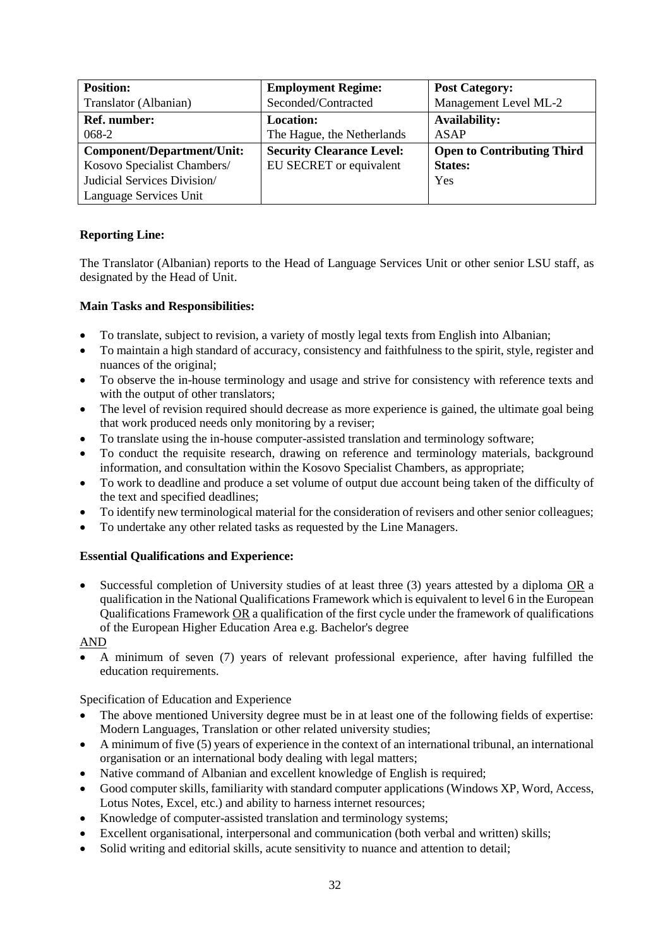| <b>Position:</b>                  | <b>Employment Regime:</b>        | <b>Post Category:</b>             |
|-----------------------------------|----------------------------------|-----------------------------------|
| Translator (Albanian)             | Seconded/Contracted              | Management Level ML-2             |
| <b>Ref. number:</b>               | <b>Location:</b>                 | <b>Availability:</b>              |
| 068-2                             | The Hague, the Netherlands       | <b>ASAP</b>                       |
| <b>Component/Department/Unit:</b> | <b>Security Clearance Level:</b> | <b>Open to Contributing Third</b> |
| Kosovo Specialist Chambers/       | EU SECRET or equivalent          | <b>States:</b>                    |
| Judicial Services Division/       |                                  | Yes                               |
| Language Services Unit            |                                  |                                   |

The Translator (Albanian) reports to the Head of Language Services Unit or other senior LSU staff, as designated by the Head of Unit.

# **Main Tasks and Responsibilities:**

- To translate, subject to revision, a variety of mostly legal texts from English into Albanian;
- To maintain a high standard of accuracy, consistency and faithfulness to the spirit, style, register and nuances of the original;
- To observe the in-house terminology and usage and strive for consistency with reference texts and with the output of other translators;
- The level of revision required should decrease as more experience is gained, the ultimate goal being that work produced needs only monitoring by a reviser;
- To translate using the in-house computer-assisted translation and terminology software;
- To conduct the requisite research, drawing on reference and terminology materials, background information, and consultation within the Kosovo Specialist Chambers, as appropriate;
- To work to deadline and produce a set volume of output due account being taken of the difficulty of the text and specified deadlines;
- To identify new terminological material for the consideration of revisers and other senior colleagues;
- To undertake any other related tasks as requested by the Line Managers.

# **Essential Qualifications and Experience:**

 Successful completion of University studies of at least three (3) years attested by a diploma OR a qualification in the National Qualifications Framework which is equivalent to level 6 in the European Qualifications Framework OR a qualification of the first cycle under the framework of qualifications of the European Higher Education Area e.g. Bachelor's degree

AND

 A minimum of seven (7) years of relevant professional experience, after having fulfilled the education requirements.

- The above mentioned University degree must be in at least one of the following fields of expertise: Modern Languages, Translation or other related university studies;
- A minimum of five (5) years of experience in the context of an international tribunal, an international organisation or an international body dealing with legal matters;
- Native command of Albanian and excellent knowledge of English is required;
- Good computer skills, familiarity with standard computer applications (Windows XP, Word, Access, Lotus Notes, Excel, etc.) and ability to harness internet resources;
- Knowledge of computer-assisted translation and terminology systems;
- Excellent organisational, interpersonal and communication (both verbal and written) skills;
- Solid writing and editorial skills, acute sensitivity to nuance and attention to detail;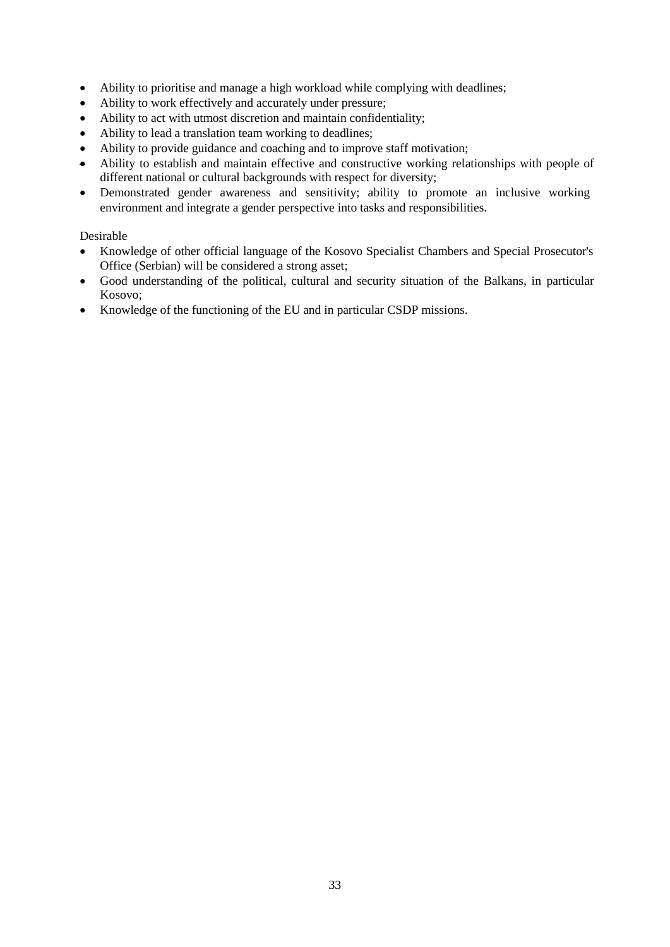- Ability to prioritise and manage a high workload while complying with deadlines;
- Ability to work effectively and accurately under pressure;
- Ability to act with utmost discretion and maintain confidentiality;
- Ability to lead a translation team working to deadlines;
- Ability to provide guidance and coaching and to improve staff motivation;
- Ability to establish and maintain effective and constructive working relationships with people of different national or cultural backgrounds with respect for diversity;
- Demonstrated gender awareness and sensitivity; ability to promote an inclusive working environment and integrate a gender perspective into tasks and responsibilities.

- Knowledge of other official language of the Kosovo Specialist Chambers and Special Prosecutor's Office (Serbian) will be considered a strong asset;
- Good understanding of the political, cultural and security situation of the Balkans, in particular Kosovo;
- Knowledge of the functioning of the EU and in particular CSDP missions.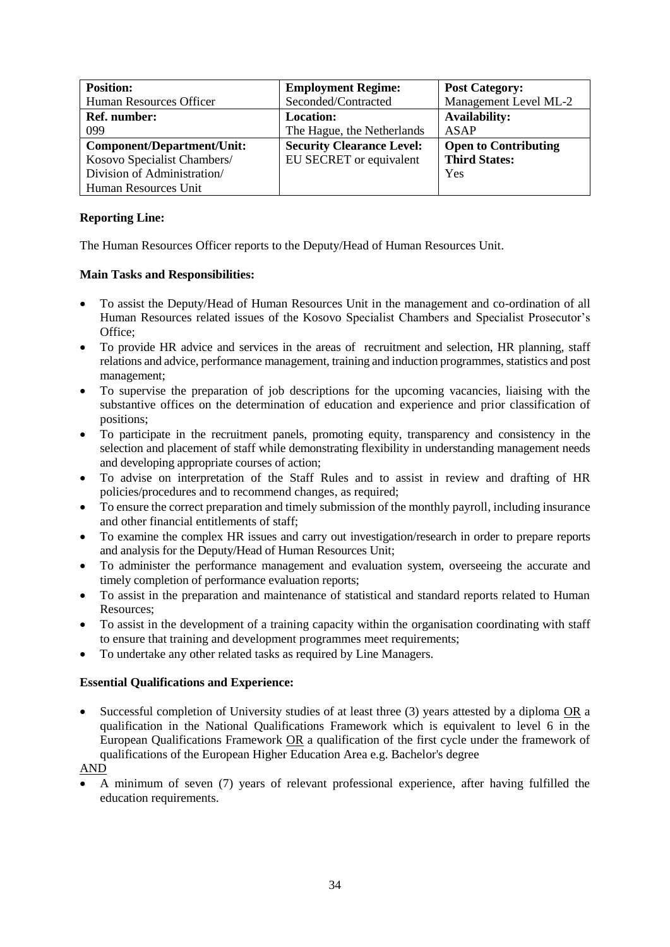| <b>Position:</b>            | <b>Employment Regime:</b>        | <b>Post Category:</b>       |
|-----------------------------|----------------------------------|-----------------------------|
| Human Resources Officer     | Seconded/Contracted              | Management Level ML-2       |
| <b>Ref.</b> number:         | <b>Location:</b>                 | <b>Availability:</b>        |
| 099                         | The Hague, the Netherlands       | <b>ASAP</b>                 |
| Component/Department/Unit:  | <b>Security Clearance Level:</b> | <b>Open to Contributing</b> |
| Kosovo Specialist Chambers/ | EU SECRET or equivalent          | <b>Third States:</b>        |
| Division of Administration/ |                                  | Yes                         |
| Human Resources Unit        |                                  |                             |

The Human Resources Officer reports to the Deputy/Head of Human Resources Unit.

# **Main Tasks and Responsibilities:**

- To assist the Deputy/Head of Human Resources Unit in the management and co-ordination of all Human Resources related issues of the Kosovo Specialist Chambers and Specialist Prosecutor's Office;
- To provide HR advice and services in the areas of recruitment and selection, HR planning, staff relations and advice, performance management, training and induction programmes, statistics and post management;
- To supervise the preparation of job descriptions for the upcoming vacancies, liaising with the substantive offices on the determination of education and experience and prior classification of positions;
- To participate in the recruitment panels, promoting equity, transparency and consistency in the selection and placement of staff while demonstrating flexibility in understanding management needs and developing appropriate courses of action;
- To advise on interpretation of the Staff Rules and to assist in review and drafting of HR policies/procedures and to recommend changes, as required;
- To ensure the correct preparation and timely submission of the monthly payroll, including insurance and other financial entitlements of staff;
- To examine the complex HR issues and carry out investigation/research in order to prepare reports and analysis for the Deputy/Head of Human Resources Unit;
- To administer the performance management and evaluation system, overseeing the accurate and timely completion of performance evaluation reports;
- To assist in the preparation and maintenance of statistical and standard reports related to Human Resources;
- To assist in the development of a training capacity within the organisation coordinating with staff to ensure that training and development programmes meet requirements;
- To undertake any other related tasks as required by Line Managers.

# **Essential Qualifications and Experience:**

- Successful completion of University studies of at least three (3) years attested by a diploma OR a qualification in the National Qualifications Framework which is equivalent to level 6 in the European Qualifications Framework OR a qualification of the first cycle under the framework of qualifications of the European Higher Education Area e.g. Bachelor's degree
- AND
- A minimum of seven (7) years of relevant professional experience, after having fulfilled the education requirements.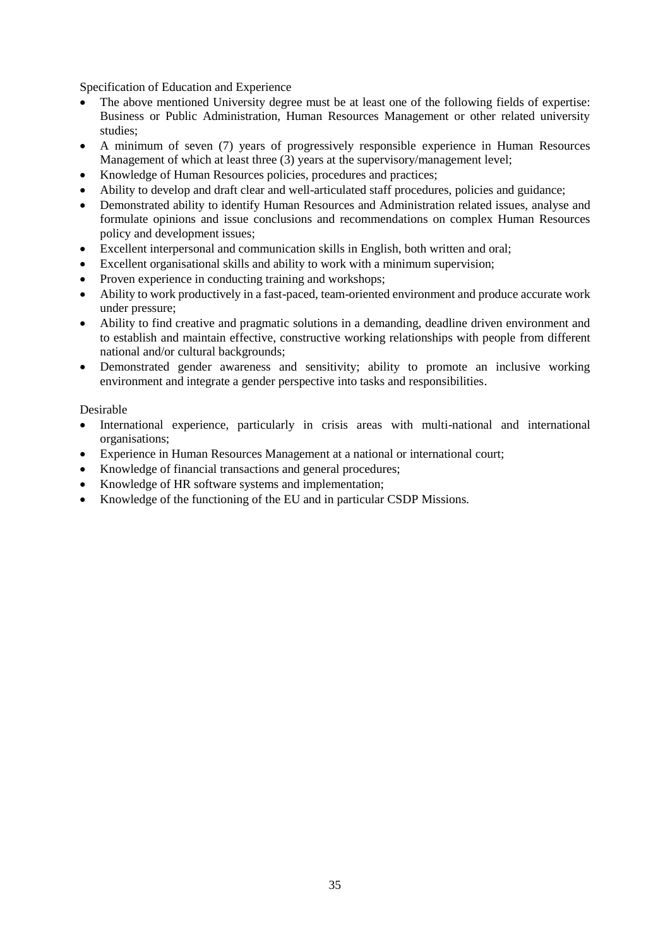Specification of Education and Experience

- The above mentioned University degree must be at least one of the following fields of expertise: Business or Public Administration, Human Resources Management or other related university studies;
- A minimum of seven (7) years of progressively responsible experience in Human Resources Management of which at least three (3) years at the supervisory/management level;
- Knowledge of Human Resources policies, procedures and practices;
- Ability to develop and draft clear and well-articulated staff procedures, policies and guidance;
- Demonstrated ability to identify Human Resources and Administration related issues, analyse and formulate opinions and issue conclusions and recommendations on complex Human Resources policy and development issues;
- Excellent interpersonal and communication skills in English, both written and oral;
- Excellent organisational skills and ability to work with a minimum supervision;
- Proven experience in conducting training and workshops;
- Ability to work productively in a fast-paced, team-oriented environment and produce accurate work under pressure;
- Ability to find creative and pragmatic solutions in a demanding, deadline driven environment and to establish and maintain effective, constructive working relationships with people from different national and/or cultural backgrounds;
- Demonstrated gender awareness and sensitivity; ability to promote an inclusive working environment and integrate a gender perspective into tasks and responsibilities.

- International experience, particularly in crisis areas with multi-national and international organisations;
- Experience in Human Resources Management at a national or international court;
- Knowledge of financial transactions and general procedures;
- Knowledge of HR software systems and implementation;
- Knowledge of the functioning of the EU and in particular CSDP Missions.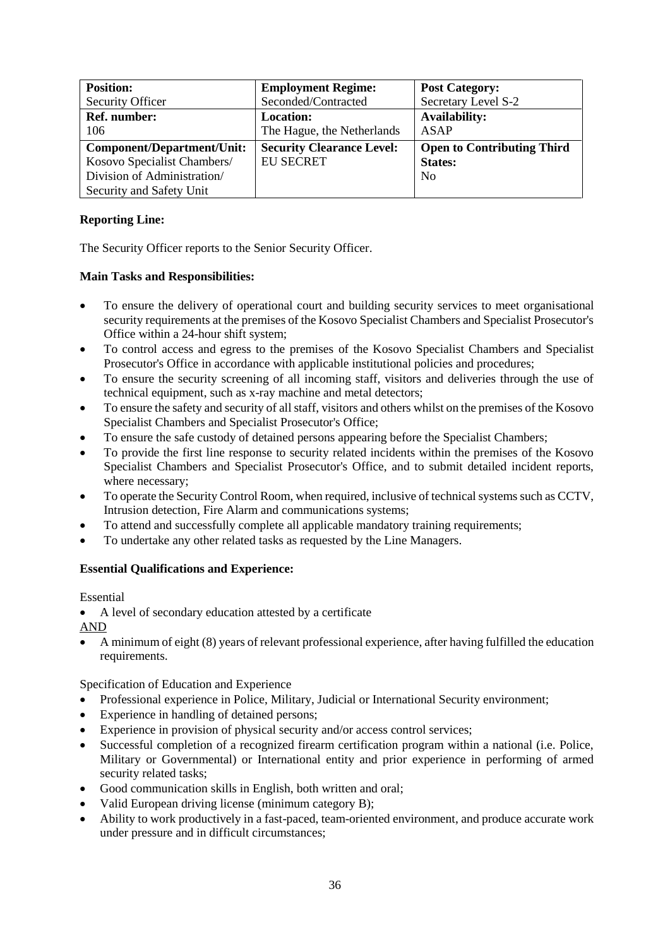| <b>Position:</b>            | <b>Employment Regime:</b>        | <b>Post Category:</b>             |
|-----------------------------|----------------------------------|-----------------------------------|
| <b>Security Officer</b>     | Seconded/Contracted              | Secretary Level S-2               |
| Ref. number:                | <b>Location:</b>                 | <b>Availability:</b>              |
| 106                         | The Hague, the Netherlands       | ASAP                              |
| Component/Department/Unit:  | <b>Security Clearance Level:</b> | <b>Open to Contributing Third</b> |
| Kosovo Specialist Chambers/ | <b>EU SECRET</b>                 | <b>States:</b>                    |
| Division of Administration/ |                                  | N <sub>0</sub>                    |
| Security and Safety Unit    |                                  |                                   |

The Security Officer reports to the Senior Security Officer.

# **Main Tasks and Responsibilities:**

- To ensure the delivery of operational court and building security services to meet organisational security requirements at the premises of the Kosovo Specialist Chambers and Specialist Prosecutor's Office within a 24-hour shift system;
- To control access and egress to the premises of the Kosovo Specialist Chambers and Specialist Prosecutor's Office in accordance with applicable institutional policies and procedures;
- To ensure the security screening of all incoming staff, visitors and deliveries through the use of technical equipment, such as x-ray machine and metal detectors;
- To ensure the safety and security of all staff, visitors and others whilst on the premises of the Kosovo Specialist Chambers and Specialist Prosecutor's Office;
- To ensure the safe custody of detained persons appearing before the Specialist Chambers;
- To provide the first line response to security related incidents within the premises of the Kosovo Specialist Chambers and Specialist Prosecutor's Office, and to submit detailed incident reports, where necessary;
- To operate the Security Control Room, when required, inclusive of technical systems such as CCTV, Intrusion detection, Fire Alarm and communications systems;
- To attend and successfully complete all applicable mandatory training requirements;
- To undertake any other related tasks as requested by the Line Managers.

# **Essential Qualifications and Experience:**

Essential

A level of secondary education attested by a certificate

AND

 A minimum of eight (8) years of relevant professional experience, after having fulfilled the education requirements.

- Professional experience in Police, Military, Judicial or International Security environment;
- Experience in handling of detained persons;
- Experience in provision of physical security and/or access control services;
- Successful completion of a recognized firearm certification program within a national (i.e. Police, Military or Governmental) or International entity and prior experience in performing of armed security related tasks;
- Good communication skills in English, both written and oral;
- Valid European driving license (minimum category B);
- Ability to work productively in a fast-paced, team-oriented environment, and produce accurate work under pressure and in difficult circumstances;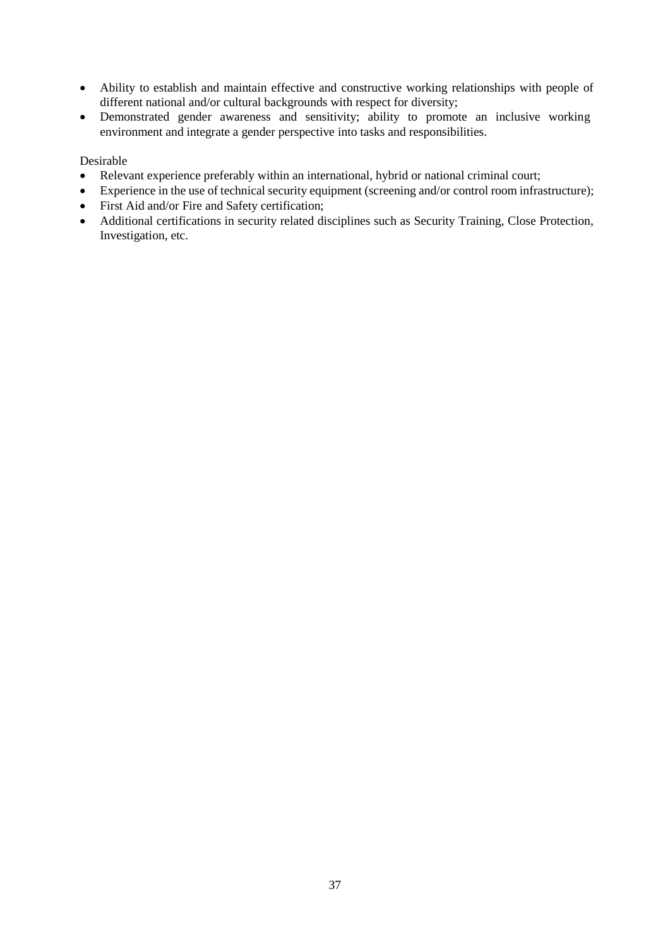- Ability to establish and maintain effective and constructive working relationships with people of different national and/or cultural backgrounds with respect for diversity;
- Demonstrated gender awareness and sensitivity; ability to promote an inclusive working environment and integrate a gender perspective into tasks and responsibilities.

- Relevant experience preferably within an international, hybrid or national criminal court;
- Experience in the use of technical security equipment (screening and/or control room infrastructure);
- First Aid and/or Fire and Safety certification;
- Additional certifications in security related disciplines such as Security Training, Close Protection, Investigation, etc.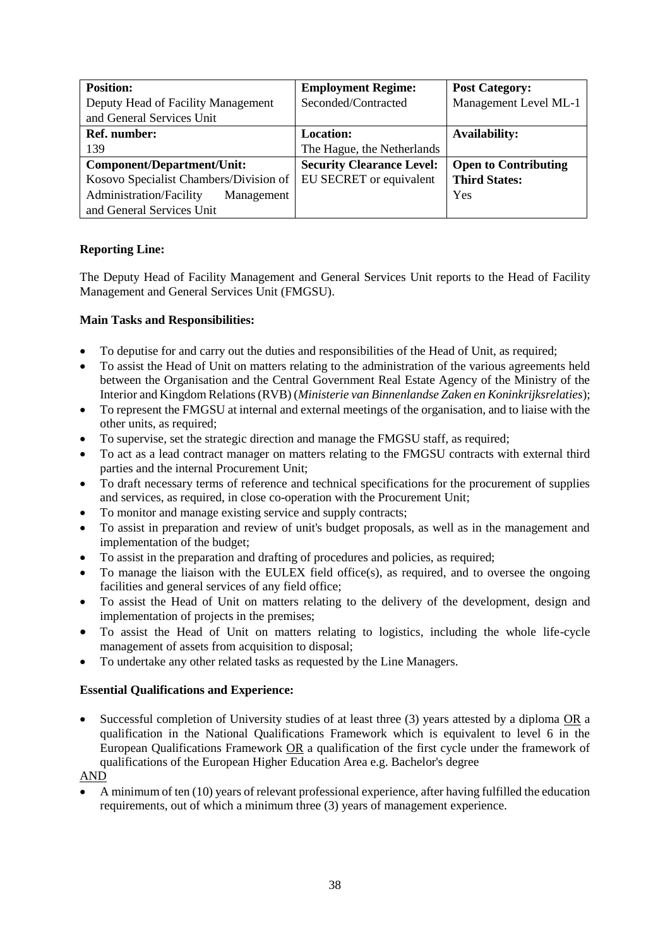| <b>Position:</b>                       | <b>Employment Regime:</b>        | <b>Post Category:</b>       |
|----------------------------------------|----------------------------------|-----------------------------|
| Deputy Head of Facility Management     | Seconded/Contracted              | Management Level ML-1       |
| and General Services Unit              |                                  |                             |
| <b>Ref.</b> number:                    | <b>Location:</b>                 | <b>Availability:</b>        |
| 139                                    | The Hague, the Netherlands       |                             |
| Component/Department/Unit:             | <b>Security Clearance Level:</b> | <b>Open to Contributing</b> |
| Kosovo Specialist Chambers/Division of | EU SECRET or equivalent          | <b>Third States:</b>        |
| Administration/Facility<br>Management  |                                  | Yes                         |
| and General Services Unit              |                                  |                             |

The Deputy Head of Facility Management and General Services Unit reports to the Head of Facility Management and General Services Unit (FMGSU).

## **Main Tasks and Responsibilities:**

- To deputise for and carry out the duties and responsibilities of the Head of Unit, as required;
- To assist the Head of Unit on matters relating to the administration of the various agreements held between the Organisation and the Central Government Real Estate Agency of the Ministry of the Interior and Kingdom Relations (RVB) (*Ministerie van Binnenlandse Zaken en Koninkrijksrelaties*);
- To represent the FMGSU at internal and external meetings of the organisation, and to liaise with the other units, as required;
- To supervise, set the strategic direction and manage the FMGSU staff, as required;
- To act as a lead contract manager on matters relating to the FMGSU contracts with external third parties and the internal Procurement Unit;
- To draft necessary terms of reference and technical specifications for the procurement of supplies and services, as required, in close co-operation with the Procurement Unit;
- To monitor and manage existing service and supply contracts;
- To assist in preparation and review of unit's budget proposals, as well as in the management and implementation of the budget;
- To assist in the preparation and drafting of procedures and policies, as required;
- To manage the liaison with the EULEX field office(s), as required, and to oversee the ongoing facilities and general services of any field office;
- To assist the Head of Unit on matters relating to the delivery of the development, design and implementation of projects in the premises;
- To assist the Head of Unit on matters relating to logistics, including the whole life-cycle management of assets from acquisition to disposal;
- To undertake any other related tasks as requested by the Line Managers.

### **Essential Qualifications and Experience:**

 Successful completion of University studies of at least three (3) years attested by a diploma OR a qualification in the National Qualifications Framework which is equivalent to level 6 in the European Qualifications Framework OR a qualification of the first cycle under the framework of qualifications of the European Higher Education Area e.g. Bachelor's degree

### AND

 A minimum of ten (10) years of relevant professional experience, after having fulfilled the education requirements, out of which a minimum three (3) years of management experience.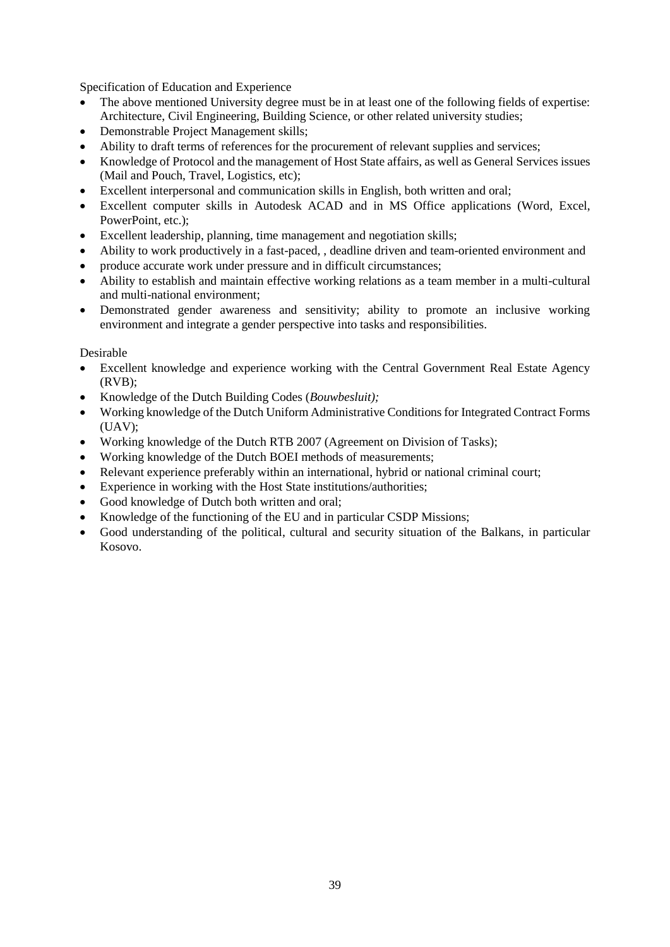Specification of Education and Experience

- The above mentioned University degree must be in at least one of the following fields of expertise: Architecture, Civil Engineering, Building Science, or other related university studies;
- Demonstrable Project Management skills;
- Ability to draft terms of references for the procurement of relevant supplies and services;
- Knowledge of Protocol and the management of Host State affairs, as well as General Services issues (Mail and Pouch, Travel, Logistics, etc);
- Excellent interpersonal and communication skills in English, both written and oral;
- Excellent computer skills in Autodesk ACAD and in MS Office applications (Word, Excel, PowerPoint, etc.);
- Excellent leadership, planning, time management and negotiation skills;
- Ability to work productively in a fast-paced, , deadline driven and team-oriented environment and
- produce accurate work under pressure and in difficult circumstances;
- Ability to establish and maintain effective working relations as a team member in a multi-cultural and multi-national environment;
- Demonstrated gender awareness and sensitivity; ability to promote an inclusive working environment and integrate a gender perspective into tasks and responsibilities.

- Excellent knowledge and experience working with the Central Government Real Estate Agency (RVB);
- Knowledge of the Dutch Building Codes (*Bouwbesluit);*
- Working knowledge of the Dutch Uniform Administrative Conditions for Integrated Contract Forms (UAV);
- Working knowledge of the Dutch RTB 2007 (Agreement on Division of Tasks);
- Working knowledge of the Dutch BOEI methods of measurements;
- Relevant experience preferably within an international, hybrid or national criminal court;
- Experience in working with the Host State institutions/authorities;
- Good knowledge of Dutch both written and oral;
- Knowledge of the functioning of the EU and in particular CSDP Missions;
- Good understanding of the political, cultural and security situation of the Balkans, in particular Kosovo.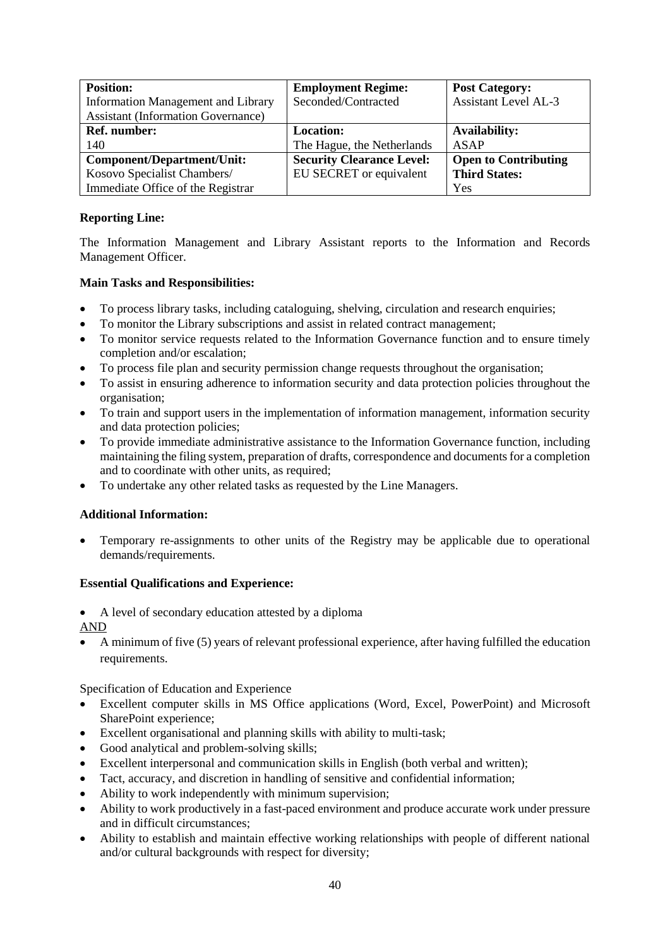| <b>Position:</b>                          | <b>Employment Regime:</b>        | <b>Post Category:</b>       |
|-------------------------------------------|----------------------------------|-----------------------------|
| <b>Information Management and Library</b> | Seconded/Contracted              | <b>Assistant Level AL-3</b> |
| <b>Assistant (Information Governance)</b> |                                  |                             |
| <b>Ref.</b> number:                       | <b>Location:</b>                 | <b>Availability:</b>        |
| 140                                       | The Hague, the Netherlands       | ASAP                        |
| Component/Department/Unit:                | <b>Security Clearance Level:</b> | <b>Open to Contributing</b> |
| Kosovo Specialist Chambers/               | EU SECRET or equivalent          | <b>Third States:</b>        |
| Immediate Office of the Registrar         |                                  | Yes                         |

The Information Management and Library Assistant reports to the Information and Records Management Officer.

# **Main Tasks and Responsibilities:**

- To process library tasks, including cataloguing, shelving, circulation and research enquiries;
- To monitor the Library subscriptions and assist in related contract management;
- To monitor service requests related to the Information Governance function and to ensure timely completion and/or escalation;
- To process file plan and security permission change requests throughout the organisation;
- To assist in ensuring adherence to information security and data protection policies throughout the organisation;
- To train and support users in the implementation of information management, information security and data protection policies;
- To provide immediate administrative assistance to the Information Governance function, including maintaining the filing system, preparation of drafts, correspondence and documents for a completion and to coordinate with other units, as required;
- To undertake any other related tasks as requested by the Line Managers.

# **Additional Information:**

 Temporary re-assignments to other units of the Registry may be applicable due to operational demands/requirements.

# **Essential Qualifications and Experience:**

A level of secondary education attested by a diploma

AND

 A minimum of five (5) years of relevant professional experience, after having fulfilled the education requirements.

- Excellent computer skills in MS Office applications (Word, Excel, PowerPoint) and Microsoft SharePoint experience;
- Excellent organisational and planning skills with ability to multi-task;
- Good analytical and problem-solving skills;
- Excellent interpersonal and communication skills in English (both verbal and written);
- Tact, accuracy, and discretion in handling of sensitive and confidential information;
- Ability to work independently with minimum supervision;
- Ability to work productively in a fast-paced environment and produce accurate work under pressure and in difficult circumstances;
- Ability to establish and maintain effective working relationships with people of different national and/or cultural backgrounds with respect for diversity;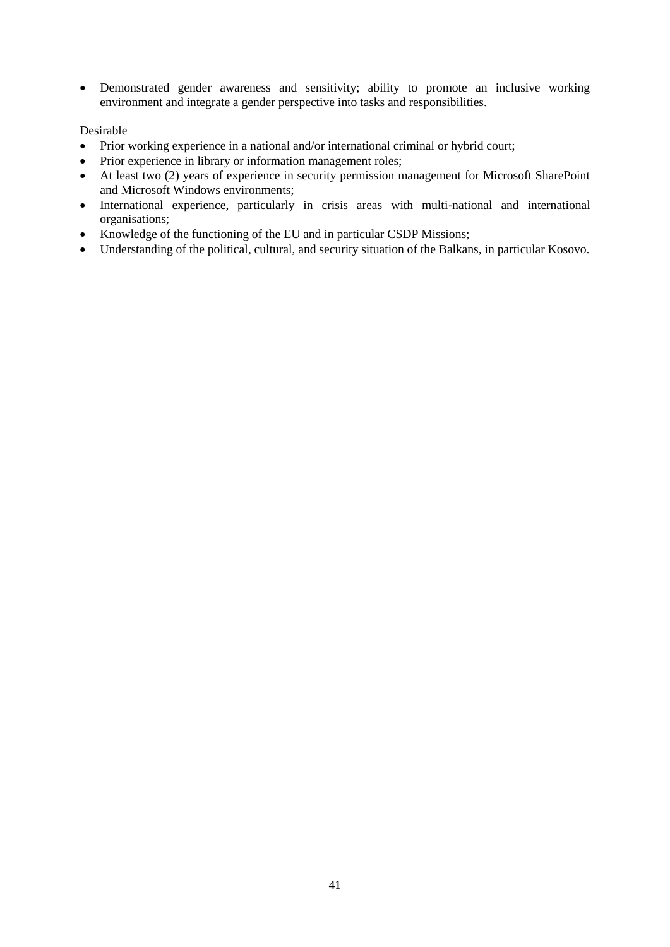Demonstrated gender awareness and sensitivity; ability to promote an inclusive working environment and integrate a gender perspective into tasks and responsibilities.

- Prior working experience in a national and/or international criminal or hybrid court;
- Prior experience in library or information management roles;
- At least two (2) years of experience in security permission management for Microsoft SharePoint and Microsoft Windows environments;
- International experience, particularly in crisis areas with multi-national and international organisations;
- Knowledge of the functioning of the EU and in particular CSDP Missions;
- Understanding of the political, cultural, and security situation of the Balkans, in particular Kosovo.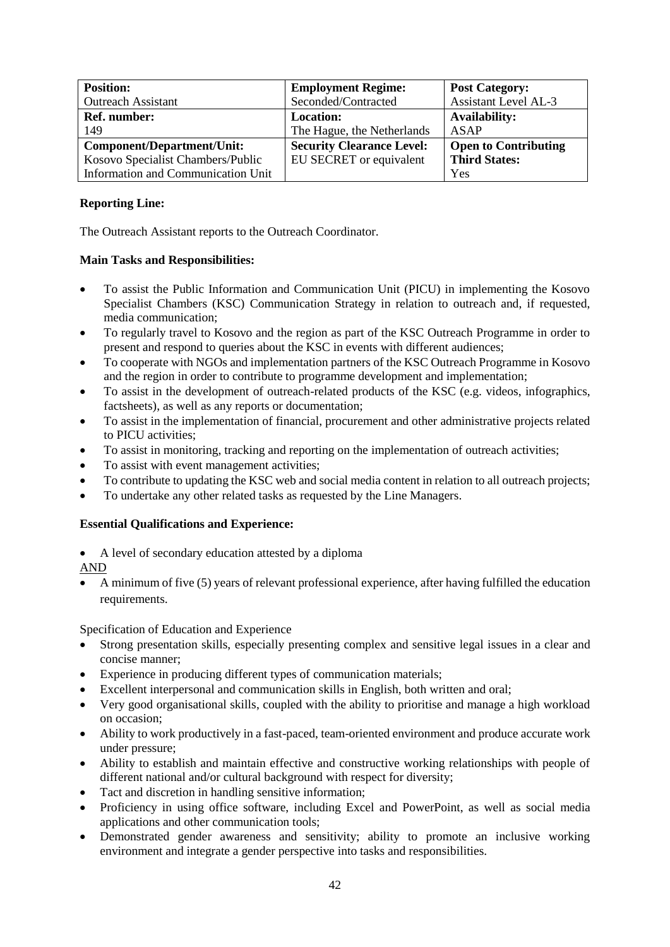| <b>Position:</b>                   | <b>Employment Regime:</b>        | <b>Post Category:</b>       |
|------------------------------------|----------------------------------|-----------------------------|
| <b>Outreach Assistant</b>          | Seconded/Contracted              | <b>Assistant Level AL-3</b> |
| Ref. number:                       | <b>Location:</b>                 | <b>Availability:</b>        |
| 149                                | The Hague, the Netherlands       | ASAP                        |
| <b>Component/Department/Unit:</b>  | <b>Security Clearance Level:</b> | <b>Open to Contributing</b> |
| Kosovo Specialist Chambers/Public  | EU SECRET or equivalent          | <b>Third States:</b>        |
| Information and Communication Unit |                                  | Yes                         |

The Outreach Assistant reports to the Outreach Coordinator.

# **Main Tasks and Responsibilities:**

- To assist the Public Information and Communication Unit (PICU) in implementing the Kosovo Specialist Chambers (KSC) Communication Strategy in relation to outreach and, if requested, media communication;
- To regularly travel to Kosovo and the region as part of the KSC Outreach Programme in order to present and respond to queries about the KSC in events with different audiences;
- To cooperate with NGOs and implementation partners of the KSC Outreach Programme in Kosovo and the region in order to contribute to programme development and implementation;
- To assist in the development of outreach-related products of the KSC (e.g. videos, infographics, factsheets), as well as any reports or documentation;
- To assist in the implementation of financial, procurement and other administrative projects related to PICU activities;
- To assist in monitoring, tracking and reporting on the implementation of outreach activities;
- To assist with event management activities;
- To contribute to updating the KSC web and social media content in relation to all outreach projects;
- To undertake any other related tasks as requested by the Line Managers.

# **Essential Qualifications and Experience:**

- A level of secondary education attested by a diploma
- AND
- A minimum of five (5) years of relevant professional experience, after having fulfilled the education requirements.

- Strong presentation skills, especially presenting complex and sensitive legal issues in a clear and concise manner;
- Experience in producing different types of communication materials;
- Excellent interpersonal and communication skills in English, both written and oral;
- Very good organisational skills, coupled with the ability to prioritise and manage a high workload on occasion;
- Ability to work productively in a fast-paced, team-oriented environment and produce accurate work under pressure;
- Ability to establish and maintain effective and constructive working relationships with people of different national and/or cultural background with respect for diversity;
- Tact and discretion in handling sensitive information;
- Proficiency in using office software, including Excel and PowerPoint, as well as social media applications and other communication tools;
- Demonstrated gender awareness and sensitivity; ability to promote an inclusive working environment and integrate a gender perspective into tasks and responsibilities.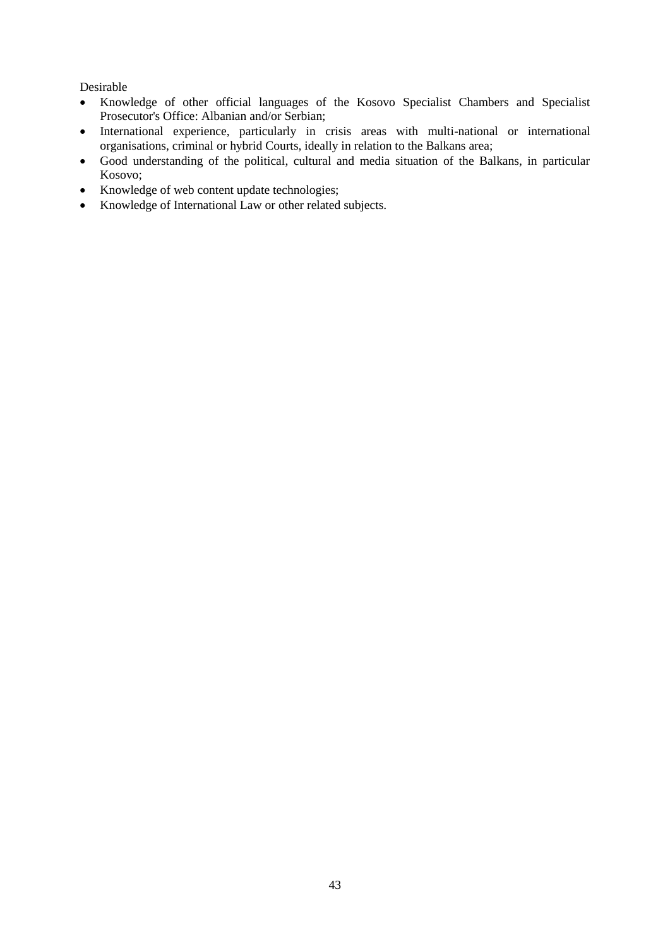- Knowledge of other official languages of the Kosovo Specialist Chambers and Specialist Prosecutor's Office: Albanian and/or Serbian;
- International experience, particularly in crisis areas with multi-national or international organisations, criminal or hybrid Courts, ideally in relation to the Balkans area;
- Good understanding of the political, cultural and media situation of the Balkans, in particular Kosovo;
- Knowledge of web content update technologies;
- Knowledge of International Law or other related subjects.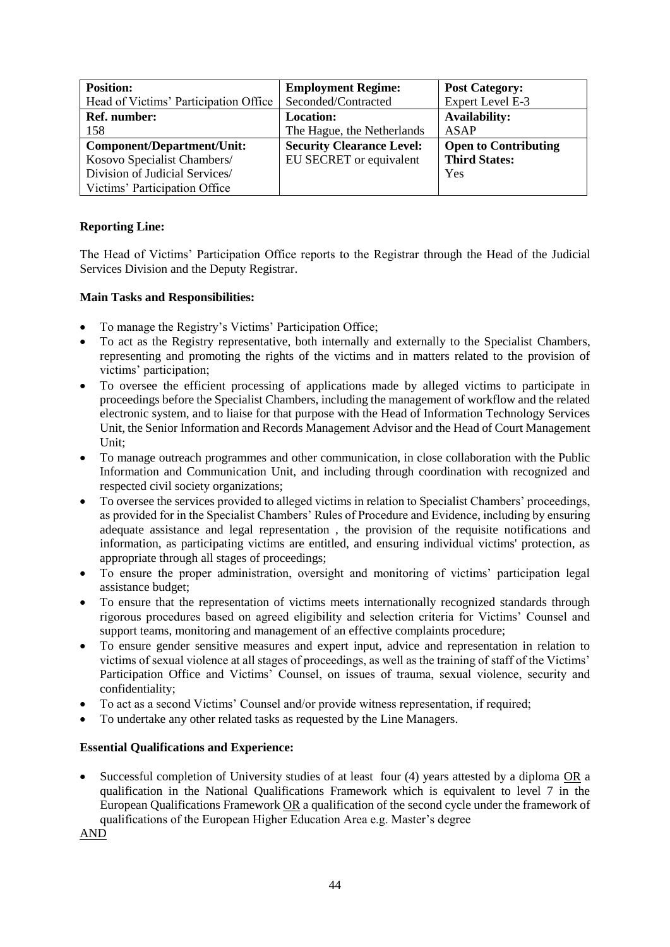| <b>Position:</b>                      | <b>Employment Regime:</b>        | <b>Post Category:</b>       |
|---------------------------------------|----------------------------------|-----------------------------|
| Head of Victims' Participation Office | Seconded/Contracted              | Expert Level E-3            |
| <b>Ref.</b> number:                   | <b>Location:</b>                 | <b>Availability:</b>        |
| 158                                   | The Hague, the Netherlands       | ASAP                        |
| <b>Component/Department/Unit:</b>     | <b>Security Clearance Level:</b> | <b>Open to Contributing</b> |
| Kosovo Specialist Chambers/           | EU SECRET or equivalent          | <b>Third States:</b>        |
| Division of Judicial Services/        |                                  | Yes                         |
| Victims' Participation Office         |                                  |                             |

The Head of Victims' Participation Office reports to the Registrar through the Head of the Judicial Services Division and the Deputy Registrar.

# **Main Tasks and Responsibilities:**

- To manage the Registry's Victims' Participation Office;
- To act as the Registry representative, both internally and externally to the Specialist Chambers, representing and promoting the rights of the victims and in matters related to the provision of victims' participation;
- To oversee the efficient processing of applications made by alleged victims to participate in proceedings before the Specialist Chambers, including the management of workflow and the related electronic system, and to liaise for that purpose with the Head of Information Technology Services Unit, the Senior Information and Records Management Advisor and the Head of Court Management Unit;
- To manage outreach programmes and other communication, in close collaboration with the Public Information and Communication Unit, and including through coordination with recognized and respected civil society organizations;
- To oversee the services provided to alleged victims in relation to Specialist Chambers' proceedings, as provided for in the Specialist Chambers' Rules of Procedure and Evidence, including by ensuring adequate assistance and legal representation , the provision of the requisite notifications and information, as participating victims are entitled, and ensuring individual victims' protection, as appropriate through all stages of proceedings;
- To ensure the proper administration, oversight and monitoring of victims' participation legal assistance budget;
- To ensure that the representation of victims meets internationally recognized standards through rigorous procedures based on agreed eligibility and selection criteria for Victims' Counsel and support teams, monitoring and management of an effective complaints procedure;
- To ensure gender sensitive measures and expert input, advice and representation in relation to victims of sexual violence at all stages of proceedings, as well as the training of staff of the Victims' Participation Office and Victims' Counsel, on issues of trauma, sexual violence, security and confidentiality;
- To act as a second Victims' Counsel and/or provide witness representation, if required;
- To undertake any other related tasks as requested by the Line Managers.

# **Essential Qualifications and Experience:**

 Successful completion of University studies of at least four (4) years attested by a diploma OR a qualification in the National Qualifications Framework which is equivalent to level 7 in the European Qualifications Framework OR a qualification of the second cycle under the framework of qualifications of the European Higher Education Area e.g. Master's degree

AND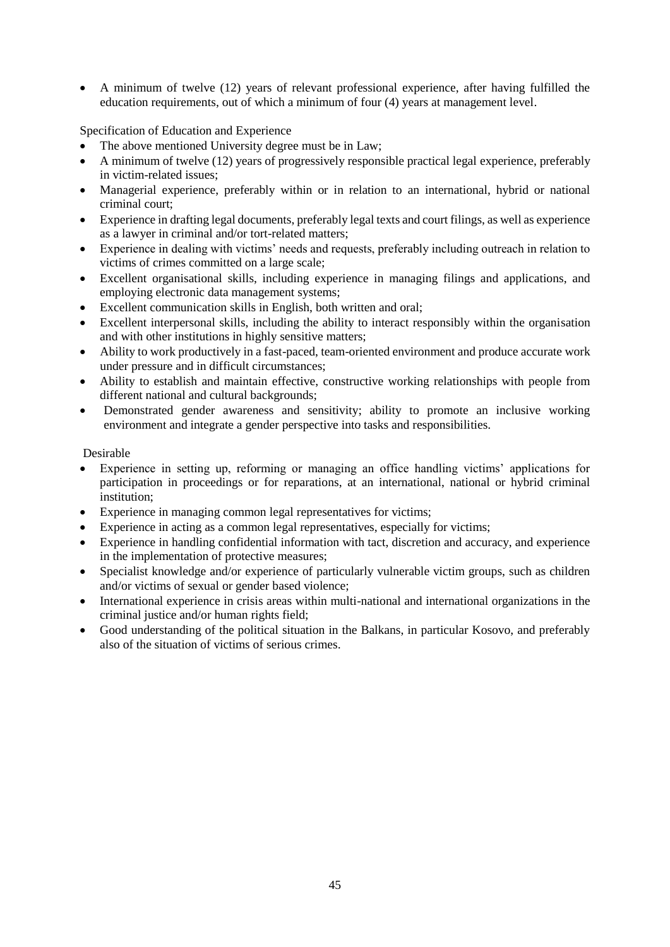A minimum of twelve (12) years of relevant professional experience, after having fulfilled the education requirements, out of which a minimum of four (4) years at management level.

Specification of Education and Experience

- The above mentioned University degree must be in Law;
- A minimum of twelve (12) years of progressively responsible practical legal experience, preferably in victim-related issues;
- Managerial experience, preferably within or in relation to an international, hybrid or national criminal court;
- Experience in drafting legal documents, preferably legal texts and court filings, as well as experience as a lawyer in criminal and/or tort-related matters;
- Experience in dealing with victims' needs and requests, preferably including outreach in relation to victims of crimes committed on a large scale;
- Excellent organisational skills, including experience in managing filings and applications, and employing electronic data management systems;
- Excellent communication skills in English, both written and oral;
- Excellent interpersonal skills, including the ability to interact responsibly within the organisation and with other institutions in highly sensitive matters;
- Ability to work productively in a fast-paced, team-oriented environment and produce accurate work under pressure and in difficult circumstances;
- Ability to establish and maintain effective, constructive working relationships with people from different national and cultural backgrounds;
- Demonstrated gender awareness and sensitivity; ability to promote an inclusive working environment and integrate a gender perspective into tasks and responsibilities.

- Experience in setting up, reforming or managing an office handling victims' applications for participation in proceedings or for reparations, at an international, national or hybrid criminal institution;
- Experience in managing common legal representatives for victims;
- Experience in acting as a common legal representatives, especially for victims;
- Experience in handling confidential information with tact, discretion and accuracy, and experience in the implementation of protective measures;
- Specialist knowledge and/or experience of particularly vulnerable victim groups, such as children and/or victims of sexual or gender based violence;
- International experience in crisis areas within multi-national and international organizations in the criminal justice and/or human rights field;
- Good understanding of the political situation in the Balkans, in particular Kosovo, and preferably also of the situation of victims of serious crimes.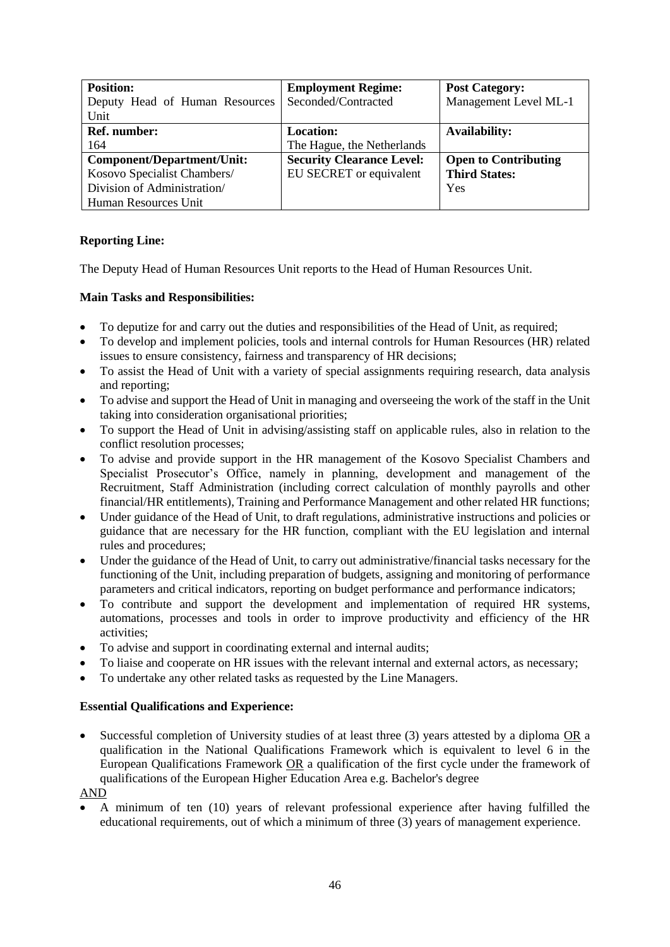| <b>Position:</b>                  | <b>Employment Regime:</b>        | <b>Post Category:</b>       |
|-----------------------------------|----------------------------------|-----------------------------|
| Deputy Head of Human Resources    | Seconded/Contracted              | Management Level ML-1       |
| Unit                              |                                  |                             |
| <b>Ref. number:</b>               | <b>Location:</b>                 | <b>Availability:</b>        |
| 164                               | The Hague, the Netherlands       |                             |
| <b>Component/Department/Unit:</b> | <b>Security Clearance Level:</b> | <b>Open to Contributing</b> |
| Kosovo Specialist Chambers/       | EU SECRET or equivalent          | <b>Third States:</b>        |
| Division of Administration/       |                                  | Yes                         |
| Human Resources Unit              |                                  |                             |

The Deputy Head of Human Resources Unit reports to the Head of Human Resources Unit.

## **Main Tasks and Responsibilities:**

- To deputize for and carry out the duties and responsibilities of the Head of Unit, as required;
- To develop and implement policies, tools and internal controls for Human Resources (HR) related issues to ensure consistency, fairness and transparency of HR decisions;
- To assist the Head of Unit with a variety of special assignments requiring research, data analysis and reporting;
- To advise and support the Head of Unit in managing and overseeing the work of the staff in the Unit taking into consideration organisational priorities;
- To support the Head of Unit in advising/assisting staff on applicable rules, also in relation to the conflict resolution processes;
- To advise and provide support in the HR management of the Kosovo Specialist Chambers and Specialist Prosecutor's Office, namely in planning, development and management of the Recruitment, Staff Administration (including correct calculation of monthly payrolls and other financial/HR entitlements), Training and Performance Management and other related HR functions;
- Under guidance of the Head of Unit, to draft regulations, administrative instructions and policies or guidance that are necessary for the HR function, compliant with the EU legislation and internal rules and procedures;
- Under the guidance of the Head of Unit, to carry out administrative/financial tasks necessary for the functioning of the Unit, including preparation of budgets, assigning and monitoring of performance parameters and critical indicators, reporting on budget performance and performance indicators;
- To contribute and support the development and implementation of required HR systems, automations, processes and tools in order to improve productivity and efficiency of the HR activities;
- To advise and support in coordinating external and internal audits;
- To liaise and cooperate on HR issues with the relevant internal and external actors, as necessary;
- To undertake any other related tasks as requested by the Line Managers.

### **Essential Qualifications and Experience:**

 Successful completion of University studies of at least three (3) years attested by a diploma OR a qualification in the National Qualifications Framework which is equivalent to level 6 in the European Qualifications Framework OR a qualification of the first cycle under the framework of qualifications of the European Higher Education Area e.g. Bachelor's degree

### AND

 A minimum of ten (10) years of relevant professional experience after having fulfilled the educational requirements, out of which a minimum of three (3) years of management experience.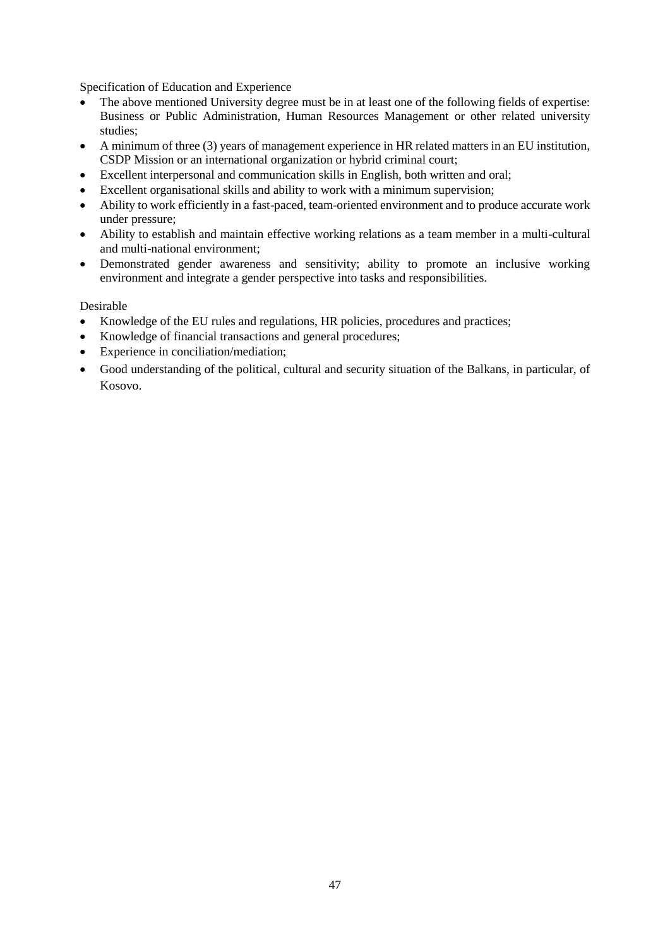Specification of Education and Experience

- The above mentioned University degree must be in at least one of the following fields of expertise: Business or Public Administration, Human Resources Management or other related university studies;
- A minimum of three (3) years of management experience in HR related matters in an EU institution, CSDP Mission or an international organization or hybrid criminal court;
- Excellent interpersonal and communication skills in English, both written and oral;
- Excellent organisational skills and ability to work with a minimum supervision;
- Ability to work efficiently in a fast-paced, team-oriented environment and to produce accurate work under pressure;
- Ability to establish and maintain effective working relations as a team member in a multi-cultural and multi-national environment;
- Demonstrated gender awareness and sensitivity; ability to promote an inclusive working environment and integrate a gender perspective into tasks and responsibilities.

- Knowledge of the EU rules and regulations, HR policies, procedures and practices;
- Knowledge of financial transactions and general procedures;
- Experience in conciliation/mediation;
- Good understanding of the political, cultural and security situation of the Balkans, in particular, of Kosovo.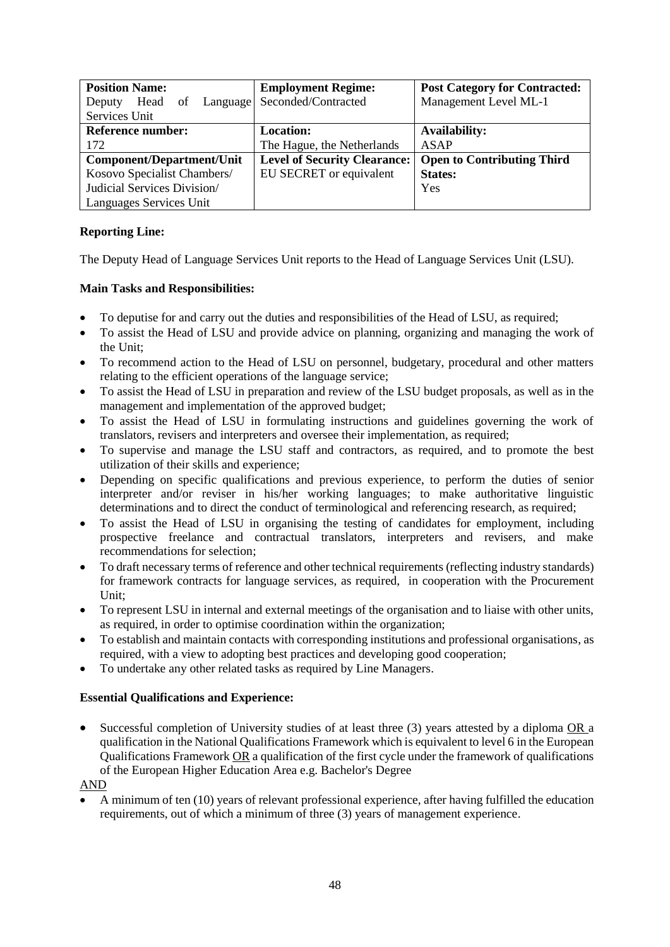| <b>Position Name:</b>            | <b>Employment Regime:</b>           | <b>Post Category for Contracted:</b> |
|----------------------------------|-------------------------------------|--------------------------------------|
| Head<br>of<br>Language<br>Deputy | Seconded/Contracted                 | Management Level ML-1                |
| Services Unit                    |                                     |                                      |
| <b>Reference number:</b>         | <b>Location:</b>                    | <b>Availability:</b>                 |
| 172                              | The Hague, the Netherlands          | ASAP                                 |
| <b>Component/Department/Unit</b> | <b>Level of Security Clearance:</b> | <b>Open to Contributing Third</b>    |
| Kosovo Specialist Chambers/      | EU SECRET or equivalent             | <b>States:</b>                       |
| Judicial Services Division/      |                                     | Yes                                  |
| Languages Services Unit          |                                     |                                      |

The Deputy Head of Language Services Unit reports to the Head of Language Services Unit (LSU).

# **Main Tasks and Responsibilities:**

- To deputise for and carry out the duties and responsibilities of the Head of LSU, as required;
- To assist the Head of LSU and provide advice on planning, organizing and managing the work of the Unit;
- To recommend action to the Head of LSU on personnel, budgetary, procedural and other matters relating to the efficient operations of the language service;
- To assist the Head of LSU in preparation and review of the LSU budget proposals, as well as in the management and implementation of the approved budget;
- To assist the Head of LSU in formulating instructions and guidelines governing the work of translators, revisers and interpreters and oversee their implementation, as required;
- To supervise and manage the LSU staff and contractors, as required, and to promote the best utilization of their skills and experience;
- Depending on specific qualifications and previous experience, to perform the duties of senior interpreter and/or reviser in his/her working languages; to make authoritative linguistic determinations and to direct the conduct of terminological and referencing research, as required;
- To assist the Head of LSU in organising the testing of candidates for employment, including prospective freelance and contractual translators, interpreters and revisers, and make recommendations for selection;
- To draft necessary terms of reference and other technical requirements (reflecting industry standards) for framework contracts for language services, as required, in cooperation with the Procurement Unit;
- To represent LSU in internal and external meetings of the organisation and to liaise with other units, as required, in order to optimise coordination within the organization;
- To establish and maintain contacts with corresponding institutions and professional organisations, as required, with a view to adopting best practices and developing good cooperation;
- To undertake any other related tasks as required by Line Managers.

# **Essential Qualifications and Experience:**

Successful completion of University studies of at least three (3) years attested by a diploma OR a qualification in the National Qualifications Framework which is equivalent to level 6 in the European Qualifications Framework OR a qualification of the first cycle under the framework of qualifications of the European Higher Education Area e.g. Bachelor's Degree

AND

 A minimum of ten (10) years of relevant professional experience, after having fulfilled the education requirements, out of which a minimum of three (3) years of management experience.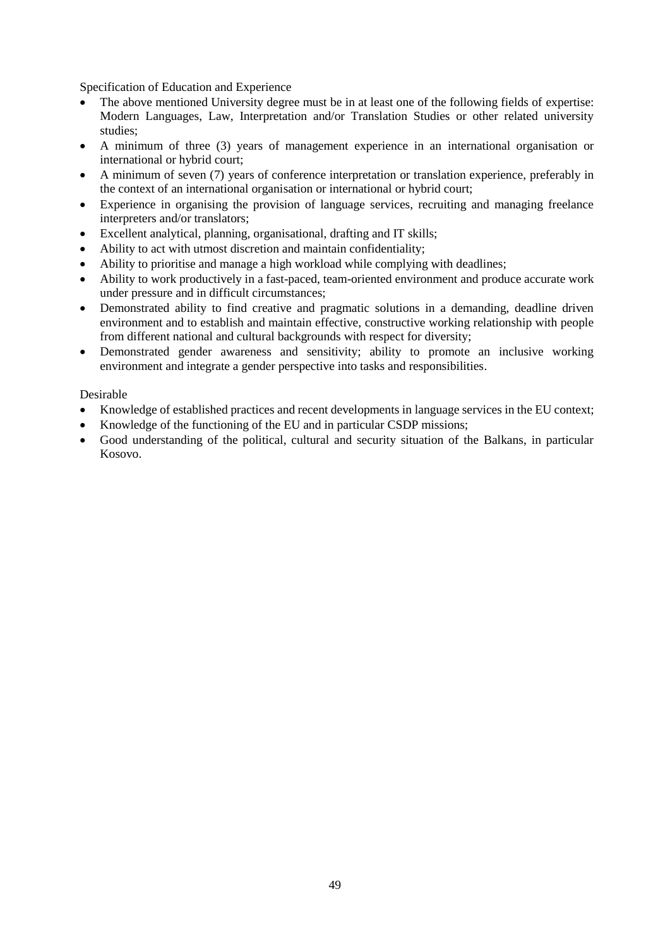Specification of Education and Experience

- The above mentioned University degree must be in at least one of the following fields of expertise: Modern Languages, Law, Interpretation and/or Translation Studies or other related university studies;
- A minimum of three (3) years of management experience in an international organisation or international or hybrid court;
- A minimum of seven (7) years of conference interpretation or translation experience, preferably in the context of an international organisation or international or hybrid court;
- Experience in organising the provision of language services, recruiting and managing freelance interpreters and/or translators;
- Excellent analytical, planning, organisational, drafting and IT skills;
- Ability to act with utmost discretion and maintain confidentiality;
- Ability to prioritise and manage a high workload while complying with deadlines;
- Ability to work productively in a fast-paced, team-oriented environment and produce accurate work under pressure and in difficult circumstances;
- Demonstrated ability to find creative and pragmatic solutions in a demanding, deadline driven environment and to establish and maintain effective, constructive working relationship with people from different national and cultural backgrounds with respect for diversity;
- Demonstrated gender awareness and sensitivity; ability to promote an inclusive working environment and integrate a gender perspective into tasks and responsibilities.

- Knowledge of established practices and recent developments in language services in the EU context;
- Knowledge of the functioning of the EU and in particular CSDP missions;
- Good understanding of the political, cultural and security situation of the Balkans, in particular Kosovo.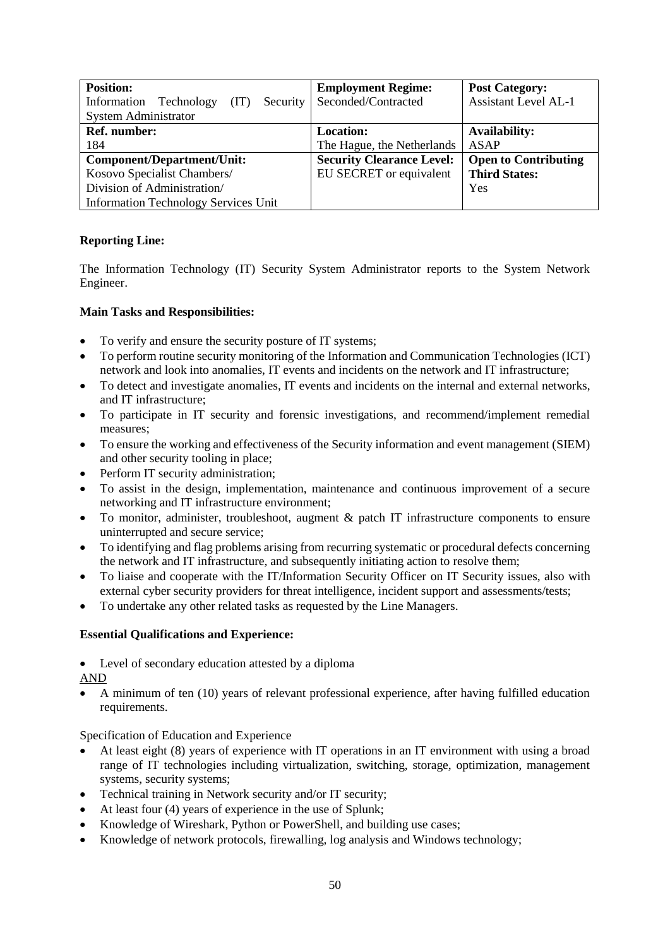| <b>Position:</b>                              | <b>Employment Regime:</b>        | <b>Post Category:</b>       |
|-----------------------------------------------|----------------------------------|-----------------------------|
| Information<br>Technology<br>(IT)<br>Security | Seconded/Contracted              | <b>Assistant Level AL-1</b> |
| <b>System Administrator</b>                   |                                  |                             |
| Ref. number:                                  | <b>Location:</b>                 | <b>Availability:</b>        |
| 184                                           | The Hague, the Netherlands       | <b>ASAP</b>                 |
| <b>Component/Department/Unit:</b>             | <b>Security Clearance Level:</b> | <b>Open to Contributing</b> |
| Kosovo Specialist Chambers/                   | EU SECRET or equivalent          | <b>Third States:</b>        |
| Division of Administration/                   |                                  | Yes                         |
| <b>Information Technology Services Unit</b>   |                                  |                             |

The Information Technology (IT) Security System Administrator reports to the System Network Engineer.

## **Main Tasks and Responsibilities:**

- To verify and ensure the security posture of IT systems;
- To perform routine security monitoring of the Information and Communication Technologies (ICT) network and look into anomalies, IT events and incidents on the network and IT infrastructure;
- To detect and investigate anomalies, IT events and incidents on the internal and external networks, and IT infrastructure;
- To participate in IT security and forensic investigations, and recommend/implement remedial measures;
- To ensure the working and effectiveness of the Security information and event management (SIEM) and other security tooling in place;
- Perform IT security administration;
- To assist in the design, implementation, maintenance and continuous improvement of a secure networking and IT infrastructure environment;
- To monitor, administer, troubleshoot, augment & patch IT infrastructure components to ensure uninterrupted and secure service;
- To identifying and flag problems arising from recurring systematic or procedural defects concerning the network and IT infrastructure, and subsequently initiating action to resolve them;
- To liaise and cooperate with the IT/Information Security Officer on IT Security issues, also with external cyber security providers for threat intelligence, incident support and assessments/tests;
- To undertake any other related tasks as requested by the Line Managers.

### **Essential Qualifications and Experience:**

Level of secondary education attested by a diploma

AND

 A minimum of ten (10) years of relevant professional experience, after having fulfilled education requirements.

- At least eight (8) years of experience with IT operations in an IT environment with using a broad range of IT technologies including virtualization, switching, storage, optimization, management systems, security systems;
- Technical training in Network security and/or IT security;
- At least four (4) years of experience in the use of Splunk;
- Knowledge of Wireshark, Python or PowerShell, and building use cases;
- Knowledge of network protocols, firewalling, log analysis and Windows technology;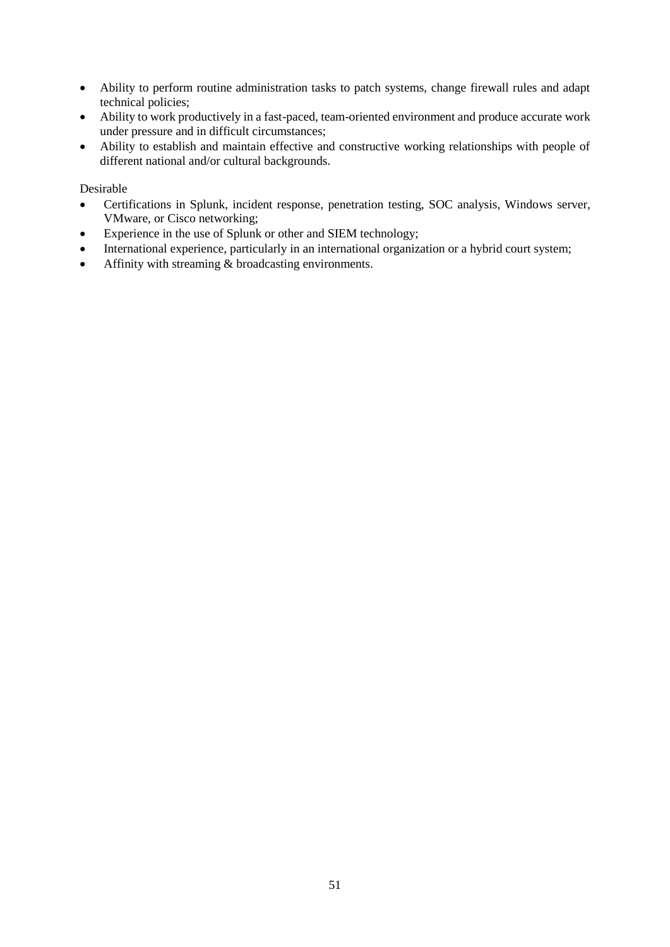- Ability to perform routine administration tasks to patch systems, change firewall rules and adapt technical policies;
- Ability to work productively in a fast-paced, team-oriented environment and produce accurate work under pressure and in difficult circumstances;
- Ability to establish and maintain effective and constructive working relationships with people of different national and/or cultural backgrounds.

- Certifications in Splunk, incident response, penetration testing, SOC analysis, Windows server, VMware, or Cisco networking;
- Experience in the use of Splunk or other and SIEM technology;
- International experience, particularly in an international organization or a hybrid court system;
- Affinity with streaming & broadcasting environments.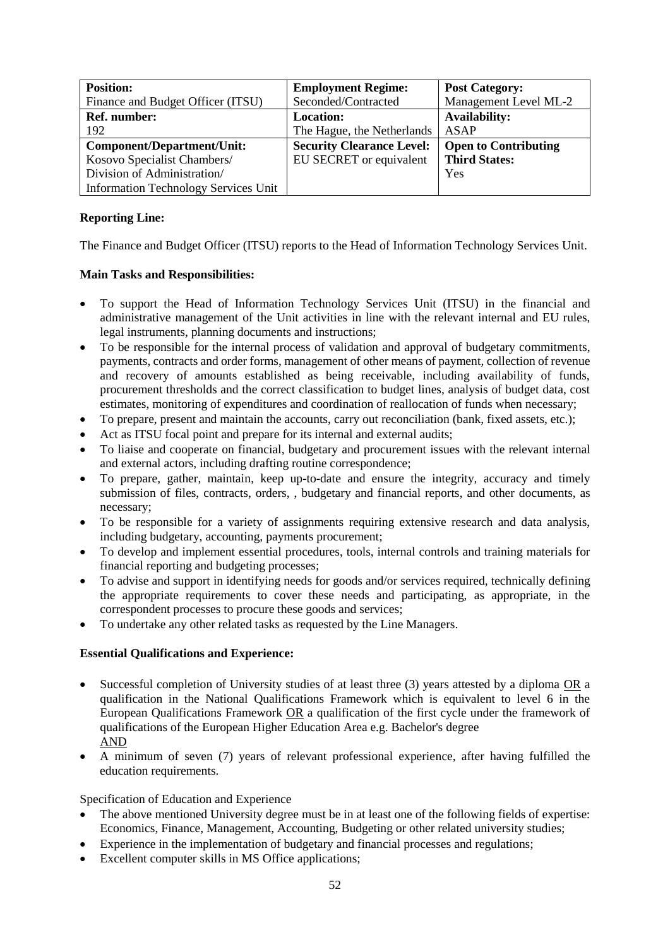| <b>Position:</b>                            | <b>Employment Regime:</b>        | <b>Post Category:</b>       |
|---------------------------------------------|----------------------------------|-----------------------------|
| Finance and Budget Officer (ITSU)           | Seconded/Contracted              | Management Level ML-2       |
| Ref. number:                                | <b>Location:</b>                 | <b>Availability:</b>        |
| 192                                         | The Hague, the Netherlands       | ASAP                        |
| Component/Department/Unit:                  | <b>Security Clearance Level:</b> | <b>Open to Contributing</b> |
| Kosovo Specialist Chambers/                 | EU SECRET or equivalent          | <b>Third States:</b>        |
| Division of Administration/                 |                                  | Yes                         |
| <b>Information Technology Services Unit</b> |                                  |                             |

The Finance and Budget Officer (ITSU) reports to the Head of Information Technology Services Unit.

## **Main Tasks and Responsibilities:**

- To support the Head of Information Technology Services Unit (ITSU) in the financial and administrative management of the Unit activities in line with the relevant internal and EU rules, legal instruments, planning documents and instructions;
- To be responsible for the internal process of validation and approval of budgetary commitments, payments, contracts and order forms, management of other means of payment, collection of revenue and recovery of amounts established as being receivable, including availability of funds, procurement thresholds and the correct classification to budget lines, analysis of budget data, cost estimates, monitoring of expenditures and coordination of reallocation of funds when necessary;
- To prepare, present and maintain the accounts, carry out reconciliation (bank, fixed assets, etc.);
- Act as ITSU focal point and prepare for its internal and external audits;
- To liaise and cooperate on financial, budgetary and procurement issues with the relevant internal and external actors, including drafting routine correspondence;
- To prepare, gather, maintain, keep up-to-date and ensure the integrity, accuracy and timely submission of files, contracts, orders, , budgetary and financial reports, and other documents, as necessary;
- To be responsible for a variety of assignments requiring extensive research and data analysis, including budgetary, accounting, payments procurement;
- To develop and implement essential procedures, tools, internal controls and training materials for financial reporting and budgeting processes;
- To advise and support in identifying needs for goods and/or services required, technically defining the appropriate requirements to cover these needs and participating, as appropriate, in the correspondent processes to procure these goods and services;
- To undertake any other related tasks as requested by the Line Managers.

# **Essential Qualifications and Experience:**

- Successful completion of University studies of at least three (3) years attested by a diploma OR a qualification in the National Qualifications Framework which is equivalent to level 6 in the European Qualifications Framework OR a qualification of the first cycle under the framework of qualifications of the European Higher Education Area e.g. Bachelor's degree AND
- A minimum of seven (7) years of relevant professional experience, after having fulfilled the education requirements.

- The above mentioned University degree must be in at least one of the following fields of expertise: Economics, Finance, Management, Accounting, Budgeting or other related university studies;
- Experience in the implementation of budgetary and financial processes and regulations;
- Excellent computer skills in MS Office applications;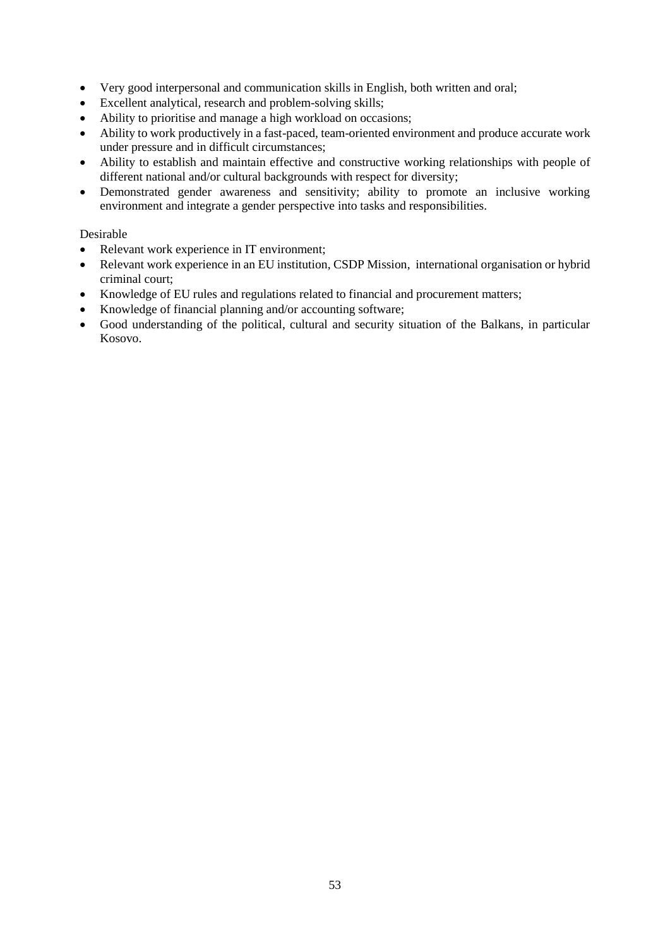- Very good interpersonal and communication skills in English, both written and oral;
- Excellent analytical, research and problem-solving skills;
- Ability to prioritise and manage a high workload on occasions;
- Ability to work productively in a fast-paced, team-oriented environment and produce accurate work under pressure and in difficult circumstances;
- Ability to establish and maintain effective and constructive working relationships with people of different national and/or cultural backgrounds with respect for diversity;
- Demonstrated gender awareness and sensitivity; ability to promote an inclusive working environment and integrate a gender perspective into tasks and responsibilities.

- Relevant work experience in IT environment;
- Relevant work experience in an EU institution, CSDP Mission, international organisation or hybrid criminal court;
- Knowledge of EU rules and regulations related to financial and procurement matters;
- Knowledge of financial planning and/or accounting software;
- Good understanding of the political, cultural and security situation of the Balkans, in particular Kosovo.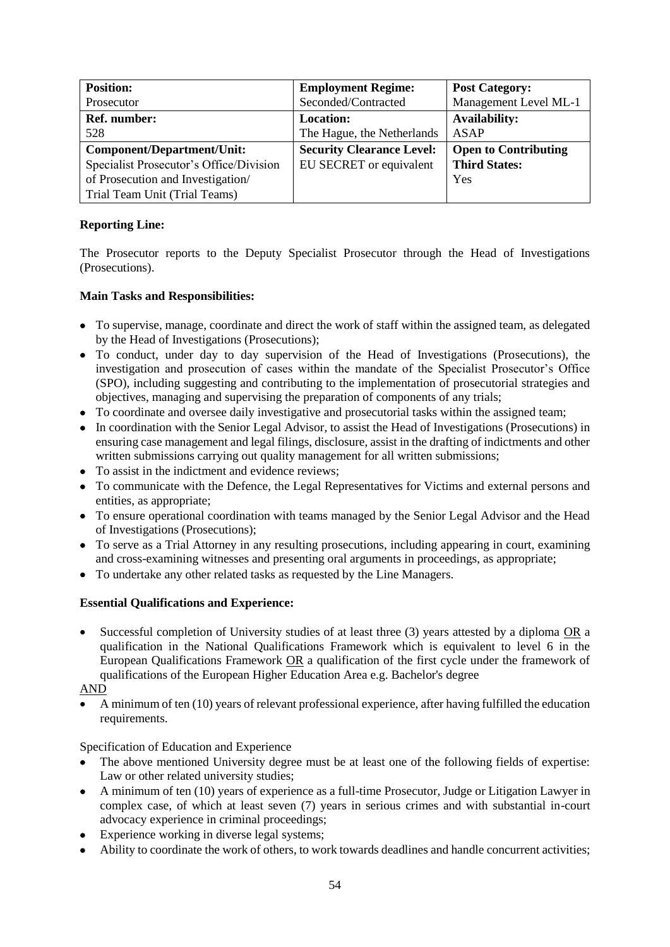| <b>Position:</b>                        | <b>Employment Regime:</b>        | <b>Post Category:</b>       |
|-----------------------------------------|----------------------------------|-----------------------------|
| Prosecutor                              | Seconded/Contracted              | Management Level ML-1       |
| <b>Ref.</b> number:                     | <b>Location:</b>                 | <b>Availability:</b>        |
| 528                                     | The Hague, the Netherlands       | ASAP                        |
| Component/Department/Unit:              | <b>Security Clearance Level:</b> | <b>Open to Contributing</b> |
| Specialist Prosecutor's Office/Division | EU SECRET or equivalent          | <b>Third States:</b>        |
| of Prosecution and Investigation/       |                                  | Yes                         |
| Trial Team Unit (Trial Teams)           |                                  |                             |

The Prosecutor reports to the Deputy Specialist Prosecutor through the Head of Investigations (Prosecutions).

# **Main Tasks and Responsibilities:**

- To supervise, manage, coordinate and direct the work of staff within the assigned team, as delegated by the Head of Investigations (Prosecutions);
- To conduct, under day to day supervision of the Head of Investigations (Prosecutions), the investigation and prosecution of cases within the mandate of the Specialist Prosecutor's Office (SPO), including suggesting and contributing to the implementation of prosecutorial strategies and objectives, managing and supervising the preparation of components of any trials;
- To coordinate and oversee daily investigative and prosecutorial tasks within the assigned team;
- In coordination with the Senior Legal Advisor, to assist the Head of Investigations (Prosecutions) in ensuring case management and legal filings, disclosure, assist in the drafting of indictments and other written submissions carrying out quality management for all written submissions;
- To assist in the indictment and evidence reviews;
- To communicate with the Defence, the Legal Representatives for Victims and external persons and entities, as appropriate;
- To ensure operational coordination with teams managed by the Senior Legal Advisor and the Head of Investigations (Prosecutions);
- To serve as a Trial Attorney in any resulting prosecutions, including appearing in court, examining and cross-examining witnesses and presenting oral arguments in proceedings, as appropriate;
- To undertake any other related tasks as requested by the Line Managers.

# **Essential Qualifications and Experience:**

 Successful completion of University studies of at least three (3) years attested by a diploma OR a qualification in the National Qualifications Framework which is equivalent to level 6 in the European Qualifications Framework OR a qualification of the first cycle under the framework of qualifications of the European Higher Education Area e.g. Bachelor's degree

# AND

 A minimum of ten (10) years of relevant professional experience, after having fulfilled the education requirements.

- The above mentioned University degree must be at least one of the following fields of expertise: Law or other related university studies;
- A minimum of ten (10) years of experience as a full-time Prosecutor, Judge or Litigation Lawyer in complex case, of which at least seven (7) years in serious crimes and with substantial in-court advocacy experience in criminal proceedings;
- Experience working in diverse legal systems;
- Ability to coordinate the work of others, to work towards deadlines and handle concurrent activities;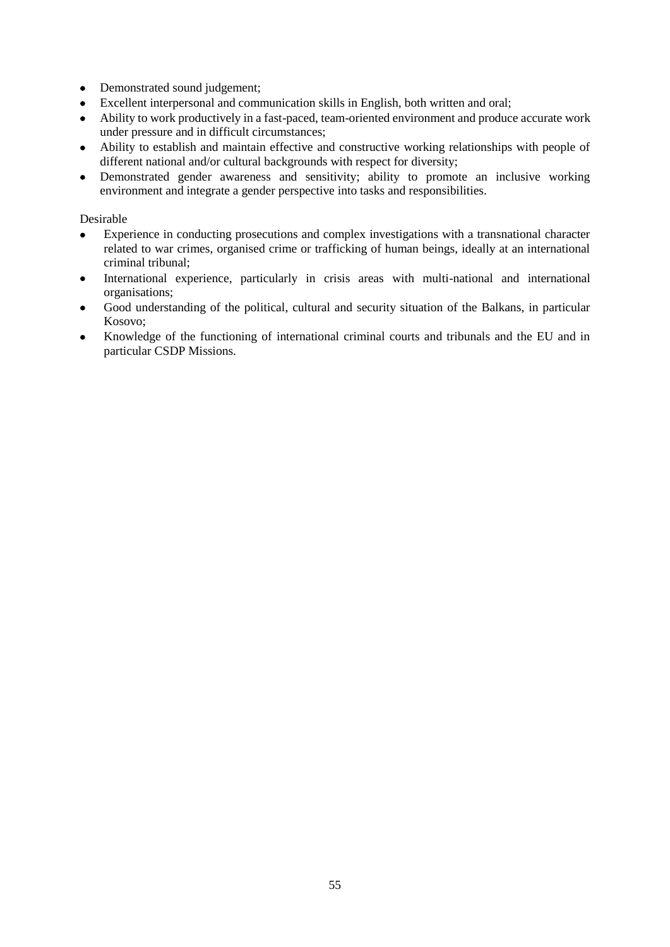- Demonstrated sound judgement;
- Excellent interpersonal and communication skills in English, both written and oral;
- Ability to work productively in a fast-paced, team-oriented environment and produce accurate work under pressure and in difficult circumstances;
- Ability to establish and maintain effective and constructive working relationships with people of different national and/or cultural backgrounds with respect for diversity;
- Demonstrated gender awareness and sensitivity; ability to promote an inclusive working environment and integrate a gender perspective into tasks and responsibilities.

- Experience in conducting prosecutions and complex investigations with a transnational character related to war crimes, organised crime or trafficking of human beings, ideally at an international criminal tribunal;
- International experience, particularly in crisis areas with multi-national and international organisations;
- Good understanding of the political, cultural and security situation of the Balkans, in particular Kosovo;
- Knowledge of the functioning of international criminal courts and tribunals and the EU and in particular CSDP Missions.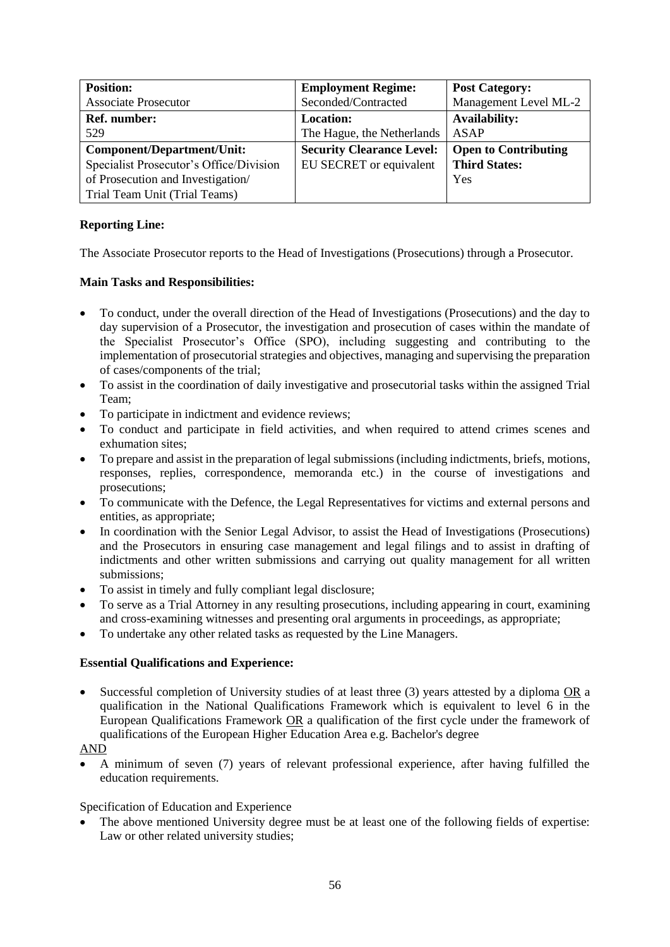| <b>Position:</b>                        | <b>Employment Regime:</b>        | <b>Post Category:</b>       |
|-----------------------------------------|----------------------------------|-----------------------------|
| <b>Associate Prosecutor</b>             | Seconded/Contracted              | Management Level ML-2       |
| Ref. number:                            | <b>Location:</b>                 | <b>Availability:</b>        |
| 529                                     | The Hague, the Netherlands       | <b>ASAP</b>                 |
| Component/Department/Unit:              | <b>Security Clearance Level:</b> | <b>Open to Contributing</b> |
| Specialist Prosecutor's Office/Division | EU SECRET or equivalent          | <b>Third States:</b>        |
| of Prosecution and Investigation/       |                                  | Yes                         |
| Trial Team Unit (Trial Teams)           |                                  |                             |

The Associate Prosecutor reports to the Head of Investigations (Prosecutions) through a Prosecutor.

## **Main Tasks and Responsibilities:**

- To conduct, under the overall direction of the Head of Investigations (Prosecutions) and the day to day supervision of a Prosecutor, the investigation and prosecution of cases within the mandate of the Specialist Prosecutor's Office (SPO), including suggesting and contributing to the implementation of prosecutorial strategies and objectives, managing and supervising the preparation of cases/components of the trial;
- To assist in the coordination of daily investigative and prosecutorial tasks within the assigned Trial Team;
- To participate in indictment and evidence reviews;
- To conduct and participate in field activities, and when required to attend crimes scenes and exhumation sites;
- To prepare and assist in the preparation of legal submissions (including indictments, briefs, motions, responses, replies, correspondence, memoranda etc.) in the course of investigations and prosecutions;
- To communicate with the Defence, the Legal Representatives for victims and external persons and entities, as appropriate;
- In coordination with the Senior Legal Advisor, to assist the Head of Investigations (Prosecutions) and the Prosecutors in ensuring case management and legal filings and to assist in drafting of indictments and other written submissions and carrying out quality management for all written submissions;
- To assist in timely and fully compliant legal disclosure;
- To serve as a Trial Attorney in any resulting prosecutions, including appearing in court, examining and cross-examining witnesses and presenting oral arguments in proceedings, as appropriate;
- To undertake any other related tasks as requested by the Line Managers.

### **Essential Qualifications and Experience:**

- Successful completion of University studies of at least three (3) years attested by a diploma OR a qualification in the National Qualifications Framework which is equivalent to level 6 in the European Qualifications Framework OR a qualification of the first cycle under the framework of qualifications of the European Higher Education Area e.g. Bachelor's degree
- AND
- A minimum of seven (7) years of relevant professional experience, after having fulfilled the education requirements.

### Specification of Education and Experience

 The above mentioned University degree must be at least one of the following fields of expertise: Law or other related university studies;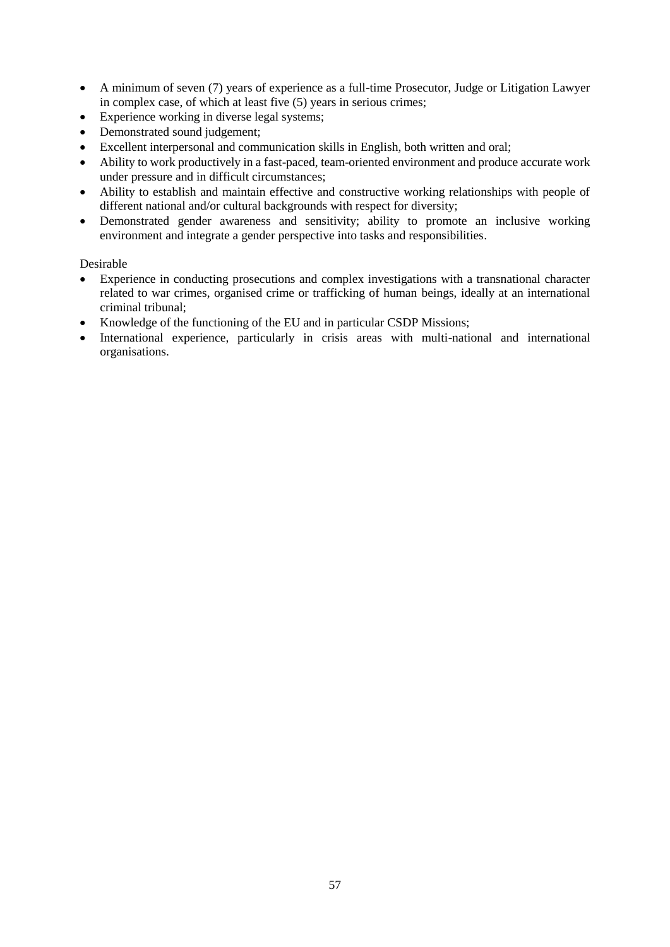- A minimum of seven (7) years of experience as a full-time Prosecutor, Judge or Litigation Lawyer in complex case, of which at least five (5) years in serious crimes;
- Experience working in diverse legal systems;
- Demonstrated sound judgement;
- Excellent interpersonal and communication skills in English, both written and oral;
- Ability to work productively in a fast-paced, team-oriented environment and produce accurate work under pressure and in difficult circumstances;
- Ability to establish and maintain effective and constructive working relationships with people of different national and/or cultural backgrounds with respect for diversity;
- Demonstrated gender awareness and sensitivity; ability to promote an inclusive working environment and integrate a gender perspective into tasks and responsibilities.

- Experience in conducting prosecutions and complex investigations with a transnational character related to war crimes, organised crime or trafficking of human beings, ideally at an international criminal tribunal;
- Knowledge of the functioning of the EU and in particular CSDP Missions;
- International experience, particularly in crisis areas with multi-national and international organisations.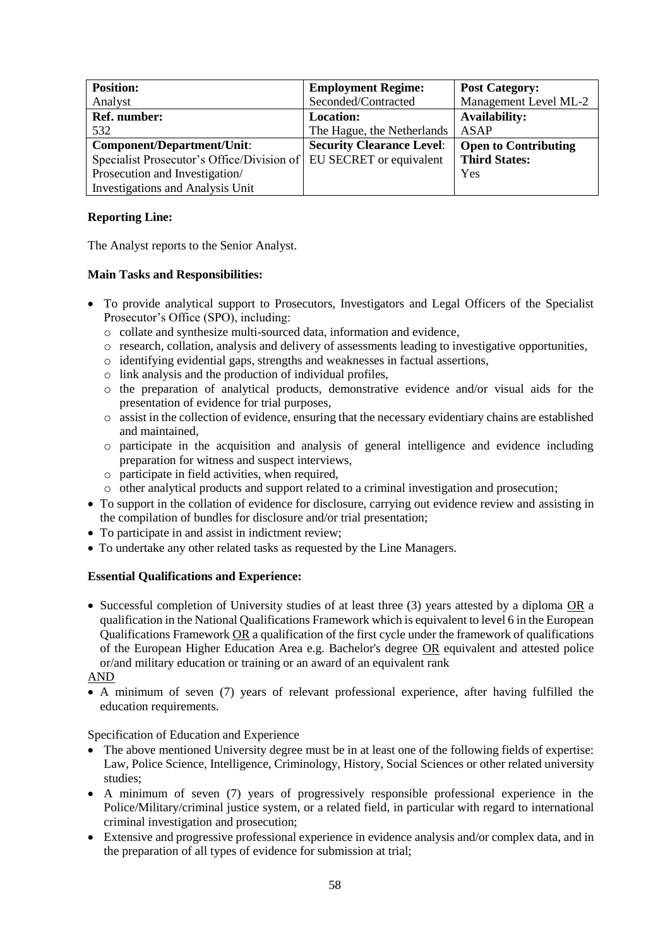| <b>Position:</b>                           | <b>Employment Regime:</b>        | <b>Post Category:</b>       |
|--------------------------------------------|----------------------------------|-----------------------------|
| Analyst                                    | Seconded/Contracted              | Management Level ML-2       |
| Ref. number:                               | <b>Location:</b>                 | <b>Availability:</b>        |
| 532                                        | The Hague, the Netherlands       | ASAP                        |
| Component/Department/Unit:                 | <b>Security Clearance Level:</b> | <b>Open to Contributing</b> |
| Specialist Prosecutor's Office/Division of | EU SECRET or equivalent          | <b>Third States:</b>        |
| Prosecution and Investigation/             |                                  | Yes                         |
| <b>Investigations and Analysis Unit</b>    |                                  |                             |

The Analyst reports to the Senior Analyst.

## **Main Tasks and Responsibilities:**

- To provide analytical support to Prosecutors, Investigators and Legal Officers of the Specialist Prosecutor's Office (SPO), including:
	- o collate and synthesize multi-sourced data, information and evidence,
	- o research, collation, analysis and delivery of assessments leading to investigative opportunities,
	- o identifying evidential gaps, strengths and weaknesses in factual assertions,
	- o link analysis and the production of individual profiles,
	- o the preparation of analytical products, demonstrative evidence and/or visual aids for the presentation of evidence for trial purposes,
	- o assist in the collection of evidence, ensuring that the necessary evidentiary chains are established and maintained,
	- o participate in the acquisition and analysis of general intelligence and evidence including preparation for witness and suspect interviews,
	- o participate in field activities, when required,
	- o other analytical products and support related to a criminal investigation and prosecution;
- To support in the collation of evidence for disclosure, carrying out evidence review and assisting in the compilation of bundles for disclosure and/or trial presentation;
- To participate in and assist in indictment review;
- To undertake any other related tasks as requested by the Line Managers.

# **Essential Qualifications and Experience:**

• Successful completion of University studies of at least three (3) years attested by a diploma OR a qualification in the National Qualifications Framework which is equivalent to level 6 in the European Qualifications Framework OR a qualification of the first cycle under the framework of qualifications of the European Higher Education Area e.g. Bachelor's degree OR equivalent and attested police or/and military education or training or an award of an equivalent rank

### AND

 A minimum of seven (7) years of relevant professional experience, after having fulfilled the education requirements.

- The above mentioned University degree must be in at least one of the following fields of expertise: Law, Police Science, Intelligence, Criminology, History, Social Sciences or other related university studies;
- A minimum of seven (7) years of progressively responsible professional experience in the Police/Military/criminal justice system, or a related field, in particular with regard to international criminal investigation and prosecution;
- Extensive and progressive professional experience in evidence analysis and/or complex data, and in the preparation of all types of evidence for submission at trial;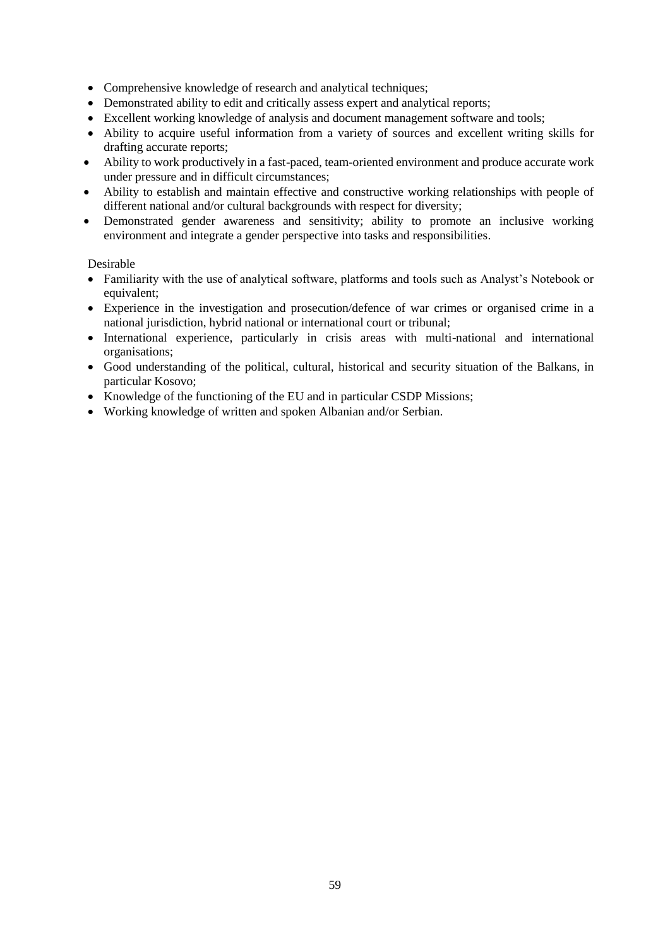- Comprehensive knowledge of research and analytical techniques;
- Demonstrated ability to edit and critically assess expert and analytical reports;
- Excellent working knowledge of analysis and document management software and tools;
- Ability to acquire useful information from a variety of sources and excellent writing skills for drafting accurate reports;
- Ability to work productively in a fast-paced, team-oriented environment and produce accurate work under pressure and in difficult circumstances;
- Ability to establish and maintain effective and constructive working relationships with people of different national and/or cultural backgrounds with respect for diversity;
- Demonstrated gender awareness and sensitivity; ability to promote an inclusive working environment and integrate a gender perspective into tasks and responsibilities.

- Familiarity with the use of analytical software, platforms and tools such as Analyst's Notebook or equivalent;
- Experience in the investigation and prosecution/defence of war crimes or organised crime in a national jurisdiction, hybrid national or international court or tribunal;
- International experience, particularly in crisis areas with multi-national and international organisations;
- Good understanding of the political, cultural, historical and security situation of the Balkans, in particular Kosovo;
- Knowledge of the functioning of the EU and in particular CSDP Missions;
- Working knowledge of written and spoken Albanian and/or Serbian.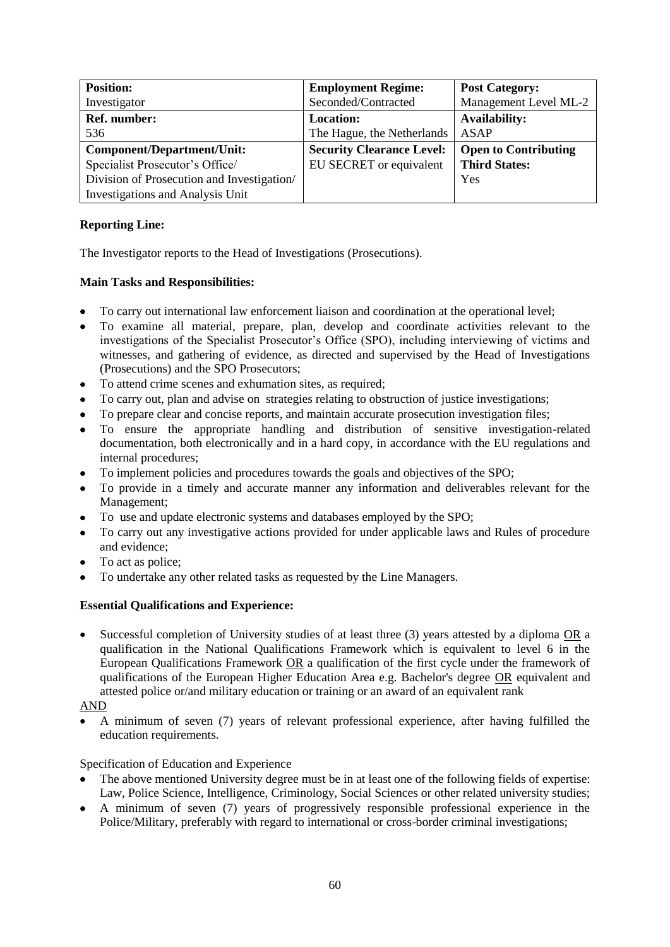| <b>Position:</b>                           | <b>Employment Regime:</b>        | <b>Post Category:</b>       |
|--------------------------------------------|----------------------------------|-----------------------------|
| Investigator                               | Seconded/Contracted              | Management Level ML-2       |
| Ref. number:                               | <b>Location:</b>                 | <b>Availability:</b>        |
| 536                                        | The Hague, the Netherlands       | ASAP                        |
| Component/Department/Unit:                 | <b>Security Clearance Level:</b> | <b>Open to Contributing</b> |
| Specialist Prosecutor's Office/            | EU SECRET or equivalent          | <b>Third States:</b>        |
| Division of Prosecution and Investigation/ |                                  | Yes                         |
| <b>Investigations and Analysis Unit</b>    |                                  |                             |

The Investigator reports to the Head of Investigations (Prosecutions).

# **Main Tasks and Responsibilities:**

- To carry out international law enforcement liaison and coordination at the operational level;
- To examine all material, prepare, plan, develop and coordinate activities relevant to the investigations of the Specialist Prosecutor's Office (SPO), including interviewing of victims and witnesses, and gathering of evidence, as directed and supervised by the Head of Investigations (Prosecutions) and the SPO Prosecutors;
- To attend crime scenes and exhumation sites, as required;
- To carry out, plan and advise on strategies relating to obstruction of justice investigations;
- To prepare clear and concise reports, and maintain accurate prosecution investigation files;
- To ensure the appropriate handling and distribution of sensitive investigation-related documentation, both electronically and in a hard copy, in accordance with the EU regulations and internal procedures;
- To implement policies and procedures towards the goals and objectives of the SPO;
- To provide in a timely and accurate manner any information and deliverables relevant for the Management;
- To use and update electronic systems and databases employed by the SPO;
- To carry out any investigative actions provided for under applicable laws and Rules of procedure and evidence;
- To act as police;
- To undertake any other related tasks as requested by the Line Managers.

# **Essential Qualifications and Experience:**

 Successful completion of University studies of at least three (3) years attested by a diploma OR a qualification in the National Qualifications Framework which is equivalent to level 6 in the European Qualifications Framework OR a qualification of the first cycle under the framework of qualifications of the European Higher Education Area e.g. Bachelor's degree OR equivalent and attested police or/and military education or training or an award of an equivalent rank

# AND

 A minimum of seven (7) years of relevant professional experience, after having fulfilled the education requirements.

- The above mentioned University degree must be in at least one of the following fields of expertise: Law, Police Science, Intelligence, Criminology, Social Sciences or other related university studies;
- A minimum of seven (7) years of progressively responsible professional experience in the Police/Military, preferably with regard to international or cross-border criminal investigations;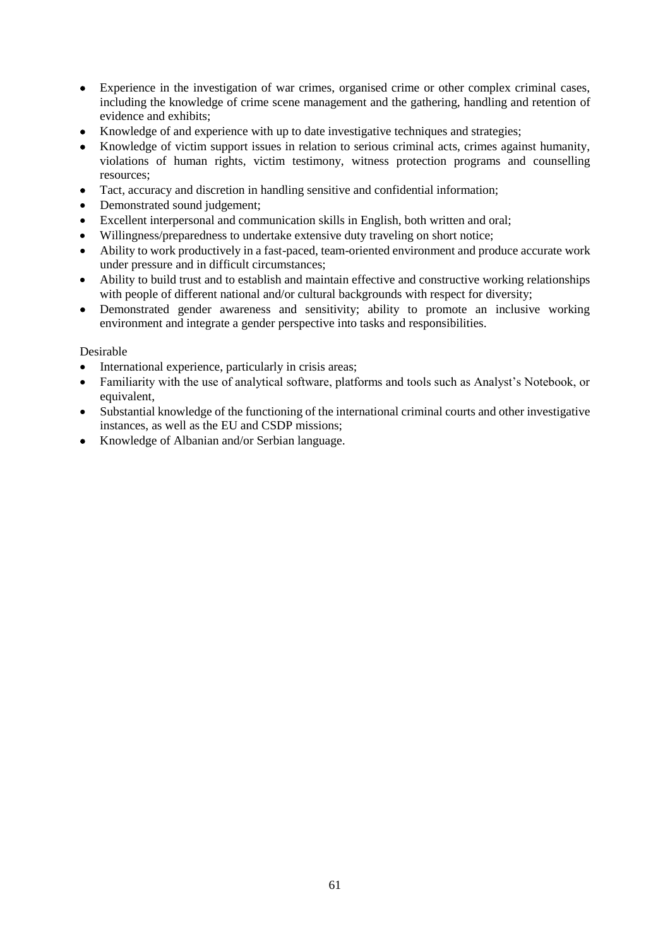- Experience in the investigation of war crimes, organised crime or other complex criminal cases, including the knowledge of crime scene management and the gathering, handling and retention of evidence and exhibits;
- Knowledge of and experience with up to date investigative techniques and strategies;
- Knowledge of victim support issues in relation to serious criminal acts, crimes against humanity, violations of human rights, victim testimony, witness protection programs and counselling resources;
- Tact, accuracy and discretion in handling sensitive and confidential information;
- Demonstrated sound judgement;
- Excellent interpersonal and communication skills in English, both written and oral;
- Willingness/preparedness to undertake extensive duty traveling on short notice;
- Ability to work productively in a fast-paced, team-oriented environment and produce accurate work under pressure and in difficult circumstances;
- Ability to build trust and to establish and maintain effective and constructive working relationships with people of different national and/or cultural backgrounds with respect for diversity;
- Demonstrated gender awareness and sensitivity; ability to promote an inclusive working environment and integrate a gender perspective into tasks and responsibilities.

- International experience, particularly in crisis areas;
- Familiarity with the use of analytical software, platforms and tools such as Analyst's Notebook, or equivalent,
- Substantial knowledge of the functioning of the international criminal courts and other investigative instances, as well as the EU and CSDP missions;
- Knowledge of Albanian and/or Serbian language.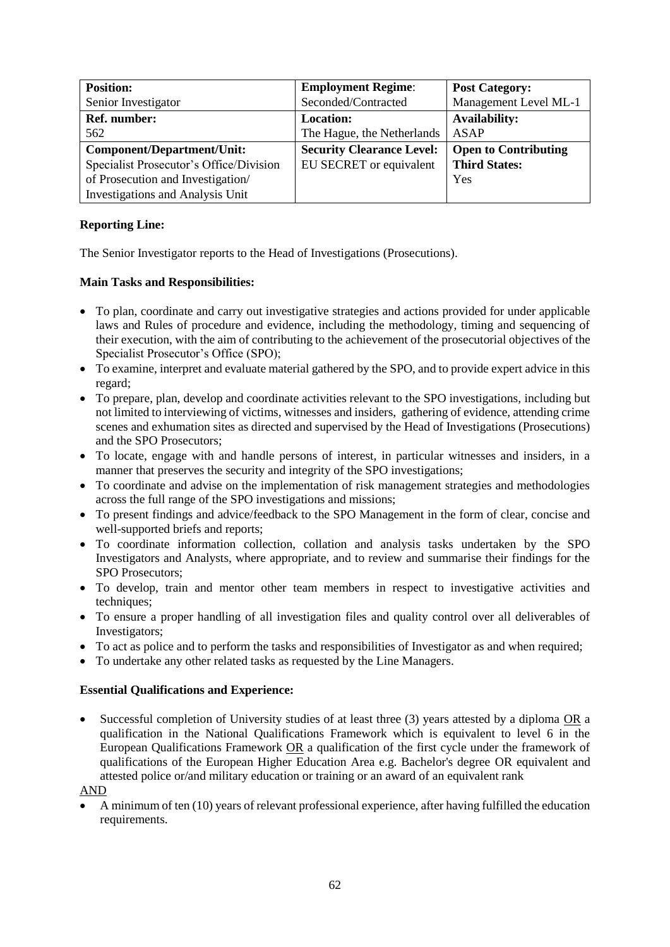| <b>Position:</b>                        | <b>Employment Regime:</b>        | <b>Post Category:</b>       |
|-----------------------------------------|----------------------------------|-----------------------------|
| Senior Investigator                     | Seconded/Contracted              | Management Level ML-1       |
| Ref. number:                            | <b>Location:</b>                 | <b>Availability:</b>        |
| 562                                     | The Hague, the Netherlands       | <b>ASAP</b>                 |
| Component/Department/Unit:              | <b>Security Clearance Level:</b> | <b>Open to Contributing</b> |
| Specialist Prosecutor's Office/Division | EU SECRET or equivalent          | <b>Third States:</b>        |
| of Prosecution and Investigation/       |                                  | Yes                         |
| <b>Investigations and Analysis Unit</b> |                                  |                             |

The Senior Investigator reports to the Head of Investigations (Prosecutions).

# **Main Tasks and Responsibilities:**

- To plan, coordinate and carry out investigative strategies and actions provided for under applicable laws and Rules of procedure and evidence, including the methodology, timing and sequencing of their execution, with the aim of contributing to the achievement of the prosecutorial objectives of the Specialist Prosecutor's Office (SPO);
- To examine, interpret and evaluate material gathered by the SPO, and to provide expert advice in this regard;
- To prepare, plan, develop and coordinate activities relevant to the SPO investigations, including but not limited to interviewing of victims, witnesses and insiders, gathering of evidence, attending crime scenes and exhumation sites as directed and supervised by the Head of Investigations (Prosecutions) and the SPO Prosecutors;
- To locate, engage with and handle persons of interest, in particular witnesses and insiders, in a manner that preserves the security and integrity of the SPO investigations;
- To coordinate and advise on the implementation of risk management strategies and methodologies across the full range of the SPO investigations and missions;
- To present findings and advice/feedback to the SPO Management in the form of clear, concise and well-supported briefs and reports;
- To coordinate information collection, collation and analysis tasks undertaken by the SPO Investigators and Analysts, where appropriate, and to review and summarise their findings for the SPO Prosecutors;
- To develop, train and mentor other team members in respect to investigative activities and techniques;
- To ensure a proper handling of all investigation files and quality control over all deliverables of Investigators;
- To act as police and to perform the tasks and responsibilities of Investigator as and when required;
- To undertake any other related tasks as requested by the Line Managers.

### **Essential Qualifications and Experience:**

 Successful completion of University studies of at least three (3) years attested by a diploma OR a qualification in the National Qualifications Framework which is equivalent to level 6 in the European Qualifications Framework OR a qualification of the first cycle under the framework of qualifications of the European Higher Education Area e.g. Bachelor's degree OR equivalent and attested police or/and military education or training or an award of an equivalent rank

AND

 A minimum of ten (10) years of relevant professional experience, after having fulfilled the education requirements.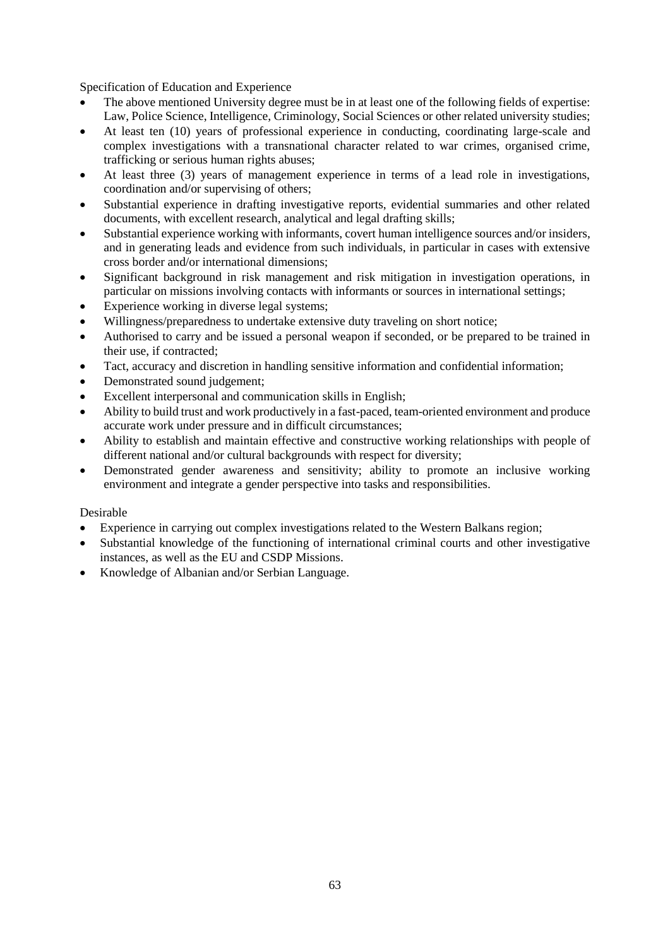Specification of Education and Experience

- The above mentioned University degree must be in at least one of the following fields of expertise: Law, Police Science, Intelligence, Criminology, Social Sciences or other related university studies;
- At least ten (10) years of professional experience in conducting, coordinating large-scale and complex investigations with a transnational character related to war crimes, organised crime, trafficking or serious human rights abuses;
- At least three (3) years of management experience in terms of a lead role in investigations, coordination and/or supervising of others;
- Substantial experience in drafting investigative reports, evidential summaries and other related documents, with excellent research, analytical and legal drafting skills;
- Substantial experience working with informants, covert human intelligence sources and/or insiders, and in generating leads and evidence from such individuals, in particular in cases with extensive cross border and/or international dimensions;
- Significant background in risk management and risk mitigation in investigation operations, in particular on missions involving contacts with informants or sources in international settings;
- Experience working in diverse legal systems;
- Willingness/preparedness to undertake extensive duty traveling on short notice;
- Authorised to carry and be issued a personal weapon if seconded, or be prepared to be trained in their use, if contracted;
- Tact, accuracy and discretion in handling sensitive information and confidential information;
- Demonstrated sound judgement;
- Excellent interpersonal and communication skills in English;
- Ability to build trust and work productively in a fast-paced, team-oriented environment and produce accurate work under pressure and in difficult circumstances;
- Ability to establish and maintain effective and constructive working relationships with people of different national and/or cultural backgrounds with respect for diversity;
- Demonstrated gender awareness and sensitivity; ability to promote an inclusive working environment and integrate a gender perspective into tasks and responsibilities.

- Experience in carrying out complex investigations related to the Western Balkans region;
- Substantial knowledge of the functioning of international criminal courts and other investigative instances, as well as the EU and CSDP Missions.
- Knowledge of Albanian and/or Serbian Language.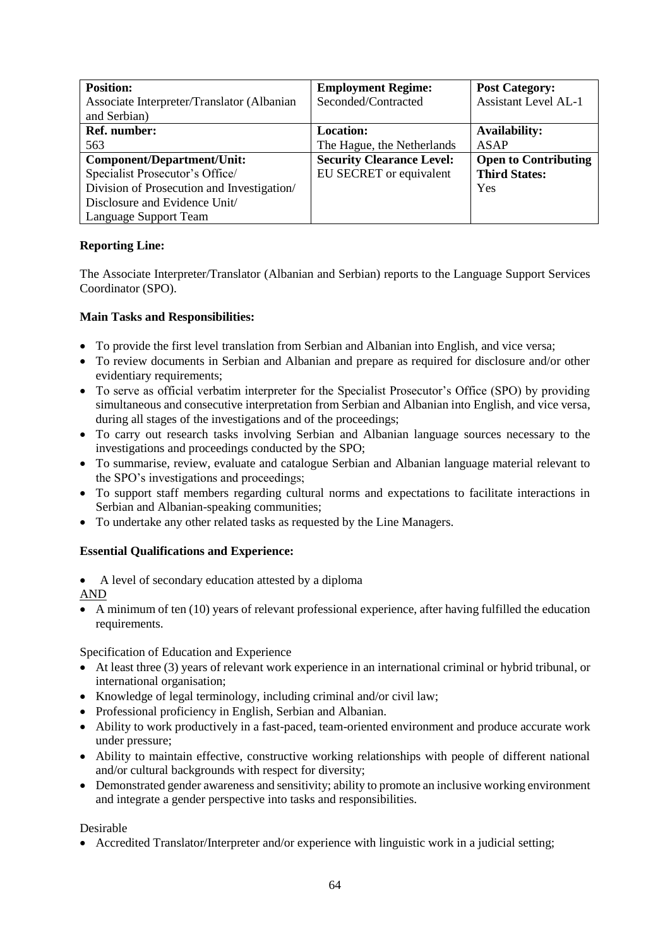| <b>Position:</b>                           | <b>Employment Regime:</b>        | <b>Post Category:</b>       |
|--------------------------------------------|----------------------------------|-----------------------------|
| Associate Interpreter/Translator (Albanian | Seconded/Contracted              | <b>Assistant Level AL-1</b> |
| and Serbian)                               |                                  |                             |
| Ref. number:                               | <b>Location:</b>                 | <b>Availability:</b>        |
| 563                                        | The Hague, the Netherlands       | ASAP                        |
| Component/Department/Unit:                 | <b>Security Clearance Level:</b> | <b>Open to Contributing</b> |
| Specialist Prosecutor's Office/            | EU SECRET or equivalent          | <b>Third States:</b>        |
| Division of Prosecution and Investigation/ |                                  | Yes                         |
| Disclosure and Evidence Unit/              |                                  |                             |
| Language Support Team                      |                                  |                             |

The Associate Interpreter/Translator (Albanian and Serbian) reports to the Language Support Services Coordinator (SPO).

# **Main Tasks and Responsibilities:**

- To provide the first level translation from Serbian and Albanian into English, and vice versa;
- To review documents in Serbian and Albanian and prepare as required for disclosure and/or other evidentiary requirements;
- To serve as official verbatim interpreter for the Specialist Prosecutor's Office (SPO) by providing simultaneous and consecutive interpretation from Serbian and Albanian into English, and vice versa, during all stages of the investigations and of the proceedings;
- To carry out research tasks involving Serbian and Albanian language sources necessary to the investigations and proceedings conducted by the SPO;
- To summarise, review, evaluate and catalogue Serbian and Albanian language material relevant to the SPO's investigations and proceedings;
- To support staff members regarding cultural norms and expectations to facilitate interactions in Serbian and Albanian-speaking communities;
- To undertake any other related tasks as requested by the Line Managers.

# **Essential Qualifications and Experience:**

• A level of secondary education attested by a diploma

AND

 A minimum of ten (10) years of relevant professional experience, after having fulfilled the education requirements.

Specification of Education and Experience

- At least three (3) years of relevant work experience in an international criminal or hybrid tribunal, or international organisation;
- Knowledge of legal terminology, including criminal and/or civil law;
- Professional proficiency in English, Serbian and Albanian.
- Ability to work productively in a fast-paced, team-oriented environment and produce accurate work under pressure;
- Ability to maintain effective, constructive working relationships with people of different national and/or cultural backgrounds with respect for diversity;
- Demonstrated gender awareness and sensitivity; ability to promote an inclusive working environment and integrate a gender perspective into tasks and responsibilities.

Desirable

Accredited Translator/Interpreter and/or experience with linguistic work in a judicial setting;